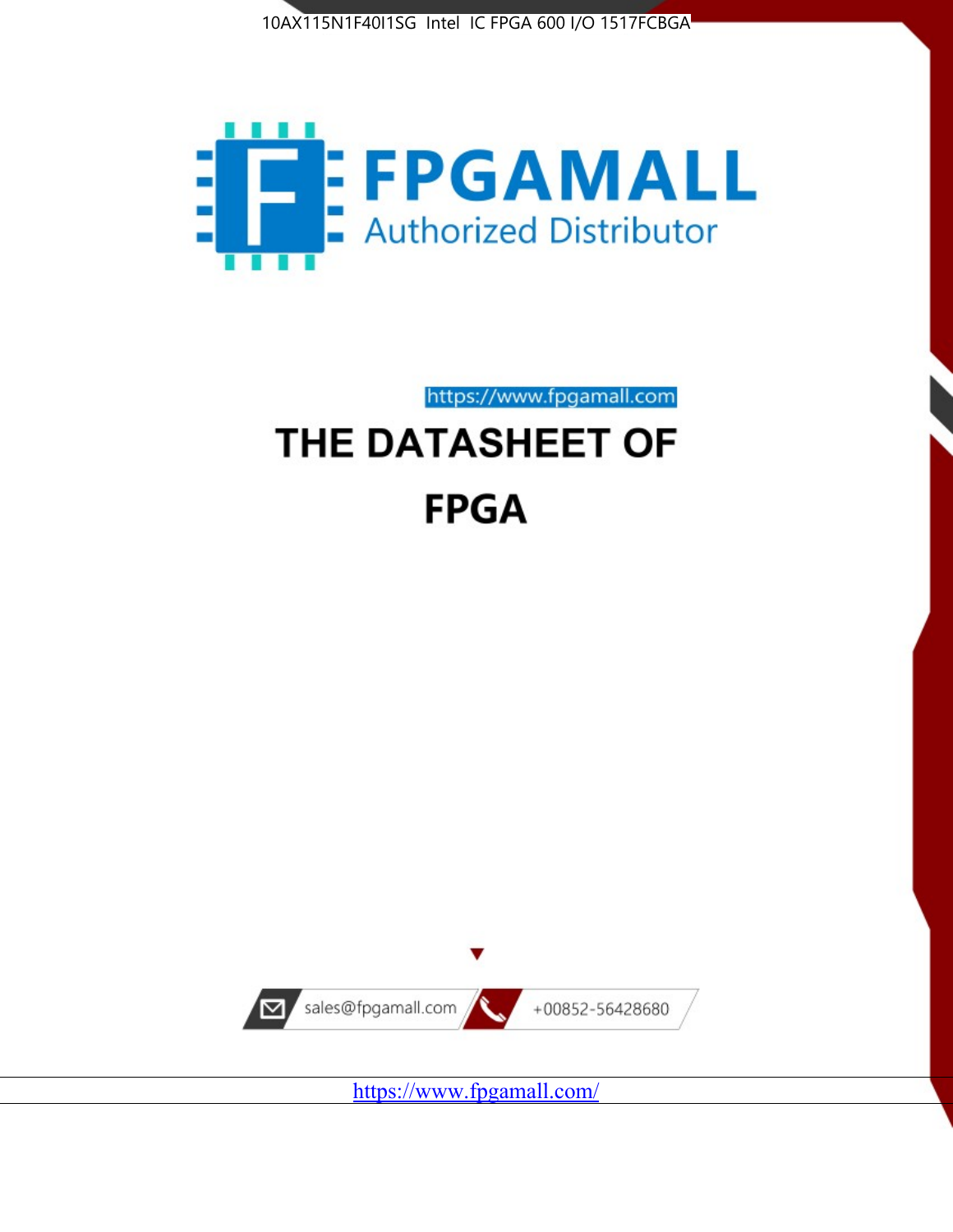



https://www.fpgamall.com

# THE DATASHEET OF **FPGA**



<https://www.fpgamall.com/>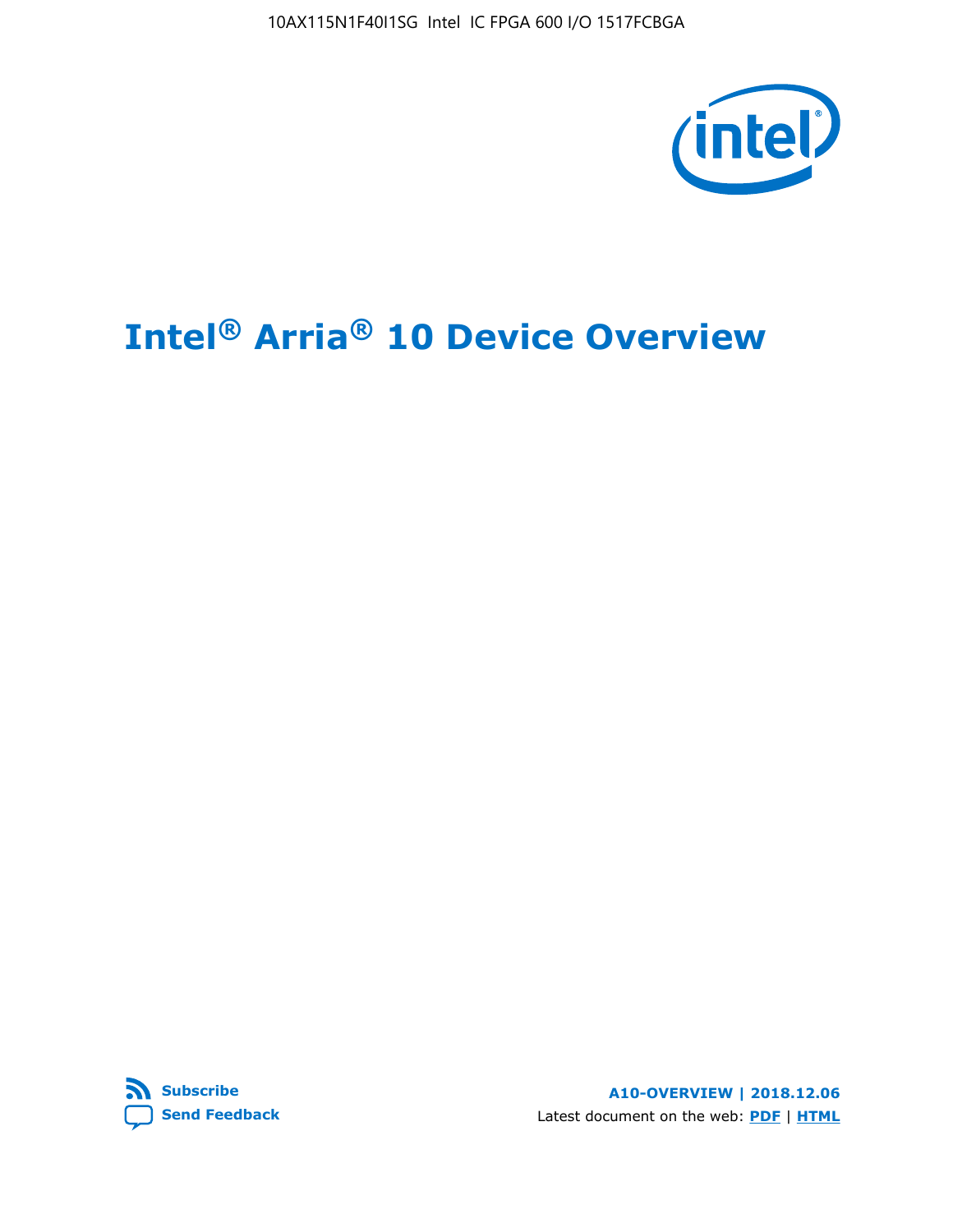10AX115N1F40I1SG Intel IC FPGA 600 I/O 1517FCBGA



# **Intel® Arria® 10 Device Overview**



**A10-OVERVIEW | 2018.12.06** Latest document on the web: **[PDF](https://www.intel.com/content/dam/www/programmable/us/en/pdfs/literature/hb/arria-10/a10_overview.pdf)** | **[HTML](https://www.intel.com/content/www/us/en/programmable/documentation/sam1403480274650.html)**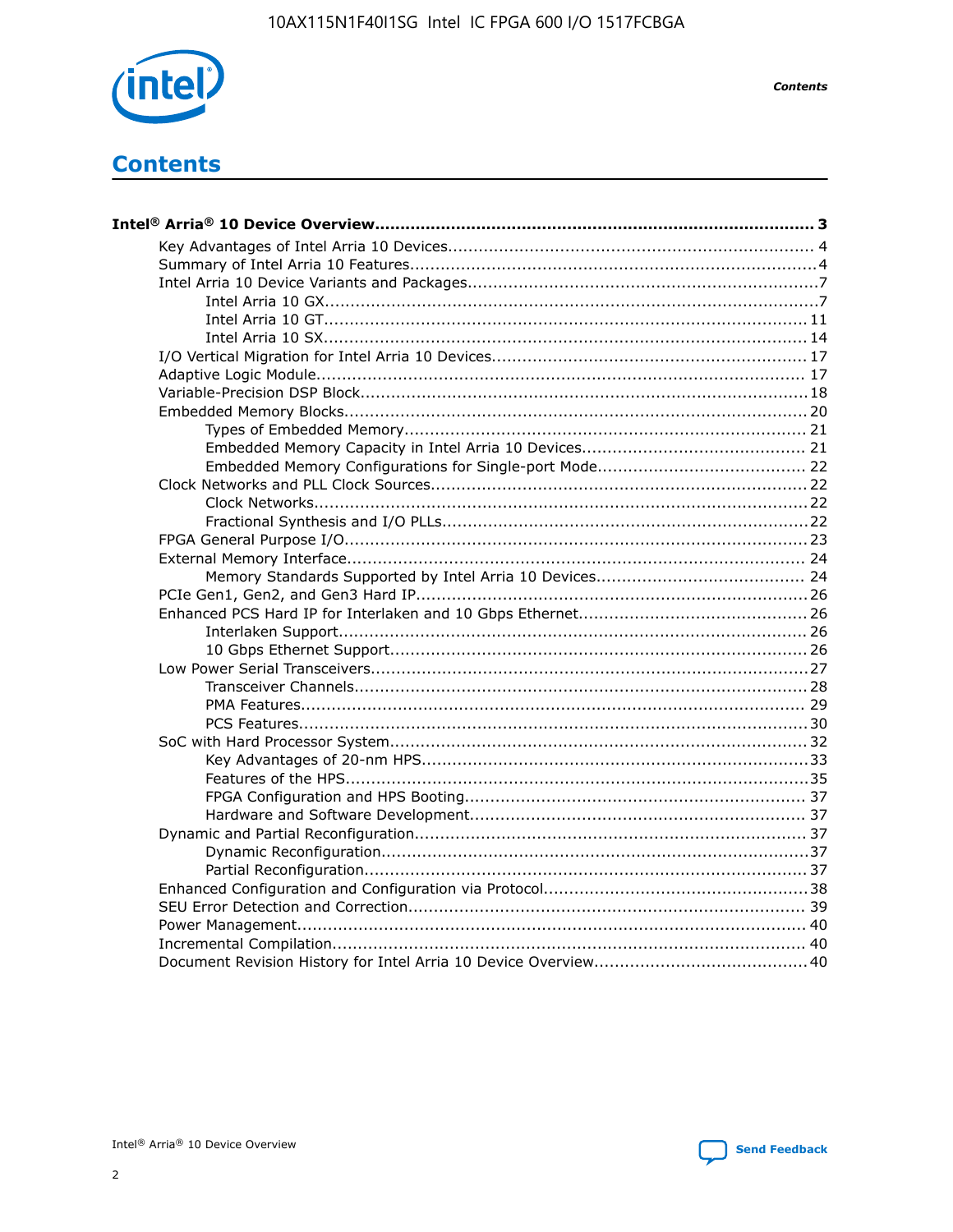

**Contents** 

## **Contents**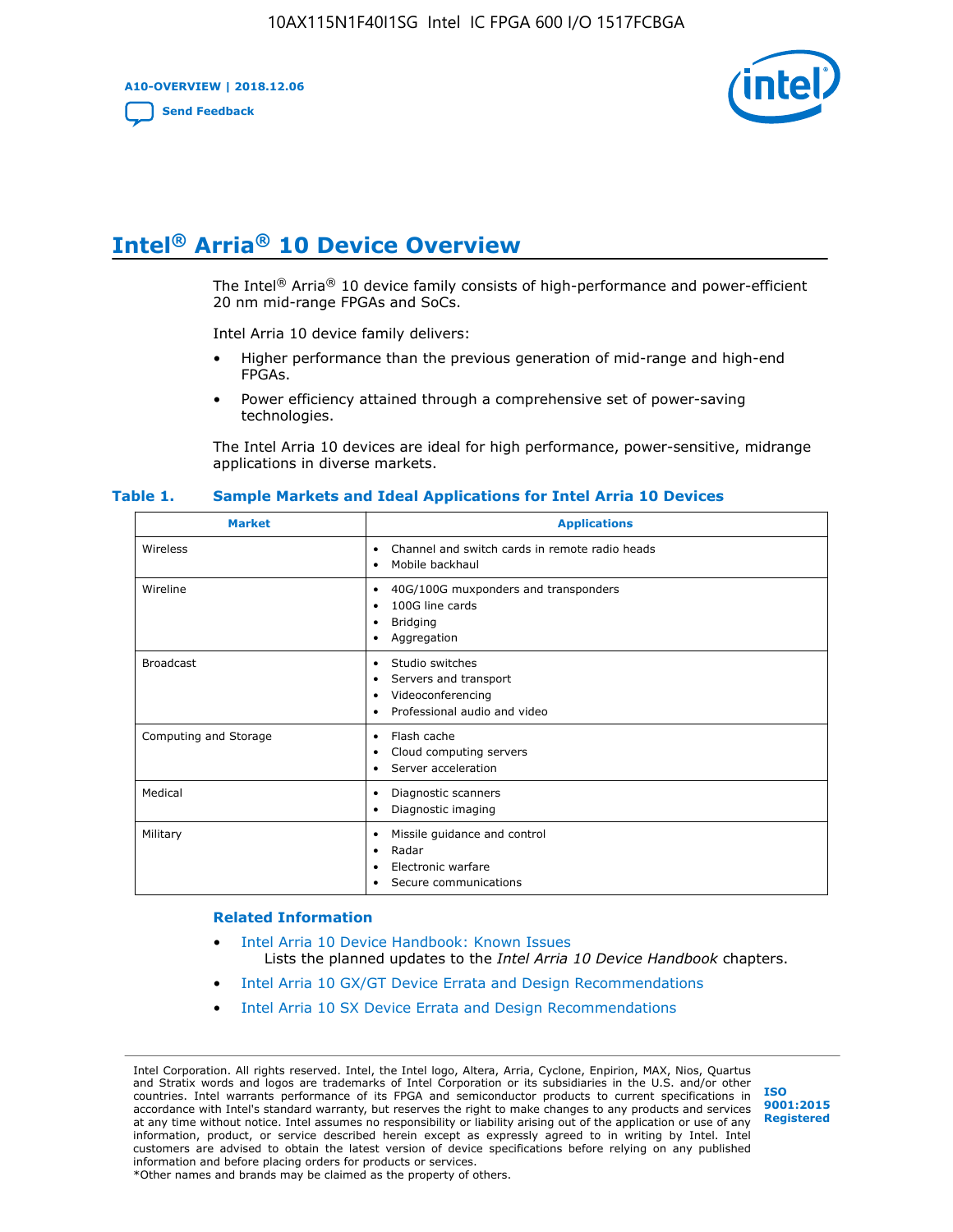**A10-OVERVIEW | 2018.12.06**

**[Send Feedback](mailto:FPGAtechdocfeedback@intel.com?subject=Feedback%20on%20Intel%20Arria%2010%20Device%20Overview%20(A10-OVERVIEW%202018.12.06)&body=We%20appreciate%20your%20feedback.%20In%20your%20comments,%20also%20specify%20the%20page%20number%20or%20paragraph.%20Thank%20you.)**



## **Intel® Arria® 10 Device Overview**

The Intel<sup>®</sup> Arria<sup>®</sup> 10 device family consists of high-performance and power-efficient 20 nm mid-range FPGAs and SoCs.

Intel Arria 10 device family delivers:

- Higher performance than the previous generation of mid-range and high-end FPGAs.
- Power efficiency attained through a comprehensive set of power-saving technologies.

The Intel Arria 10 devices are ideal for high performance, power-sensitive, midrange applications in diverse markets.

| <b>Market</b>         | <b>Applications</b>                                                                                               |
|-----------------------|-------------------------------------------------------------------------------------------------------------------|
| Wireless              | Channel and switch cards in remote radio heads<br>٠<br>Mobile backhaul<br>٠                                       |
| Wireline              | 40G/100G muxponders and transponders<br>٠<br>100G line cards<br>٠<br><b>Bridging</b><br>٠<br>Aggregation<br>٠     |
| <b>Broadcast</b>      | Studio switches<br>٠<br>Servers and transport<br>٠<br>Videoconferencing<br>٠<br>Professional audio and video<br>٠ |
| Computing and Storage | Flash cache<br>٠<br>Cloud computing servers<br>٠<br>Server acceleration<br>٠                                      |
| Medical               | Diagnostic scanners<br>٠<br>Diagnostic imaging<br>٠                                                               |
| Military              | Missile guidance and control<br>٠<br>Radar<br>٠<br>Electronic warfare<br>٠<br>Secure communications<br>٠          |

#### **Table 1. Sample Markets and Ideal Applications for Intel Arria 10 Devices**

#### **Related Information**

- [Intel Arria 10 Device Handbook: Known Issues](http://www.altera.com/support/kdb/solutions/rd07302013_646.html) Lists the planned updates to the *Intel Arria 10 Device Handbook* chapters.
- [Intel Arria 10 GX/GT Device Errata and Design Recommendations](https://www.intel.com/content/www/us/en/programmable/documentation/agz1493851706374.html#yqz1494433888646)
- [Intel Arria 10 SX Device Errata and Design Recommendations](https://www.intel.com/content/www/us/en/programmable/documentation/cru1462832385668.html#cru1462832558642)

Intel Corporation. All rights reserved. Intel, the Intel logo, Altera, Arria, Cyclone, Enpirion, MAX, Nios, Quartus and Stratix words and logos are trademarks of Intel Corporation or its subsidiaries in the U.S. and/or other countries. Intel warrants performance of its FPGA and semiconductor products to current specifications in accordance with Intel's standard warranty, but reserves the right to make changes to any products and services at any time without notice. Intel assumes no responsibility or liability arising out of the application or use of any information, product, or service described herein except as expressly agreed to in writing by Intel. Intel customers are advised to obtain the latest version of device specifications before relying on any published information and before placing orders for products or services. \*Other names and brands may be claimed as the property of others.

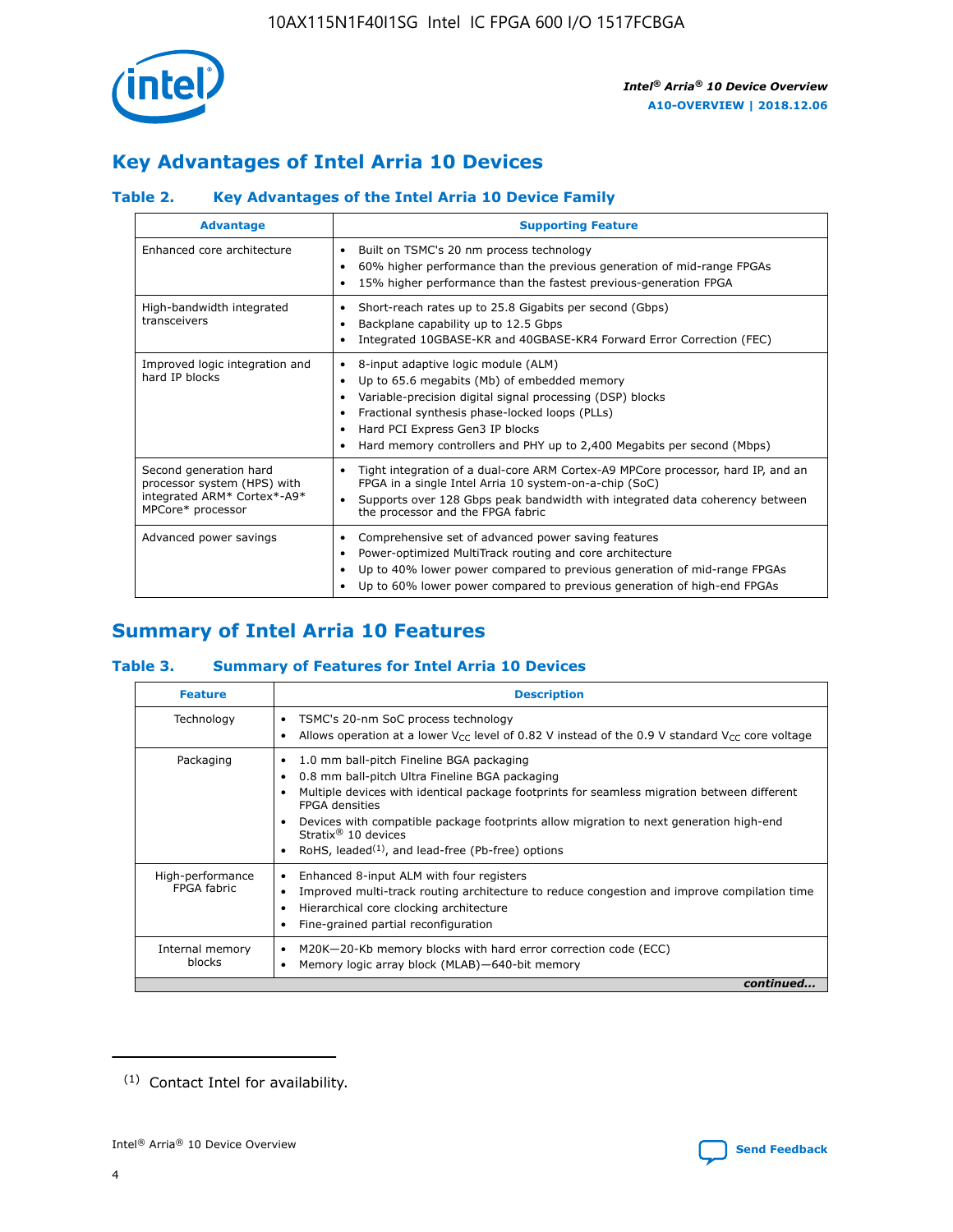

### **Key Advantages of Intel Arria 10 Devices**

### **Table 2. Key Advantages of the Intel Arria 10 Device Family**

| <b>Advantage</b>                                                                                          | <b>Supporting Feature</b>                                                                                                                                                                                                                                                                                                |
|-----------------------------------------------------------------------------------------------------------|--------------------------------------------------------------------------------------------------------------------------------------------------------------------------------------------------------------------------------------------------------------------------------------------------------------------------|
| Enhanced core architecture                                                                                | Built on TSMC's 20 nm process technology<br>٠<br>60% higher performance than the previous generation of mid-range FPGAs<br>٠<br>15% higher performance than the fastest previous-generation FPGA<br>٠                                                                                                                    |
| High-bandwidth integrated<br>transceivers                                                                 | Short-reach rates up to 25.8 Gigabits per second (Gbps)<br>٠<br>Backplane capability up to 12.5 Gbps<br>٠<br>Integrated 10GBASE-KR and 40GBASE-KR4 Forward Error Correction (FEC)<br>٠                                                                                                                                   |
| Improved logic integration and<br>hard IP blocks                                                          | 8-input adaptive logic module (ALM)<br>٠<br>Up to 65.6 megabits (Mb) of embedded memory<br>٠<br>Variable-precision digital signal processing (DSP) blocks<br>Fractional synthesis phase-locked loops (PLLs)<br>Hard PCI Express Gen3 IP blocks<br>Hard memory controllers and PHY up to 2,400 Megabits per second (Mbps) |
| Second generation hard<br>processor system (HPS) with<br>integrated ARM* Cortex*-A9*<br>MPCore* processor | Tight integration of a dual-core ARM Cortex-A9 MPCore processor, hard IP, and an<br>٠<br>FPGA in a single Intel Arria 10 system-on-a-chip (SoC)<br>Supports over 128 Gbps peak bandwidth with integrated data coherency between<br>$\bullet$<br>the processor and the FPGA fabric                                        |
| Advanced power savings                                                                                    | Comprehensive set of advanced power saving features<br>٠<br>Power-optimized MultiTrack routing and core architecture<br>٠<br>Up to 40% lower power compared to previous generation of mid-range FPGAs<br>٠<br>Up to 60% lower power compared to previous generation of high-end FPGAs                                    |

### **Summary of Intel Arria 10 Features**

### **Table 3. Summary of Features for Intel Arria 10 Devices**

| <b>Feature</b>                  | <b>Description</b>                                                                                                                                                                                                                                                                                                                                                                                 |
|---------------------------------|----------------------------------------------------------------------------------------------------------------------------------------------------------------------------------------------------------------------------------------------------------------------------------------------------------------------------------------------------------------------------------------------------|
| Technology                      | TSMC's 20-nm SoC process technology<br>Allows operation at a lower $V_{\text{CC}}$ level of 0.82 V instead of the 0.9 V standard $V_{\text{CC}}$ core voltage                                                                                                                                                                                                                                      |
| Packaging                       | 1.0 mm ball-pitch Fineline BGA packaging<br>٠<br>0.8 mm ball-pitch Ultra Fineline BGA packaging<br>Multiple devices with identical package footprints for seamless migration between different<br><b>FPGA</b> densities<br>Devices with compatible package footprints allow migration to next generation high-end<br>Stratix $@10$ devices<br>RoHS, leaded $(1)$ , and lead-free (Pb-free) options |
| High-performance<br>FPGA fabric | Enhanced 8-input ALM with four registers<br>Improved multi-track routing architecture to reduce congestion and improve compilation time<br>Hierarchical core clocking architecture<br>Fine-grained partial reconfiguration                                                                                                                                                                         |
| Internal memory<br>blocks       | M20K-20-Kb memory blocks with hard error correction code (ECC)<br>Memory logic array block (MLAB)-640-bit memory                                                                                                                                                                                                                                                                                   |
|                                 | continued                                                                                                                                                                                                                                                                                                                                                                                          |



<sup>(1)</sup> Contact Intel for availability.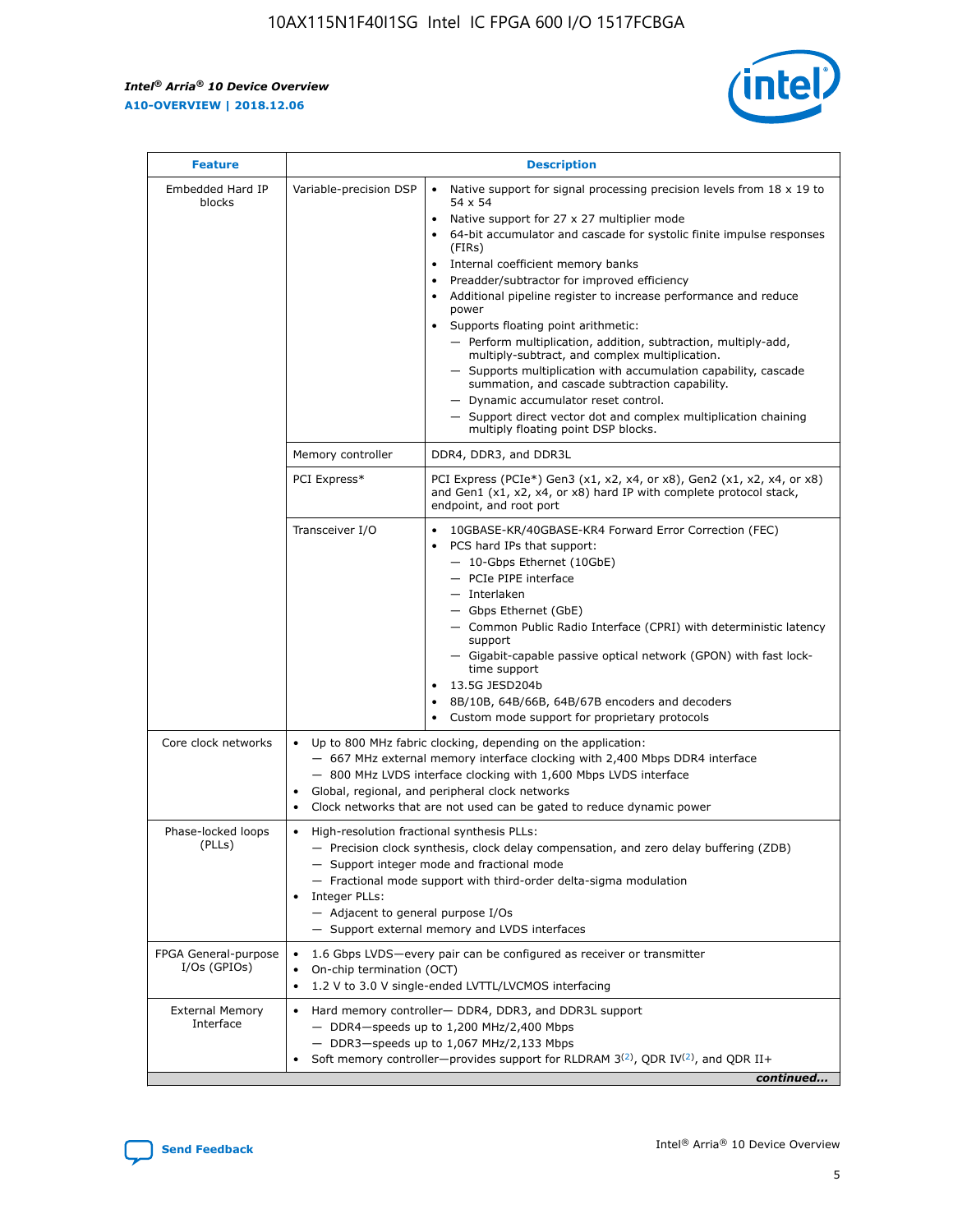$\mathsf{r}$ 



| <b>Feature</b>                         | <b>Description</b>                                                                                             |                                                                                                                                                                                                                                                                                                                                                                                                                                                                                                                                                                                                                                                                                                                                                                                                                                        |  |  |  |  |  |
|----------------------------------------|----------------------------------------------------------------------------------------------------------------|----------------------------------------------------------------------------------------------------------------------------------------------------------------------------------------------------------------------------------------------------------------------------------------------------------------------------------------------------------------------------------------------------------------------------------------------------------------------------------------------------------------------------------------------------------------------------------------------------------------------------------------------------------------------------------------------------------------------------------------------------------------------------------------------------------------------------------------|--|--|--|--|--|
| Embedded Hard IP<br>blocks             | Variable-precision DSP                                                                                         | Native support for signal processing precision levels from $18 \times 19$ to<br>54 x 54<br>Native support for 27 x 27 multiplier mode<br>64-bit accumulator and cascade for systolic finite impulse responses<br>(FIRs)<br>Internal coefficient memory banks<br>$\bullet$<br>Preadder/subtractor for improved efficiency<br>Additional pipeline register to increase performance and reduce<br>power<br>Supports floating point arithmetic:<br>- Perform multiplication, addition, subtraction, multiply-add,<br>multiply-subtract, and complex multiplication.<br>- Supports multiplication with accumulation capability, cascade<br>summation, and cascade subtraction capability.<br>- Dynamic accumulator reset control.<br>- Support direct vector dot and complex multiplication chaining<br>multiply floating point DSP blocks. |  |  |  |  |  |
|                                        | Memory controller                                                                                              | DDR4, DDR3, and DDR3L                                                                                                                                                                                                                                                                                                                                                                                                                                                                                                                                                                                                                                                                                                                                                                                                                  |  |  |  |  |  |
|                                        | PCI Express*                                                                                                   | PCI Express (PCIe*) Gen3 (x1, x2, x4, or x8), Gen2 (x1, x2, x4, or x8)<br>and Gen1 (x1, x2, x4, or x8) hard IP with complete protocol stack,<br>endpoint, and root port                                                                                                                                                                                                                                                                                                                                                                                                                                                                                                                                                                                                                                                                |  |  |  |  |  |
|                                        | Transceiver I/O                                                                                                | 10GBASE-KR/40GBASE-KR4 Forward Error Correction (FEC)<br>PCS hard IPs that support:<br>$\bullet$<br>- 10-Gbps Ethernet (10GbE)<br>- PCIe PIPE interface<br>$-$ Interlaken<br>- Gbps Ethernet (GbE)<br>- Common Public Radio Interface (CPRI) with deterministic latency<br>support<br>- Gigabit-capable passive optical network (GPON) with fast lock-<br>time support<br>13.5G JESD204b<br>$\bullet$<br>8B/10B, 64B/66B, 64B/67B encoders and decoders<br>Custom mode support for proprietary protocols                                                                                                                                                                                                                                                                                                                               |  |  |  |  |  |
| Core clock networks                    | $\bullet$<br>$\bullet$                                                                                         | Up to 800 MHz fabric clocking, depending on the application:<br>- 667 MHz external memory interface clocking with 2,400 Mbps DDR4 interface<br>- 800 MHz LVDS interface clocking with 1,600 Mbps LVDS interface<br>Global, regional, and peripheral clock networks<br>Clock networks that are not used can be gated to reduce dynamic power                                                                                                                                                                                                                                                                                                                                                                                                                                                                                            |  |  |  |  |  |
| Phase-locked loops<br>(PLLs)           | High-resolution fractional synthesis PLLs:<br>$\bullet$<br>Integer PLLs:<br>- Adjacent to general purpose I/Os | - Precision clock synthesis, clock delay compensation, and zero delay buffering (ZDB)<br>- Support integer mode and fractional mode<br>- Fractional mode support with third-order delta-sigma modulation<br>- Support external memory and LVDS interfaces                                                                                                                                                                                                                                                                                                                                                                                                                                                                                                                                                                              |  |  |  |  |  |
| FPGA General-purpose<br>$I/Os$ (GPIOs) | On-chip termination (OCT)                                                                                      | 1.6 Gbps LVDS-every pair can be configured as receiver or transmitter<br>1.2 V to 3.0 V single-ended LVTTL/LVCMOS interfacing                                                                                                                                                                                                                                                                                                                                                                                                                                                                                                                                                                                                                                                                                                          |  |  |  |  |  |
| <b>External Memory</b><br>Interface    |                                                                                                                | Hard memory controller- DDR4, DDR3, and DDR3L support<br>$-$ DDR4-speeds up to 1,200 MHz/2,400 Mbps<br>- DDR3-speeds up to 1,067 MHz/2,133 Mbps<br>Soft memory controller—provides support for RLDRAM $3^{(2)}$ , QDR IV $^{(2)}$ , and QDR II+<br>continued                                                                                                                                                                                                                                                                                                                                                                                                                                                                                                                                                                           |  |  |  |  |  |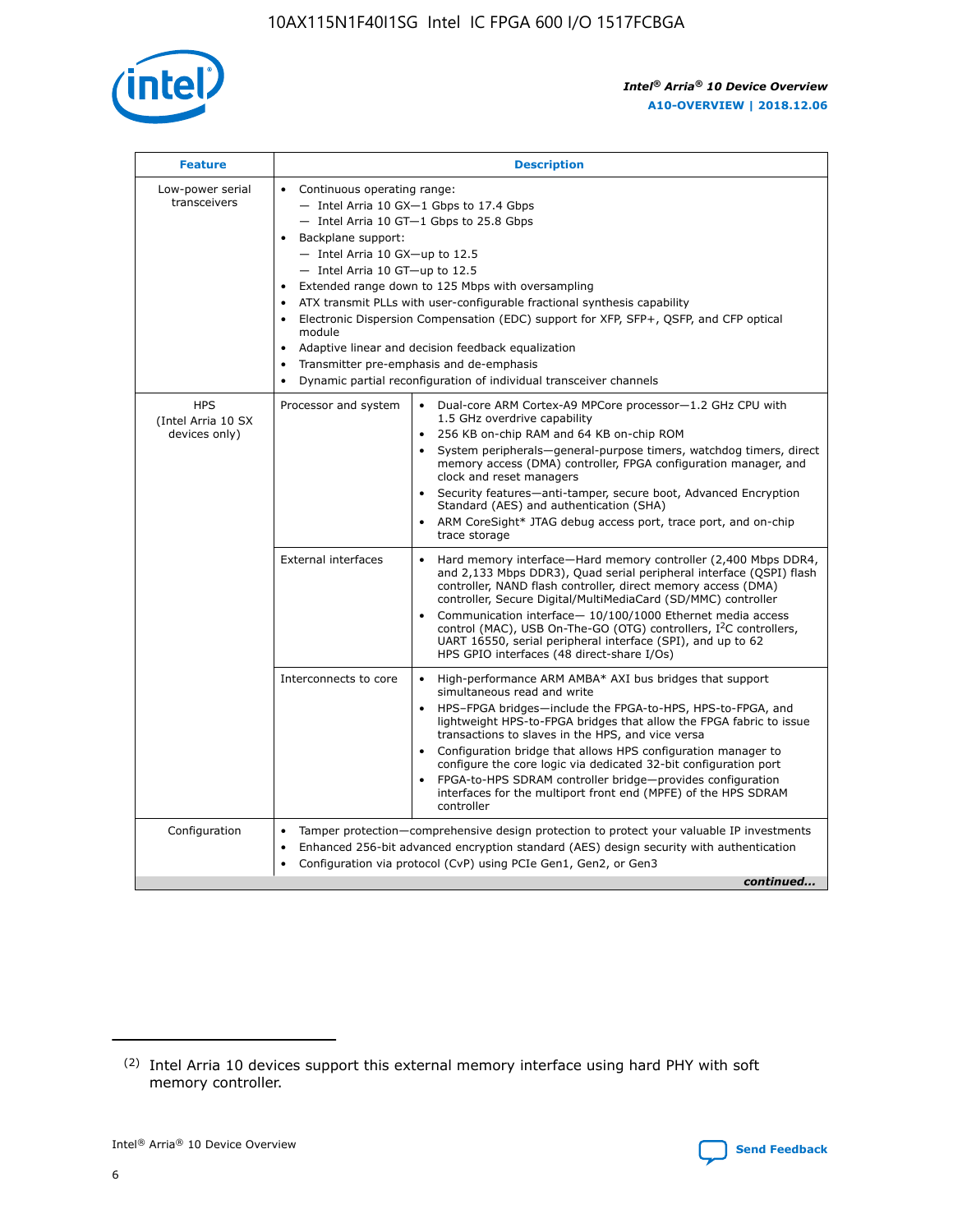

| <b>Feature</b>                                    | <b>Description</b>                                                                                                                                                                                                                                                                                                                                                                                                                                                                                                                                                                                                                           |  |  |  |  |  |  |  |
|---------------------------------------------------|----------------------------------------------------------------------------------------------------------------------------------------------------------------------------------------------------------------------------------------------------------------------------------------------------------------------------------------------------------------------------------------------------------------------------------------------------------------------------------------------------------------------------------------------------------------------------------------------------------------------------------------------|--|--|--|--|--|--|--|
| Low-power serial<br>transceivers                  | • Continuous operating range:<br>- Intel Arria 10 GX-1 Gbps to 17.4 Gbps<br>- Intel Arria 10 GT-1 Gbps to 25.8 Gbps<br>Backplane support:<br>$-$ Intel Arria 10 GX-up to 12.5<br>$-$ Intel Arria 10 GT-up to 12.5<br>Extended range down to 125 Mbps with oversampling<br>ATX transmit PLLs with user-configurable fractional synthesis capability<br>Electronic Dispersion Compensation (EDC) support for XFP, SFP+, QSFP, and CFP optical<br>module<br>• Adaptive linear and decision feedback equalization<br>Transmitter pre-emphasis and de-emphasis<br>$\bullet$<br>Dynamic partial reconfiguration of individual transceiver channels |  |  |  |  |  |  |  |
| <b>HPS</b><br>(Intel Arria 10 SX<br>devices only) | Dual-core ARM Cortex-A9 MPCore processor-1.2 GHz CPU with<br>Processor and system<br>$\bullet$<br>1.5 GHz overdrive capability<br>256 KB on-chip RAM and 64 KB on-chip ROM<br>System peripherals-general-purpose timers, watchdog timers, direct<br>memory access (DMA) controller, FPGA configuration manager, and<br>clock and reset managers<br>Security features-anti-tamper, secure boot, Advanced Encryption<br>$\bullet$<br>Standard (AES) and authentication (SHA)<br>ARM CoreSight* JTAG debug access port, trace port, and on-chip<br>trace storage                                                                                |  |  |  |  |  |  |  |
|                                                   | <b>External interfaces</b><br>Hard memory interface-Hard memory controller (2,400 Mbps DDR4,<br>$\bullet$<br>and 2,133 Mbps DDR3), Quad serial peripheral interface (QSPI) flash<br>controller, NAND flash controller, direct memory access (DMA)<br>controller, Secure Digital/MultiMediaCard (SD/MMC) controller<br>Communication interface-10/100/1000 Ethernet media access<br>$\bullet$<br>control (MAC), USB On-The-GO (OTG) controllers, I <sup>2</sup> C controllers,<br>UART 16550, serial peripheral interface (SPI), and up to 62<br>HPS GPIO interfaces (48 direct-share I/Os)                                                   |  |  |  |  |  |  |  |
|                                                   | High-performance ARM AMBA* AXI bus bridges that support<br>Interconnects to core<br>$\bullet$<br>simultaneous read and write<br>HPS-FPGA bridges-include the FPGA-to-HPS, HPS-to-FPGA, and<br>$\bullet$<br>lightweight HPS-to-FPGA bridges that allow the FPGA fabric to issue<br>transactions to slaves in the HPS, and vice versa<br>Configuration bridge that allows HPS configuration manager to<br>configure the core logic via dedicated 32-bit configuration port<br>FPGA-to-HPS SDRAM controller bridge-provides configuration<br>interfaces for the multiport front end (MPFE) of the HPS SDRAM<br>controller                       |  |  |  |  |  |  |  |
| Configuration                                     | Tamper protection—comprehensive design protection to protect your valuable IP investments<br>Enhanced 256-bit advanced encryption standard (AES) design security with authentication<br>٠<br>Configuration via protocol (CvP) using PCIe Gen1, Gen2, or Gen3<br>continued                                                                                                                                                                                                                                                                                                                                                                    |  |  |  |  |  |  |  |

<sup>(2)</sup> Intel Arria 10 devices support this external memory interface using hard PHY with soft memory controller.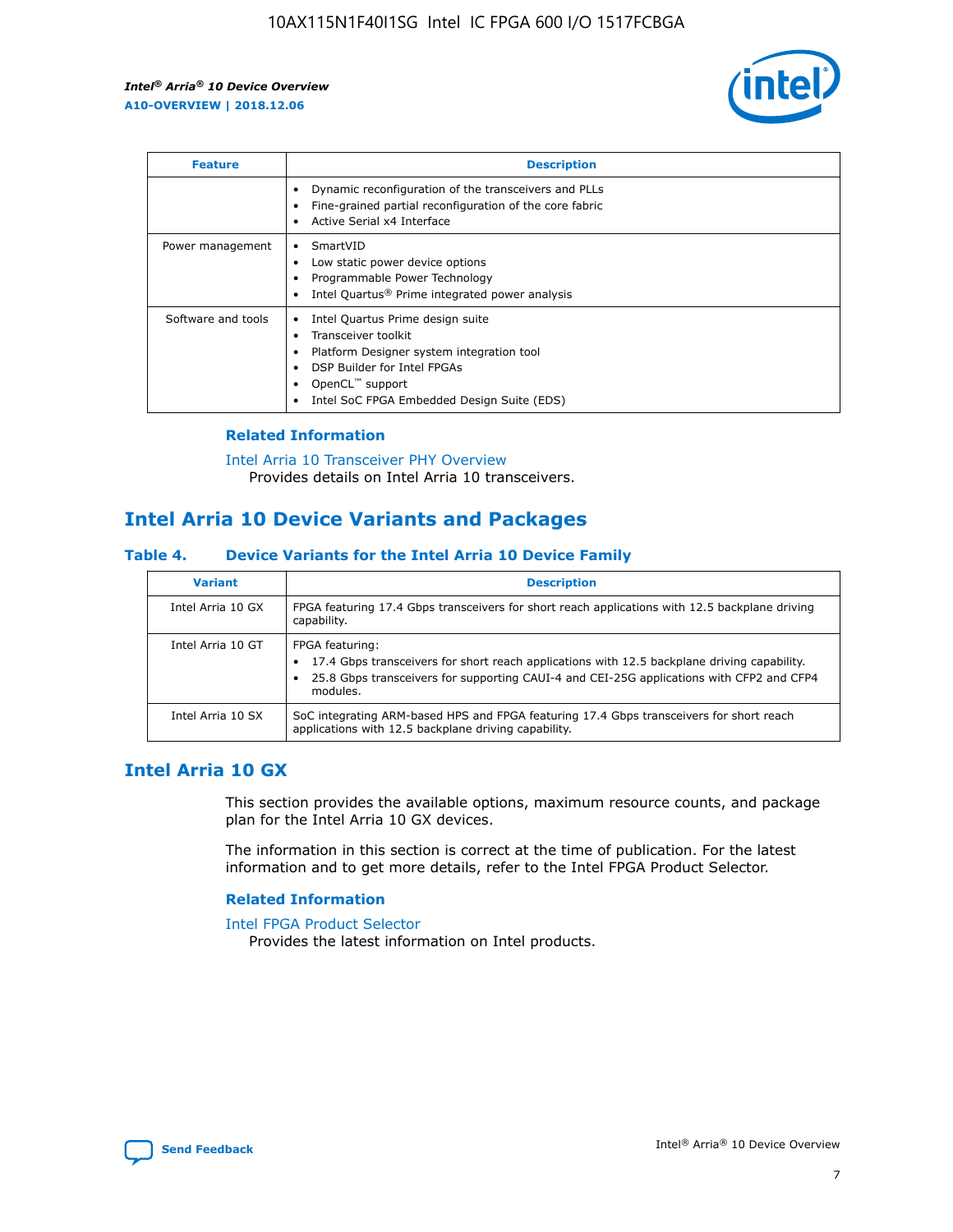

| <b>Feature</b>     | <b>Description</b>                                                                                                                                                                                               |
|--------------------|------------------------------------------------------------------------------------------------------------------------------------------------------------------------------------------------------------------|
|                    | Dynamic reconfiguration of the transceivers and PLLs<br>Fine-grained partial reconfiguration of the core fabric<br>Active Serial x4 Interface<br>$\bullet$                                                       |
| Power management   | SmartVID<br>Low static power device options<br>Programmable Power Technology<br>Intel Quartus <sup>®</sup> Prime integrated power analysis                                                                       |
| Software and tools | Intel Quartus Prime design suite<br>Transceiver toolkit<br>Platform Designer system integration tool<br>DSP Builder for Intel FPGAs<br>OpenCL <sup>™</sup> support<br>Intel SoC FPGA Embedded Design Suite (EDS) |

### **Related Information**

[Intel Arria 10 Transceiver PHY Overview](https://www.intel.com/content/www/us/en/programmable/documentation/nik1398707230472.html#nik1398706768037) Provides details on Intel Arria 10 transceivers.

### **Intel Arria 10 Device Variants and Packages**

#### **Table 4. Device Variants for the Intel Arria 10 Device Family**

| <b>Variant</b>    | <b>Description</b>                                                                                                                                                                                                     |
|-------------------|------------------------------------------------------------------------------------------------------------------------------------------------------------------------------------------------------------------------|
| Intel Arria 10 GX | FPGA featuring 17.4 Gbps transceivers for short reach applications with 12.5 backplane driving<br>capability.                                                                                                          |
| Intel Arria 10 GT | FPGA featuring:<br>17.4 Gbps transceivers for short reach applications with 12.5 backplane driving capability.<br>25.8 Gbps transceivers for supporting CAUI-4 and CEI-25G applications with CFP2 and CFP4<br>modules. |
| Intel Arria 10 SX | SoC integrating ARM-based HPS and FPGA featuring 17.4 Gbps transceivers for short reach<br>applications with 12.5 backplane driving capability.                                                                        |

### **Intel Arria 10 GX**

This section provides the available options, maximum resource counts, and package plan for the Intel Arria 10 GX devices.

The information in this section is correct at the time of publication. For the latest information and to get more details, refer to the Intel FPGA Product Selector.

#### **Related Information**

#### [Intel FPGA Product Selector](http://www.altera.com/products/selector/psg-selector.html) Provides the latest information on Intel products.

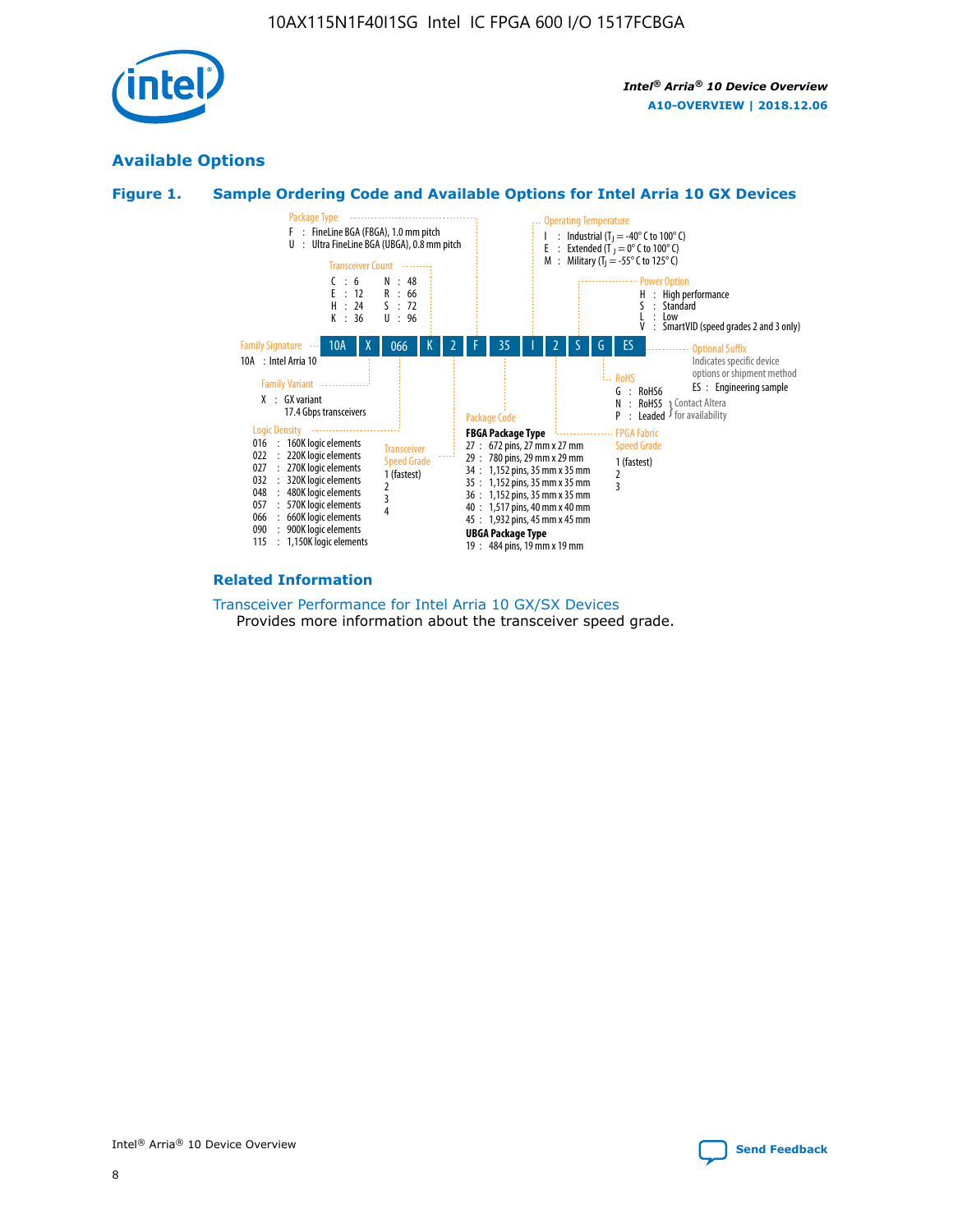

### **Available Options**





#### **Related Information**

[Transceiver Performance for Intel Arria 10 GX/SX Devices](https://www.intel.com/content/www/us/en/programmable/documentation/mcn1413182292568.html#mcn1413213965502) Provides more information about the transceiver speed grade.

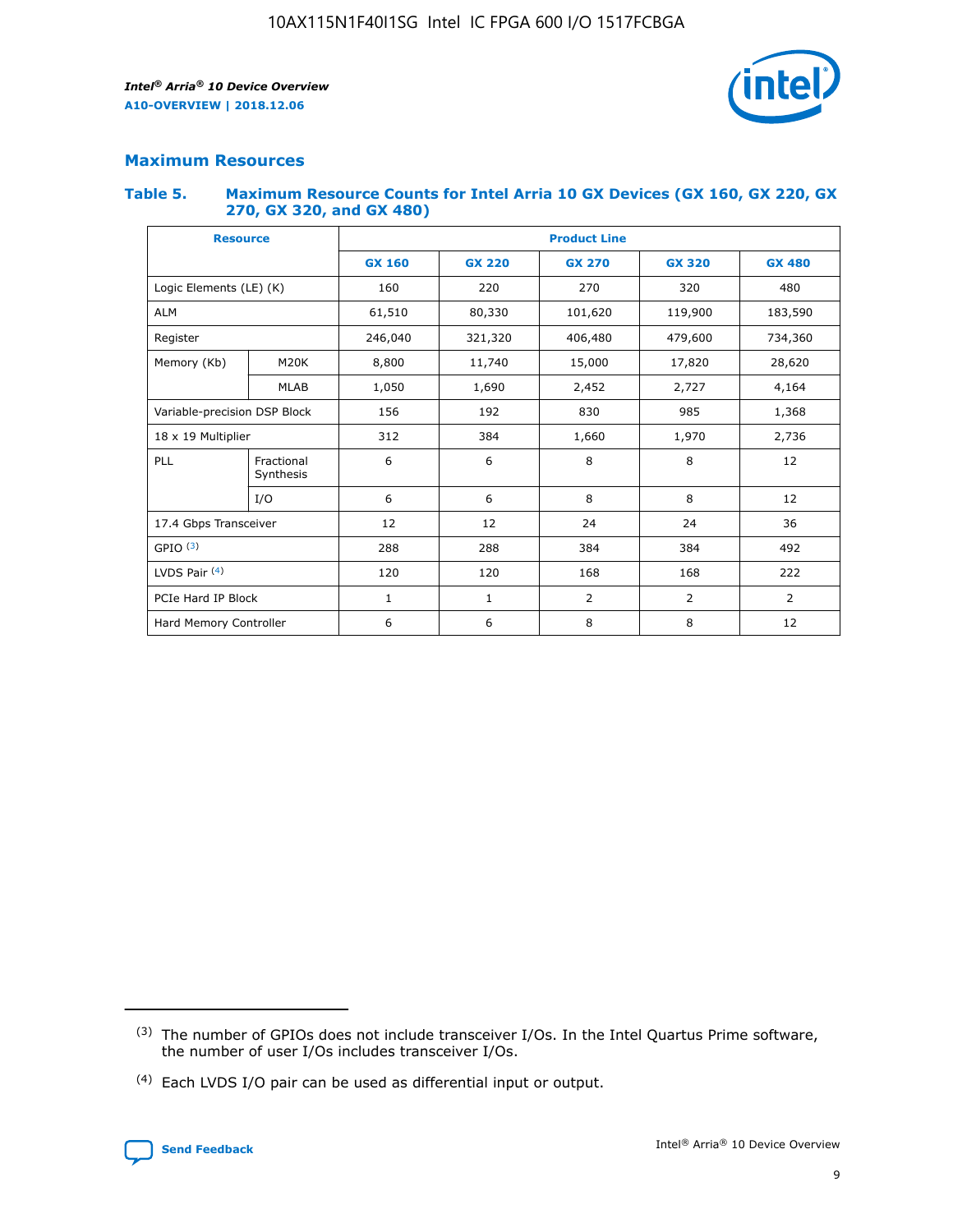

### **Maximum Resources**

#### **Table 5. Maximum Resource Counts for Intel Arria 10 GX Devices (GX 160, GX 220, GX 270, GX 320, and GX 480)**

| <b>Resource</b>              |                         | <b>Product Line</b> |                                                 |                |                |                |  |  |  |
|------------------------------|-------------------------|---------------------|-------------------------------------------------|----------------|----------------|----------------|--|--|--|
|                              |                         | <b>GX 160</b>       | <b>GX 220</b><br><b>GX 270</b><br><b>GX 320</b> |                |                | <b>GX 480</b>  |  |  |  |
| Logic Elements (LE) (K)      |                         | 160                 | 220                                             | 270            | 320            | 480            |  |  |  |
| <b>ALM</b>                   |                         | 61,510              | 80,330                                          | 101,620        | 119,900        | 183,590        |  |  |  |
| Register                     |                         | 246,040             | 406,480<br>321,320                              |                | 479,600        | 734,360        |  |  |  |
| Memory (Kb)                  | M <sub>20</sub> K       | 8,800               | 11,740                                          | 15,000         | 17,820         | 28,620         |  |  |  |
|                              | <b>MLAB</b>             | 1,050               | 1,690                                           | 2,452          | 2,727          | 4,164          |  |  |  |
| Variable-precision DSP Block |                         | 156                 | 192                                             | 830            | 985            | 1,368          |  |  |  |
| 18 x 19 Multiplier           |                         | 312                 | 384                                             | 1,970<br>1,660 |                | 2,736          |  |  |  |
| PLL                          | Fractional<br>Synthesis | 6                   | 6                                               | 8              | 8              | 12             |  |  |  |
|                              | I/O                     | 6                   | 6                                               | 8              | 8              | 12             |  |  |  |
| 17.4 Gbps Transceiver        |                         | 12                  | 12                                              | 24             | 24             | 36             |  |  |  |
| GPIO <sup>(3)</sup>          |                         | 288                 | 288                                             | 384            | 384            | 492            |  |  |  |
| LVDS Pair $(4)$              |                         | 120                 | 120                                             | 168            | 168            | 222            |  |  |  |
| PCIe Hard IP Block           |                         | 1                   | 1                                               | 2              | $\overline{2}$ | $\overline{2}$ |  |  |  |
| Hard Memory Controller       |                         | 6                   | 6                                               | 8              | 8              | 12             |  |  |  |

<sup>(4)</sup> Each LVDS I/O pair can be used as differential input or output.



<sup>(3)</sup> The number of GPIOs does not include transceiver I/Os. In the Intel Quartus Prime software, the number of user I/Os includes transceiver I/Os.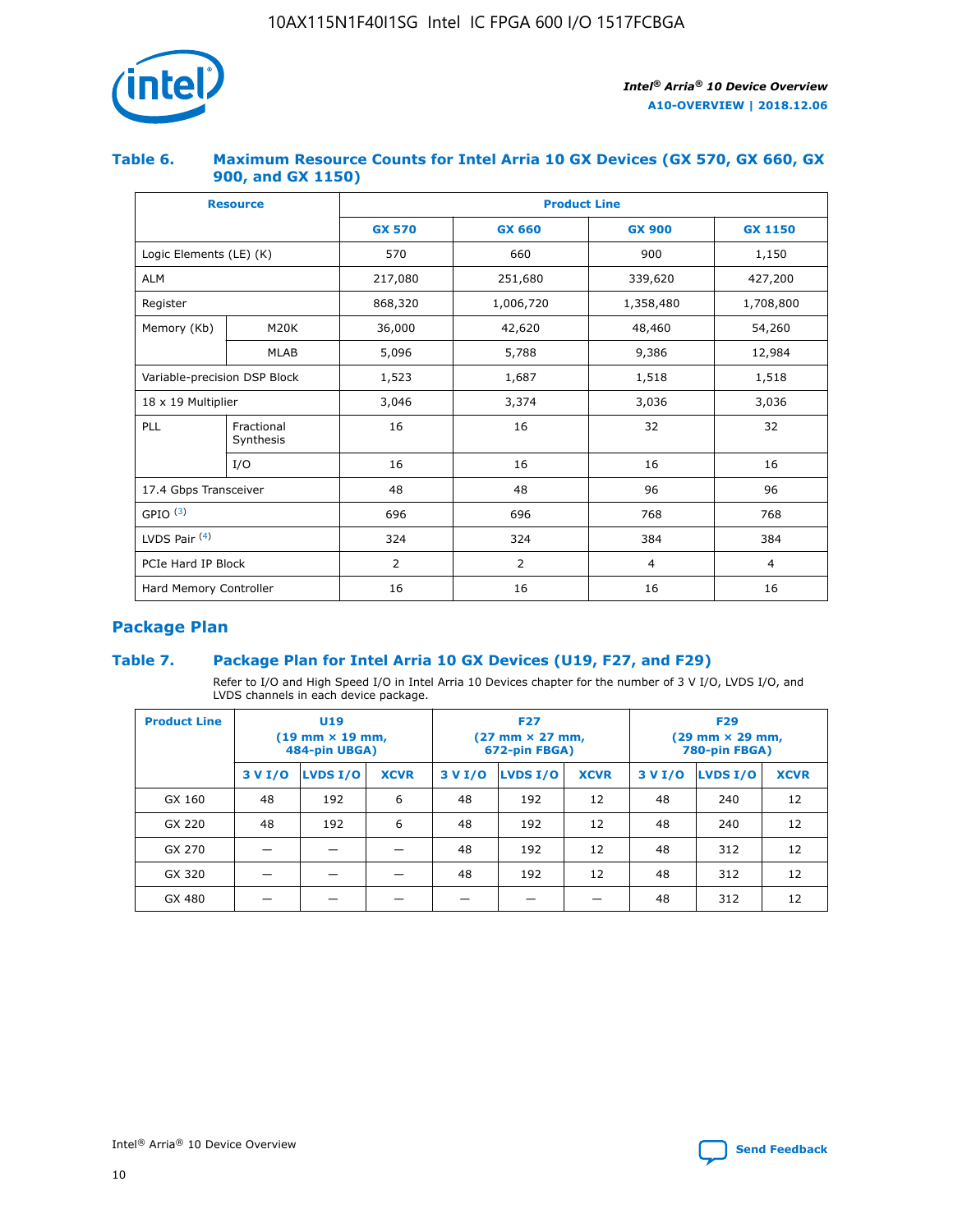

### **Table 6. Maximum Resource Counts for Intel Arria 10 GX Devices (GX 570, GX 660, GX 900, and GX 1150)**

|                              | <b>Resource</b>         | <b>Product Line</b> |                |                |                |  |  |  |
|------------------------------|-------------------------|---------------------|----------------|----------------|----------------|--|--|--|
|                              |                         | <b>GX 570</b>       | <b>GX 660</b>  | <b>GX 900</b>  | <b>GX 1150</b> |  |  |  |
| Logic Elements (LE) (K)      |                         | 570                 | 660            | 900            | 1,150          |  |  |  |
| <b>ALM</b>                   |                         | 217,080             | 251,680        | 339,620        | 427,200        |  |  |  |
| Register                     |                         | 868,320             | 1,006,720      |                | 1,708,800      |  |  |  |
| Memory (Kb)                  | <b>M20K</b>             | 36,000              | 42,620         | 48,460         | 54,260         |  |  |  |
|                              | <b>MLAB</b>             | 5,096               | 5,788          | 9,386          | 12,984         |  |  |  |
| Variable-precision DSP Block |                         | 1,523               | 1,687          | 1,518          | 1,518          |  |  |  |
| $18 \times 19$ Multiplier    |                         | 3,046               | 3,374          | 3,036          | 3,036          |  |  |  |
| PLL                          | Fractional<br>Synthesis | 16                  | 16             | 32             | 32             |  |  |  |
|                              | I/O                     | 16                  | 16             | 16             | 16             |  |  |  |
| 17.4 Gbps Transceiver        |                         | 48                  | 48<br>96       |                | 96             |  |  |  |
| GPIO <sup>(3)</sup>          |                         | 696                 | 696            | 768            | 768            |  |  |  |
| LVDS Pair $(4)$              |                         | 324                 | 324            | 384            | 384            |  |  |  |
| PCIe Hard IP Block           |                         | 2                   | $\overline{2}$ | $\overline{4}$ | 4              |  |  |  |
| Hard Memory Controller       |                         | 16                  | 16             | 16             | 16             |  |  |  |

### **Package Plan**

### **Table 7. Package Plan for Intel Arria 10 GX Devices (U19, F27, and F29)**

Refer to I/O and High Speed I/O in Intel Arria 10 Devices chapter for the number of 3 V I/O, LVDS I/O, and LVDS channels in each device package.

| <b>Product Line</b> | U <sub>19</sub><br>$(19 \text{ mm} \times 19 \text{ mm})$<br>484-pin UBGA) |          |             |         | <b>F27</b><br>(27 mm × 27 mm,<br>672-pin FBGA) |             | <b>F29</b><br>(29 mm × 29 mm,<br>780-pin FBGA) |          |             |  |
|---------------------|----------------------------------------------------------------------------|----------|-------------|---------|------------------------------------------------|-------------|------------------------------------------------|----------|-------------|--|
|                     | 3 V I/O                                                                    | LVDS I/O | <b>XCVR</b> | 3 V I/O | LVDS I/O                                       | <b>XCVR</b> | 3 V I/O                                        | LVDS I/O | <b>XCVR</b> |  |
| GX 160              | 48                                                                         | 192      | 6           | 48      | 192                                            | 12          | 48                                             | 240      | 12          |  |
| GX 220              | 48                                                                         | 192      | 6           | 48      | 192                                            | 12          | 48                                             | 240      | 12          |  |
| GX 270              |                                                                            |          |             | 48      | 192                                            | 12          | 48                                             | 312      | 12          |  |
| GX 320              |                                                                            |          |             | 48      | 192                                            | 12          | 48                                             | 312      | 12          |  |
| GX 480              |                                                                            |          |             |         |                                                |             | 48                                             | 312      | 12          |  |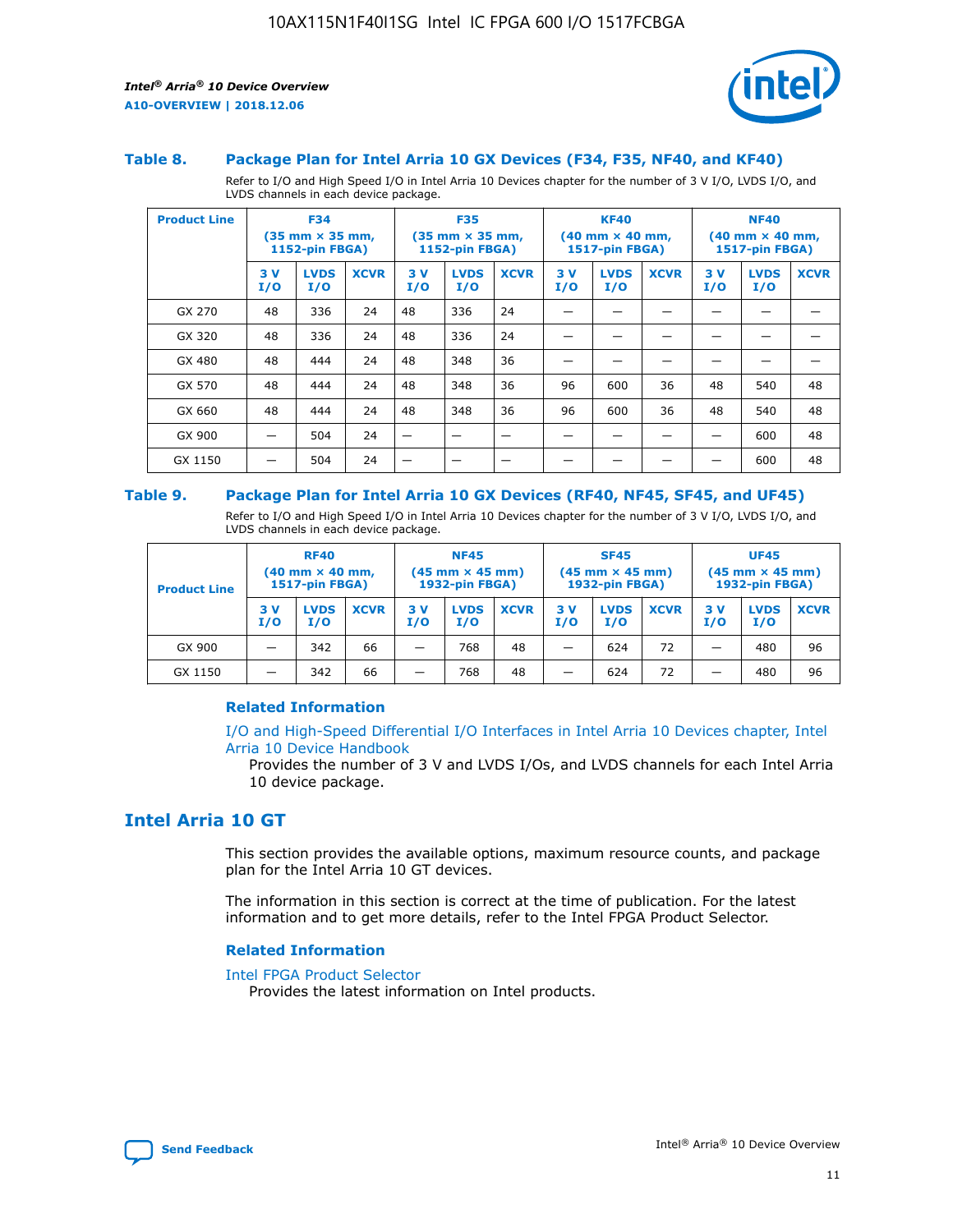

#### **Table 8. Package Plan for Intel Arria 10 GX Devices (F34, F35, NF40, and KF40)**

Refer to I/O and High Speed I/O in Intel Arria 10 Devices chapter for the number of 3 V I/O, LVDS I/O, and LVDS channels in each device package.

| <b>Product Line</b> | <b>F34</b><br>$(35 \text{ mm} \times 35 \text{ mm})$<br>1152-pin FBGA) |                    | <b>F35</b><br>$(35 \text{ mm} \times 35 \text{ mm})$<br><b>1152-pin FBGA)</b> |           | <b>KF40</b><br>$(40$ mm $\times$ 40 mm,<br>1517-pin FBGA) |             |           | <b>NF40</b><br>$(40$ mm $\times$ 40 mm,<br><b>1517-pin FBGA)</b> |             |            |                    |             |
|---------------------|------------------------------------------------------------------------|--------------------|-------------------------------------------------------------------------------|-----------|-----------------------------------------------------------|-------------|-----------|------------------------------------------------------------------|-------------|------------|--------------------|-------------|
|                     | 3V<br>I/O                                                              | <b>LVDS</b><br>I/O | <b>XCVR</b>                                                                   | 3V<br>I/O | <b>LVDS</b><br>I/O                                        | <b>XCVR</b> | 3V<br>I/O | <b>LVDS</b><br>I/O                                               | <b>XCVR</b> | 3 V<br>I/O | <b>LVDS</b><br>I/O | <b>XCVR</b> |
| GX 270              | 48                                                                     | 336                | 24                                                                            | 48        | 336                                                       | 24          |           |                                                                  |             |            |                    |             |
| GX 320              | 48                                                                     | 336                | 24                                                                            | 48        | 336                                                       | 24          |           |                                                                  |             |            |                    |             |
| GX 480              | 48                                                                     | 444                | 24                                                                            | 48        | 348                                                       | 36          |           |                                                                  |             |            |                    |             |
| GX 570              | 48                                                                     | 444                | 24                                                                            | 48        | 348                                                       | 36          | 96        | 600                                                              | 36          | 48         | 540                | 48          |
| GX 660              | 48                                                                     | 444                | 24                                                                            | 48        | 348                                                       | 36          | 96        | 600                                                              | 36          | 48         | 540                | 48          |
| GX 900              |                                                                        | 504                | 24                                                                            | -         |                                                           |             |           |                                                                  |             |            | 600                | 48          |
| GX 1150             |                                                                        | 504                | 24                                                                            |           |                                                           |             |           |                                                                  |             |            | 600                | 48          |

#### **Table 9. Package Plan for Intel Arria 10 GX Devices (RF40, NF45, SF45, and UF45)**

Refer to I/O and High Speed I/O in Intel Arria 10 Devices chapter for the number of 3 V I/O, LVDS I/O, and LVDS channels in each device package.

| <b>Product Line</b> | <b>RF40</b><br>$(40$ mm $\times$ 40 mm,<br>1517-pin FBGA) |                    | <b>NF45</b><br>$(45 \text{ mm} \times 45 \text{ mm})$<br><b>1932-pin FBGA)</b> |            |                    | <b>SF45</b><br>$(45 \text{ mm} \times 45 \text{ mm})$<br><b>1932-pin FBGA)</b> |            |                    | <b>UF45</b><br>$(45 \text{ mm} \times 45 \text{ mm})$<br><b>1932-pin FBGA)</b> |           |                    |             |
|---------------------|-----------------------------------------------------------|--------------------|--------------------------------------------------------------------------------|------------|--------------------|--------------------------------------------------------------------------------|------------|--------------------|--------------------------------------------------------------------------------|-----------|--------------------|-------------|
|                     | 3V<br>I/O                                                 | <b>LVDS</b><br>I/O | <b>XCVR</b>                                                                    | 3 V<br>I/O | <b>LVDS</b><br>I/O | <b>XCVR</b>                                                                    | 3 V<br>I/O | <b>LVDS</b><br>I/O | <b>XCVR</b>                                                                    | 3V<br>I/O | <b>LVDS</b><br>I/O | <b>XCVR</b> |
| GX 900              |                                                           | 342                | 66                                                                             | _          | 768                | 48                                                                             |            | 624                | 72                                                                             |           | 480                | 96          |
| GX 1150             |                                                           | 342                | 66                                                                             | _          | 768                | 48                                                                             |            | 624                | 72                                                                             |           | 480                | 96          |

### **Related Information**

[I/O and High-Speed Differential I/O Interfaces in Intel Arria 10 Devices chapter, Intel](https://www.intel.com/content/www/us/en/programmable/documentation/sam1403482614086.html#sam1403482030321) [Arria 10 Device Handbook](https://www.intel.com/content/www/us/en/programmable/documentation/sam1403482614086.html#sam1403482030321)

Provides the number of 3 V and LVDS I/Os, and LVDS channels for each Intel Arria 10 device package.

### **Intel Arria 10 GT**

This section provides the available options, maximum resource counts, and package plan for the Intel Arria 10 GT devices.

The information in this section is correct at the time of publication. For the latest information and to get more details, refer to the Intel FPGA Product Selector.

#### **Related Information**

#### [Intel FPGA Product Selector](http://www.altera.com/products/selector/psg-selector.html)

Provides the latest information on Intel products.

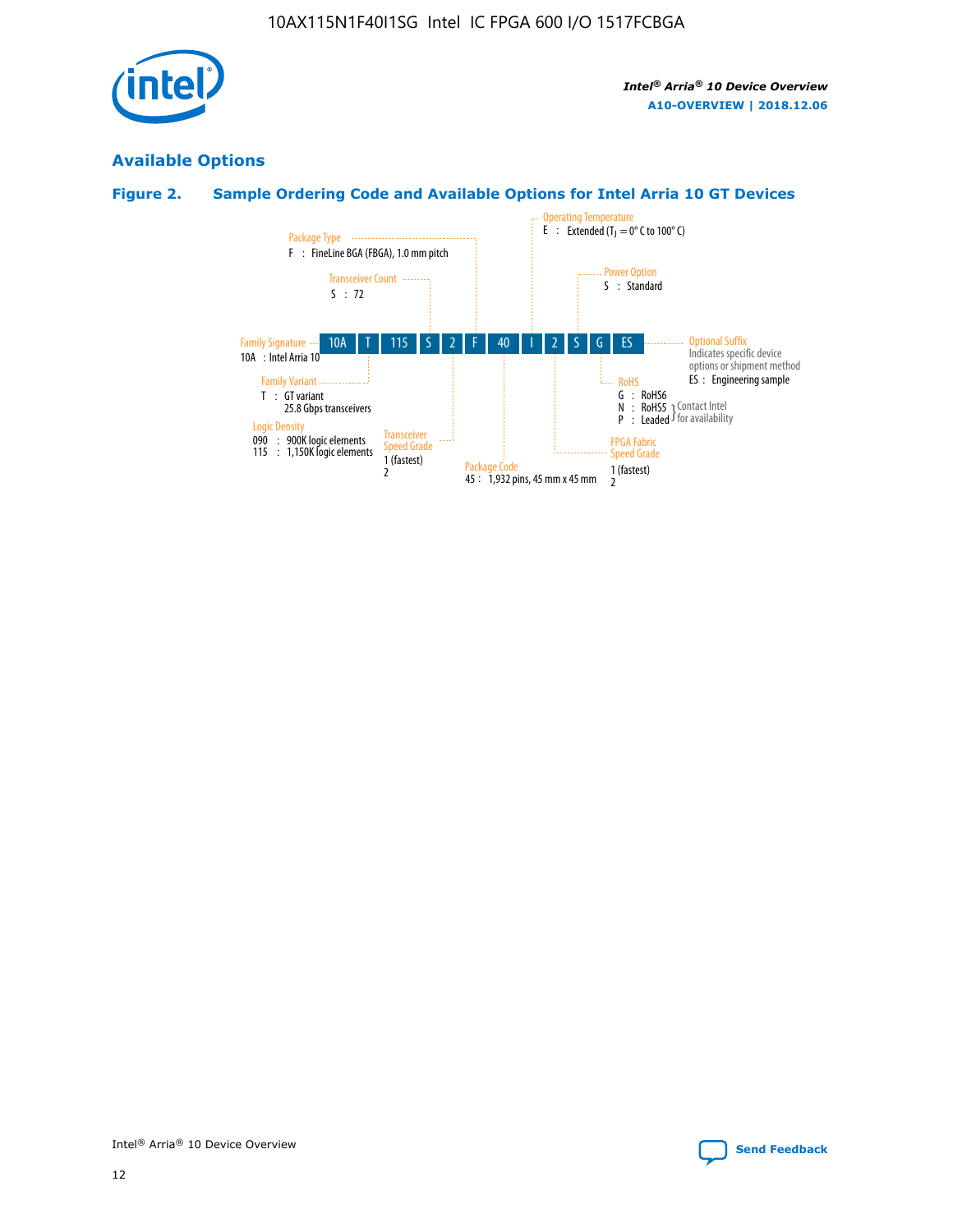

### **Available Options**

### **Figure 2. Sample Ordering Code and Available Options for Intel Arria 10 GT Devices**

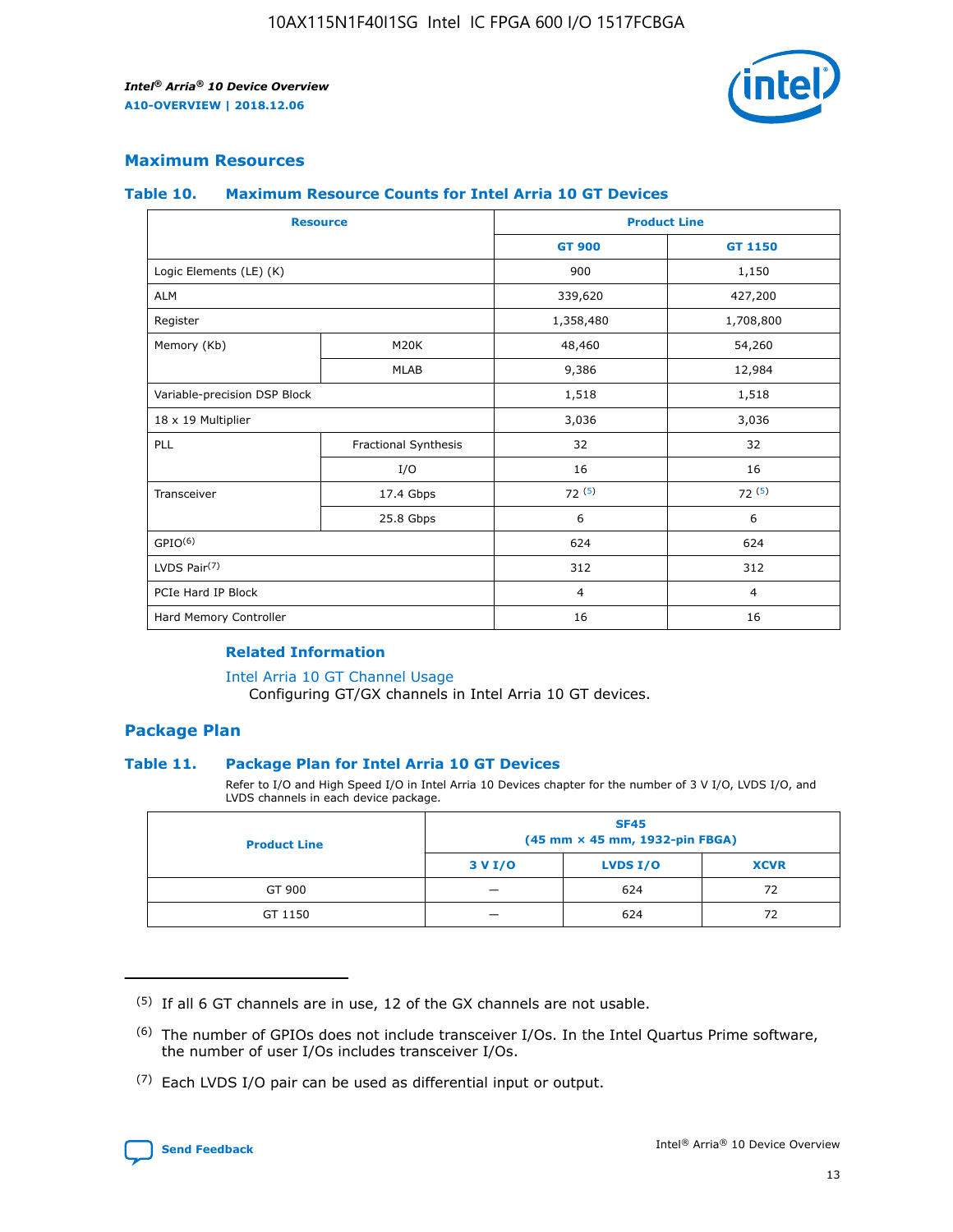

### **Maximum Resources**

#### **Table 10. Maximum Resource Counts for Intel Arria 10 GT Devices**

| <b>Resource</b>              |                      |                | <b>Product Line</b> |  |
|------------------------------|----------------------|----------------|---------------------|--|
|                              |                      | <b>GT 900</b>  | GT 1150             |  |
| Logic Elements (LE) (K)      |                      | 900            | 1,150               |  |
| <b>ALM</b>                   |                      | 339,620        | 427,200             |  |
| Register                     |                      | 1,358,480      | 1,708,800           |  |
| Memory (Kb)                  | M <sub>20</sub> K    | 48,460         | 54,260              |  |
|                              | <b>MLAB</b>          | 9,386          | 12,984              |  |
| Variable-precision DSP Block |                      | 1,518          | 1,518               |  |
| 18 x 19 Multiplier           |                      | 3,036          | 3,036               |  |
| PLL                          | Fractional Synthesis | 32             | 32                  |  |
|                              | I/O                  | 16             | 16                  |  |
| Transceiver                  | 17.4 Gbps            | 72(5)          | 72(5)               |  |
|                              | 25.8 Gbps            | 6              | 6                   |  |
| GPIO <sup>(6)</sup>          |                      | 624            | 624                 |  |
| LVDS Pair $(7)$              |                      | 312            | 312                 |  |
| PCIe Hard IP Block           |                      | $\overline{4}$ | $\overline{4}$      |  |
| Hard Memory Controller       |                      | 16             | 16                  |  |

#### **Related Information**

#### [Intel Arria 10 GT Channel Usage](https://www.intel.com/content/www/us/en/programmable/documentation/nik1398707230472.html#nik1398707008178)

Configuring GT/GX channels in Intel Arria 10 GT devices.

### **Package Plan**

### **Table 11. Package Plan for Intel Arria 10 GT Devices**

Refer to I/O and High Speed I/O in Intel Arria 10 Devices chapter for the number of 3 V I/O, LVDS I/O, and LVDS channels in each device package.

| <b>Product Line</b> | <b>SF45</b><br>(45 mm × 45 mm, 1932-pin FBGA) |                 |             |  |  |  |
|---------------------|-----------------------------------------------|-----------------|-------------|--|--|--|
|                     | 3 V I/O                                       | <b>LVDS I/O</b> | <b>XCVR</b> |  |  |  |
| GT 900              |                                               | 624             | 72          |  |  |  |
| GT 1150             |                                               | 624             | 72          |  |  |  |

<sup>(7)</sup> Each LVDS I/O pair can be used as differential input or output.



 $(5)$  If all 6 GT channels are in use, 12 of the GX channels are not usable.

<sup>(6)</sup> The number of GPIOs does not include transceiver I/Os. In the Intel Quartus Prime software, the number of user I/Os includes transceiver I/Os.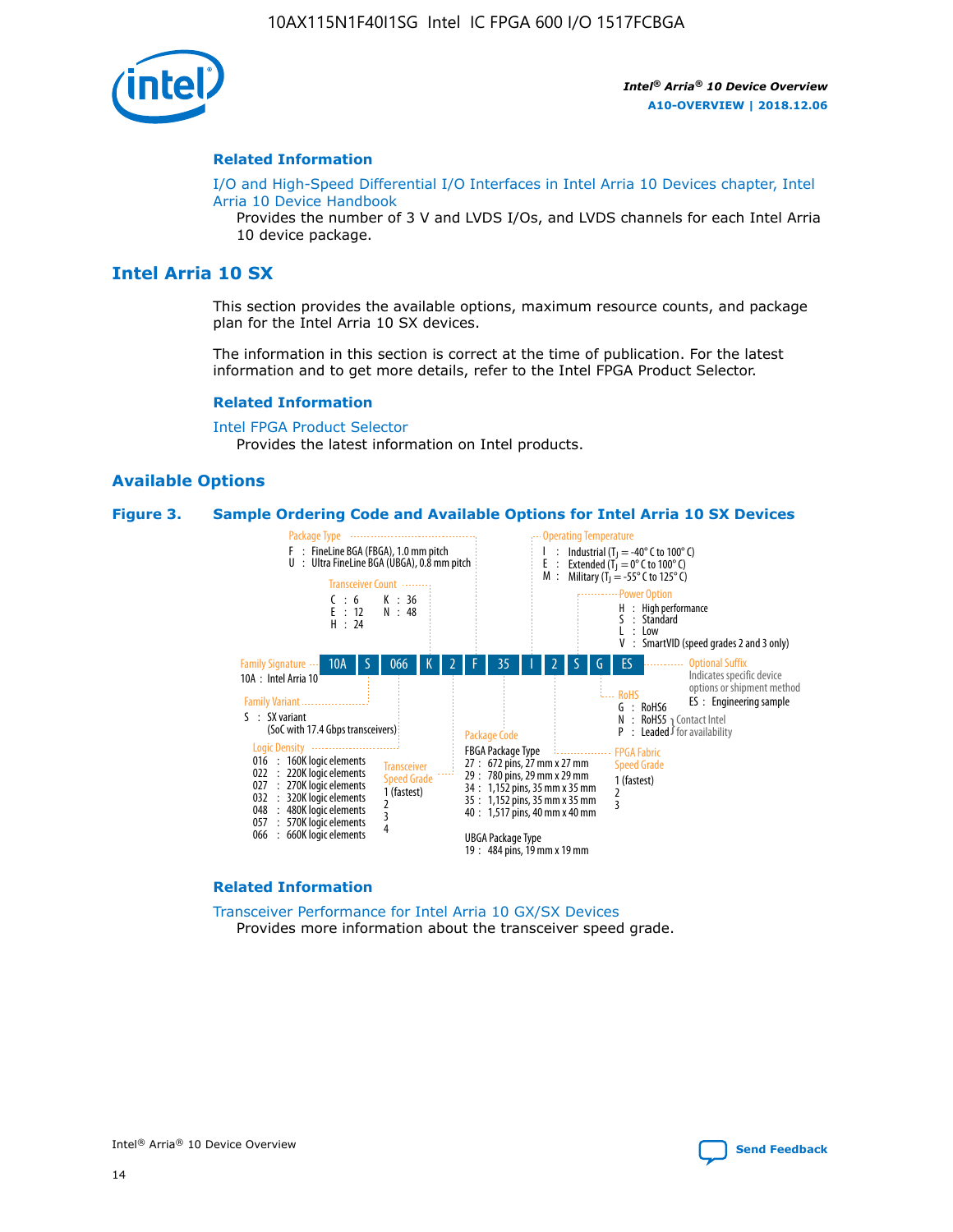

#### **Related Information**

[I/O and High-Speed Differential I/O Interfaces in Intel Arria 10 Devices chapter, Intel](https://www.intel.com/content/www/us/en/programmable/documentation/sam1403482614086.html#sam1403482030321) [Arria 10 Device Handbook](https://www.intel.com/content/www/us/en/programmable/documentation/sam1403482614086.html#sam1403482030321)

Provides the number of 3 V and LVDS I/Os, and LVDS channels for each Intel Arria 10 device package.

### **Intel Arria 10 SX**

This section provides the available options, maximum resource counts, and package plan for the Intel Arria 10 SX devices.

The information in this section is correct at the time of publication. For the latest information and to get more details, refer to the Intel FPGA Product Selector.

#### **Related Information**

[Intel FPGA Product Selector](http://www.altera.com/products/selector/psg-selector.html) Provides the latest information on Intel products.

#### **Available Options**

#### **Figure 3. Sample Ordering Code and Available Options for Intel Arria 10 SX Devices**



#### **Related Information**

[Transceiver Performance for Intel Arria 10 GX/SX Devices](https://www.intel.com/content/www/us/en/programmable/documentation/mcn1413182292568.html#mcn1413213965502) Provides more information about the transceiver speed grade.

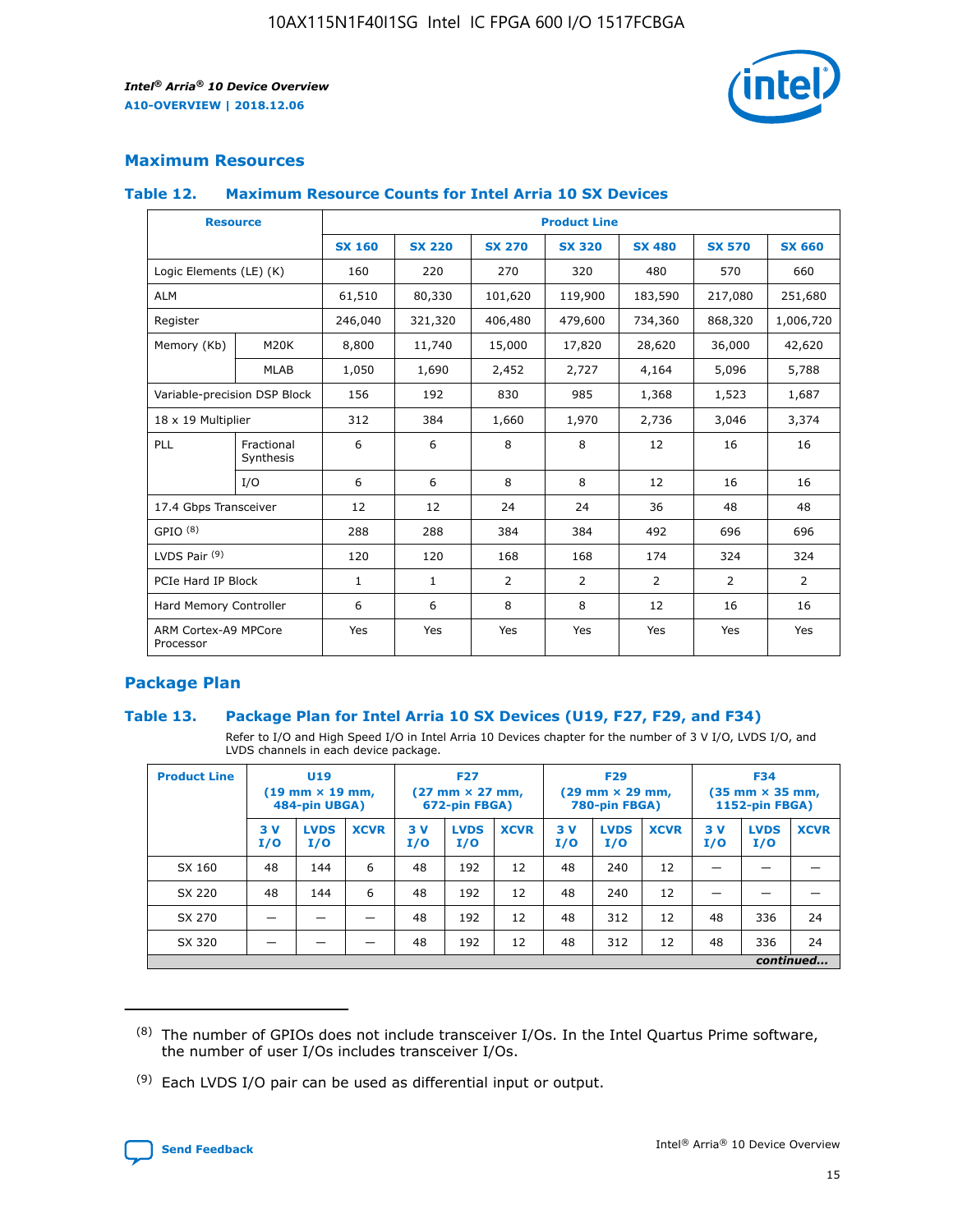

### **Maximum Resources**

### **Table 12. Maximum Resource Counts for Intel Arria 10 SX Devices**

| <b>Resource</b>                   |                         |               |               |                | <b>Product Line</b> |                |                |               |
|-----------------------------------|-------------------------|---------------|---------------|----------------|---------------------|----------------|----------------|---------------|
|                                   |                         | <b>SX 160</b> | <b>SX 220</b> | <b>SX 270</b>  | <b>SX 320</b>       | <b>SX 480</b>  | <b>SX 570</b>  | <b>SX 660</b> |
| Logic Elements (LE) (K)           |                         | 160           | 220           | 270            | 320                 | 480            | 570            | 660           |
| <b>ALM</b>                        |                         | 61,510        | 80,330        | 101,620        | 119,900             | 183,590        | 217,080        | 251,680       |
| Register                          |                         | 246,040       | 321,320       | 406,480        | 479,600             | 734,360        | 868,320        | 1,006,720     |
| Memory (Kb)                       | M20K                    | 8,800         | 11,740        | 15,000         | 17,820              | 28,620         | 36,000         | 42,620        |
|                                   | <b>MLAB</b>             | 1,050         | 1,690         | 2,452          | 2,727               | 4,164          | 5,096          | 5,788         |
| Variable-precision DSP Block      |                         | 156           | 192           | 830            | 985                 | 1,368          | 1,523          | 1,687         |
| 18 x 19 Multiplier                |                         | 312           | 384           | 1,660          | 1,970               | 2,736          | 3,046          | 3,374         |
| PLL                               | Fractional<br>Synthesis | 6             | 6             | 8              | 8                   | 12             | 16             | 16            |
|                                   | I/O                     | 6             | 6             | 8              | 8                   | 12             | 16             | 16            |
| 17.4 Gbps Transceiver             |                         | 12            | 12            | 24             | 24                  | 36             | 48             | 48            |
| GPIO <sup>(8)</sup>               |                         | 288           | 288           | 384            | 384                 | 492            | 696            | 696           |
| LVDS Pair $(9)$                   |                         | 120           | 120           | 168            | 168                 | 174            | 324            | 324           |
| PCIe Hard IP Block                |                         | $\mathbf{1}$  | $\mathbf{1}$  | $\overline{2}$ | $\overline{2}$      | $\overline{2}$ | $\overline{2}$ | 2             |
| Hard Memory Controller            |                         | 6             | 6             | 8              | 8                   | 12             | 16             | 16            |
| ARM Cortex-A9 MPCore<br>Processor |                         | Yes           | Yes           | Yes            | Yes                 | Yes            | Yes            | <b>Yes</b>    |

### **Package Plan**

### **Table 13. Package Plan for Intel Arria 10 SX Devices (U19, F27, F29, and F34)**

Refer to I/O and High Speed I/O in Intel Arria 10 Devices chapter for the number of 3 V I/O, LVDS I/O, and LVDS channels in each device package.

| <b>Product Line</b> | U19<br>$(19 \text{ mm} \times 19 \text{ mm})$<br>484-pin UBGA) |                    | <b>F27</b><br>$(27 \text{ mm} \times 27 \text{ mm})$<br>672-pin FBGA) |           | <b>F29</b><br>$(29 \text{ mm} \times 29 \text{ mm})$<br>780-pin FBGA) |             |            | <b>F34</b><br>$(35 \text{ mm} \times 35 \text{ mm})$<br><b>1152-pin FBGA)</b> |             |           |                    |             |
|---------------------|----------------------------------------------------------------|--------------------|-----------------------------------------------------------------------|-----------|-----------------------------------------------------------------------|-------------|------------|-------------------------------------------------------------------------------|-------------|-----------|--------------------|-------------|
|                     | 3V<br>I/O                                                      | <b>LVDS</b><br>I/O | <b>XCVR</b>                                                           | 3V<br>I/O | <b>LVDS</b><br>I/O                                                    | <b>XCVR</b> | 3 V<br>I/O | <b>LVDS</b><br>I/O                                                            | <b>XCVR</b> | 3V<br>I/O | <b>LVDS</b><br>I/O | <b>XCVR</b> |
| SX 160              | 48                                                             | 144                | 6                                                                     | 48        | 192                                                                   | 12          | 48         | 240                                                                           | 12          | –         |                    |             |
| SX 220              | 48                                                             | 144                | 6                                                                     | 48        | 192                                                                   | 12          | 48         | 240                                                                           | 12          |           |                    |             |
| SX 270              |                                                                |                    |                                                                       | 48        | 192                                                                   | 12          | 48         | 312                                                                           | 12          | 48        | 336                | 24          |
| SX 320              |                                                                |                    |                                                                       | 48        | 192                                                                   | 12          | 48         | 312                                                                           | 12          | 48        | 336                | 24          |
|                     | continued                                                      |                    |                                                                       |           |                                                                       |             |            |                                                                               |             |           |                    |             |

 $(8)$  The number of GPIOs does not include transceiver I/Os. In the Intel Quartus Prime software, the number of user I/Os includes transceiver I/Os.

 $(9)$  Each LVDS I/O pair can be used as differential input or output.

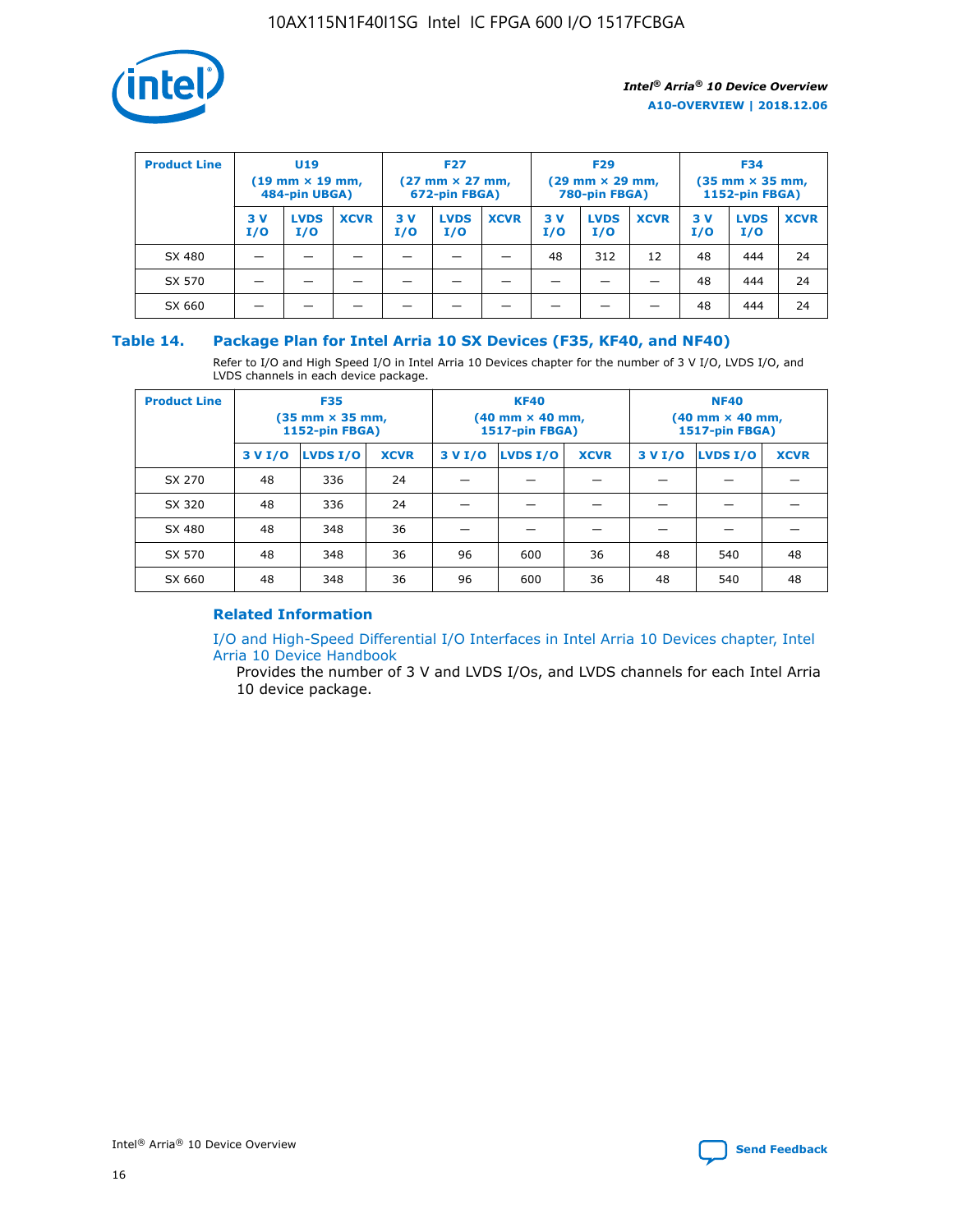

| <b>Product Line</b> | U <sub>19</sub><br>$(19 \text{ mm} \times 19 \text{ mm})$<br>484-pin UBGA) |                    | <b>F27</b><br>$(27 \text{ mm} \times 27 \text{ mm})$<br>672-pin FBGA) |           | <b>F29</b><br>$(29$ mm $\times$ 29 mm,<br>780-pin FBGA) |             |           | <b>F34</b><br>$(35$ mm $\times$ 35 mm,<br><b>1152-pin FBGA)</b> |             |            |                    |             |
|---------------------|----------------------------------------------------------------------------|--------------------|-----------------------------------------------------------------------|-----------|---------------------------------------------------------|-------------|-----------|-----------------------------------------------------------------|-------------|------------|--------------------|-------------|
|                     | 3 V<br>I/O                                                                 | <b>LVDS</b><br>I/O | <b>XCVR</b>                                                           | 3V<br>I/O | <b>LVDS</b><br>I/O                                      | <b>XCVR</b> | 3V<br>I/O | <b>LVDS</b><br>I/O                                              | <b>XCVR</b> | 3 V<br>I/O | <b>LVDS</b><br>I/O | <b>XCVR</b> |
| SX 480              |                                                                            |                    |                                                                       |           |                                                         |             | 48        | 312                                                             | 12          | 48         | 444                | 24          |
| SX 570              |                                                                            |                    |                                                                       |           |                                                         |             |           |                                                                 |             | 48         | 444                | 24          |
| SX 660              |                                                                            |                    |                                                                       |           |                                                         |             |           |                                                                 |             | 48         | 444                | 24          |

### **Table 14. Package Plan for Intel Arria 10 SX Devices (F35, KF40, and NF40)**

Refer to I/O and High Speed I/O in Intel Arria 10 Devices chapter for the number of 3 V I/O, LVDS I/O, and LVDS channels in each device package.

| <b>Product Line</b> | <b>F35</b><br>$(35 \text{ mm} \times 35 \text{ mm})$<br><b>1152-pin FBGA)</b> |          |             |                                           | <b>KF40</b><br>(40 mm × 40 mm,<br>1517-pin FBGA) |    | <b>NF40</b><br>$(40 \text{ mm} \times 40 \text{ mm})$<br>1517-pin FBGA) |          |             |  |
|---------------------|-------------------------------------------------------------------------------|----------|-------------|-------------------------------------------|--------------------------------------------------|----|-------------------------------------------------------------------------|----------|-------------|--|
|                     | 3 V I/O                                                                       | LVDS I/O | <b>XCVR</b> | <b>LVDS I/O</b><br><b>XCVR</b><br>3 V I/O |                                                  |    | 3 V I/O                                                                 | LVDS I/O | <b>XCVR</b> |  |
| SX 270              | 48                                                                            | 336      | 24          |                                           |                                                  |    |                                                                         |          |             |  |
| SX 320              | 48                                                                            | 336      | 24          |                                           |                                                  |    |                                                                         |          |             |  |
| SX 480              | 48                                                                            | 348      | 36          |                                           |                                                  |    |                                                                         |          |             |  |
| SX 570              | 48                                                                            | 348      | 36          | 96                                        | 600                                              | 36 | 48                                                                      | 540      | 48          |  |
| SX 660              | 48                                                                            | 348      | 36          | 96                                        | 600                                              | 36 | 48                                                                      | 540      | 48          |  |

### **Related Information**

[I/O and High-Speed Differential I/O Interfaces in Intel Arria 10 Devices chapter, Intel](https://www.intel.com/content/www/us/en/programmable/documentation/sam1403482614086.html#sam1403482030321) [Arria 10 Device Handbook](https://www.intel.com/content/www/us/en/programmable/documentation/sam1403482614086.html#sam1403482030321)

Provides the number of 3 V and LVDS I/Os, and LVDS channels for each Intel Arria 10 device package.

Intel<sup>®</sup> Arria<sup>®</sup> 10 Device Overview **[Send Feedback](mailto:FPGAtechdocfeedback@intel.com?subject=Feedback%20on%20Intel%20Arria%2010%20Device%20Overview%20(A10-OVERVIEW%202018.12.06)&body=We%20appreciate%20your%20feedback.%20In%20your%20comments,%20also%20specify%20the%20page%20number%20or%20paragraph.%20Thank%20you.)** Send Feedback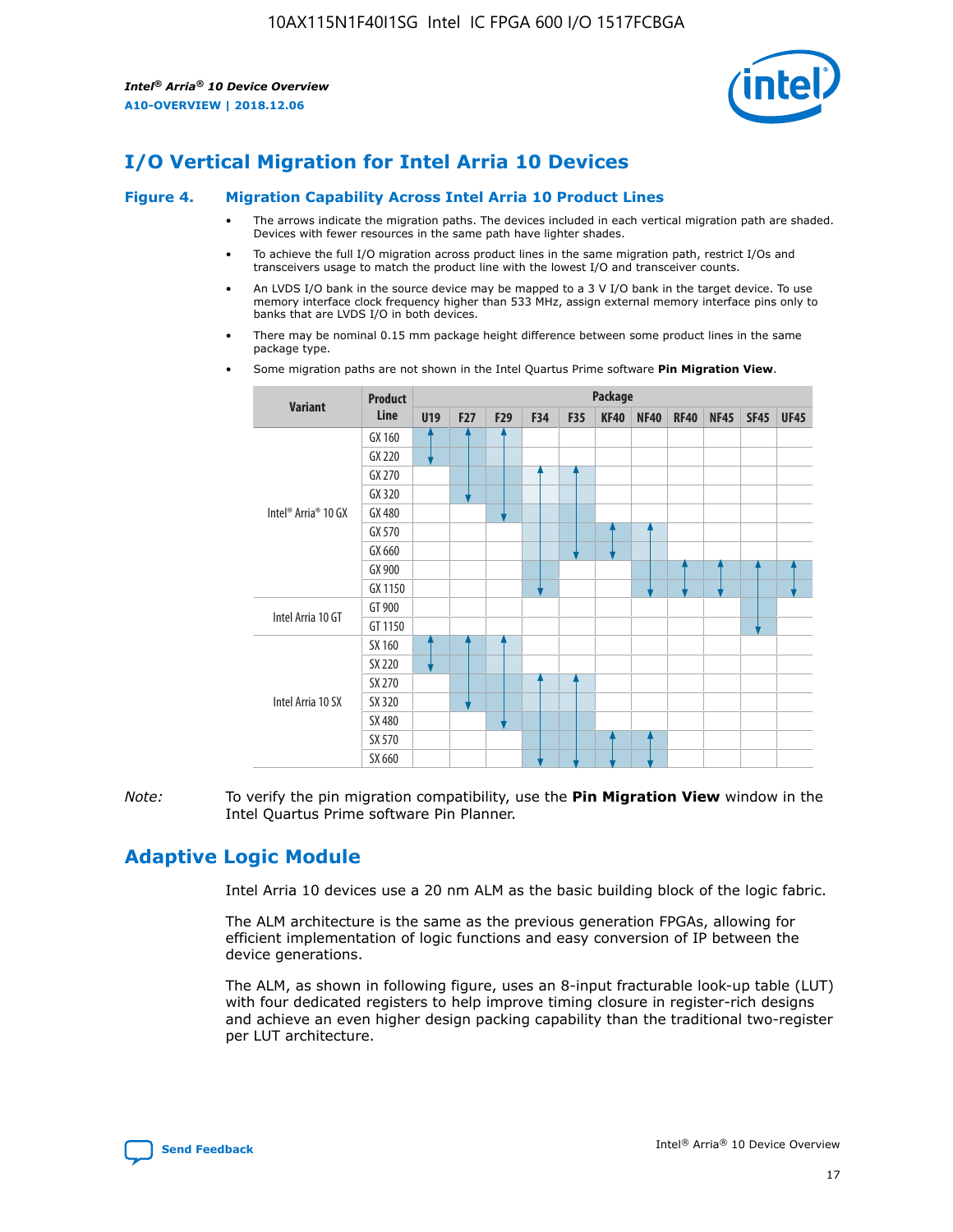

### **I/O Vertical Migration for Intel Arria 10 Devices**

#### **Figure 4. Migration Capability Across Intel Arria 10 Product Lines**

- The arrows indicate the migration paths. The devices included in each vertical migration path are shaded. Devices with fewer resources in the same path have lighter shades.
- To achieve the full I/O migration across product lines in the same migration path, restrict I/Os and transceivers usage to match the product line with the lowest I/O and transceiver counts.
- An LVDS I/O bank in the source device may be mapped to a 3 V I/O bank in the target device. To use memory interface clock frequency higher than 533 MHz, assign external memory interface pins only to banks that are LVDS I/O in both devices.
- There may be nominal 0.15 mm package height difference between some product lines in the same package type.
	- **Variant Product Line Package U19 F27 F29 F34 F35 KF40 NF40 RF40 NF45 SF45 UF45** Intel® Arria® 10 GX GX 160 GX 220 GX 270 GX 320 GX 480 GX 570 GX 660 GX 900 GX 1150 Intel Arria 10 GT GT 900 GT 1150 Intel Arria 10 SX SX 160 SX 220 SX 270 SX 320 SX 480 SX 570 SX 660
- Some migration paths are not shown in the Intel Quartus Prime software **Pin Migration View**.

*Note:* To verify the pin migration compatibility, use the **Pin Migration View** window in the Intel Quartus Prime software Pin Planner.

### **Adaptive Logic Module**

Intel Arria 10 devices use a 20 nm ALM as the basic building block of the logic fabric.

The ALM architecture is the same as the previous generation FPGAs, allowing for efficient implementation of logic functions and easy conversion of IP between the device generations.

The ALM, as shown in following figure, uses an 8-input fracturable look-up table (LUT) with four dedicated registers to help improve timing closure in register-rich designs and achieve an even higher design packing capability than the traditional two-register per LUT architecture.

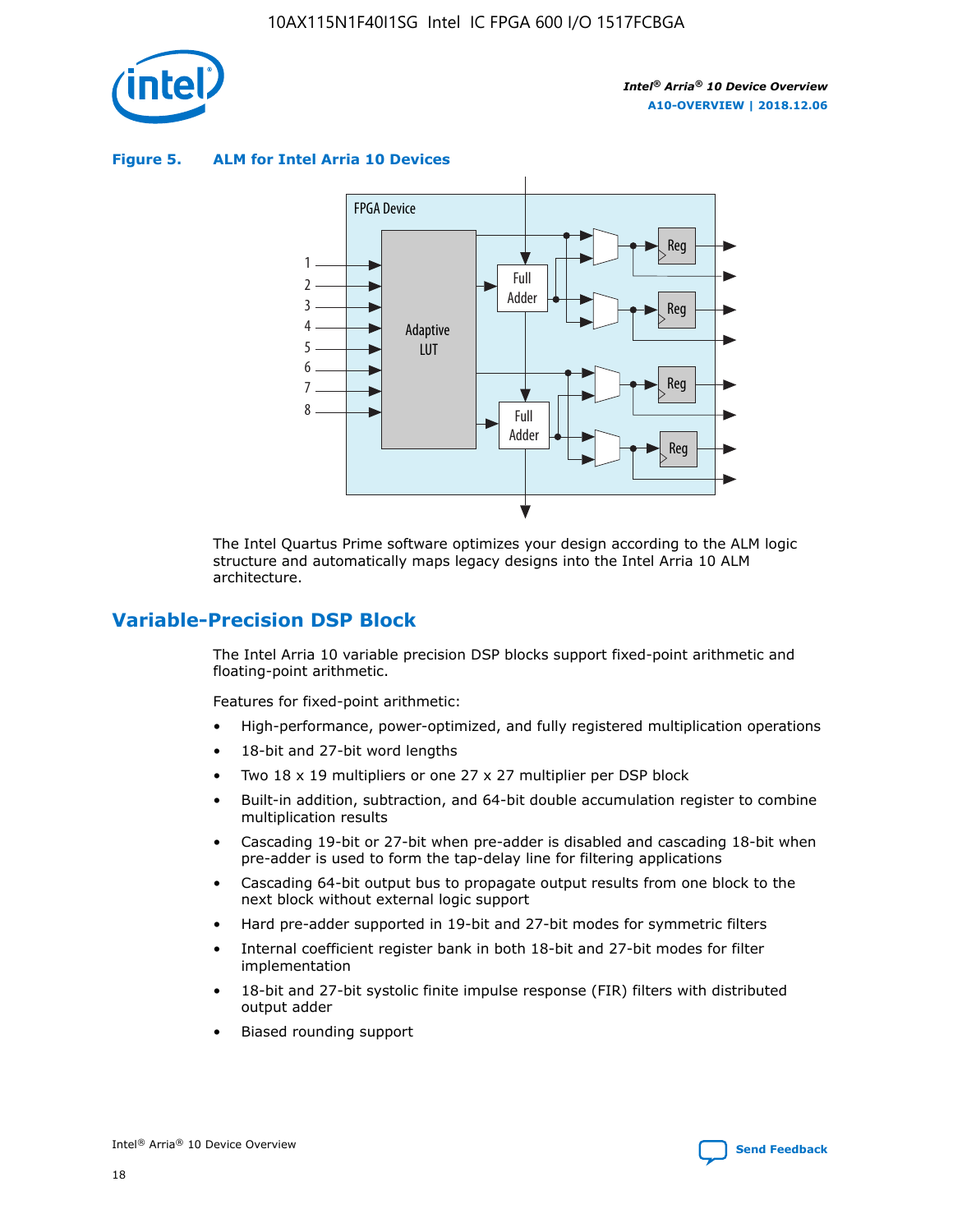

**Figure 5. ALM for Intel Arria 10 Devices**



The Intel Quartus Prime software optimizes your design according to the ALM logic structure and automatically maps legacy designs into the Intel Arria 10 ALM architecture.

### **Variable-Precision DSP Block**

The Intel Arria 10 variable precision DSP blocks support fixed-point arithmetic and floating-point arithmetic.

Features for fixed-point arithmetic:

- High-performance, power-optimized, and fully registered multiplication operations
- 18-bit and 27-bit word lengths
- Two 18 x 19 multipliers or one 27 x 27 multiplier per DSP block
- Built-in addition, subtraction, and 64-bit double accumulation register to combine multiplication results
- Cascading 19-bit or 27-bit when pre-adder is disabled and cascading 18-bit when pre-adder is used to form the tap-delay line for filtering applications
- Cascading 64-bit output bus to propagate output results from one block to the next block without external logic support
- Hard pre-adder supported in 19-bit and 27-bit modes for symmetric filters
- Internal coefficient register bank in both 18-bit and 27-bit modes for filter implementation
- 18-bit and 27-bit systolic finite impulse response (FIR) filters with distributed output adder
- Biased rounding support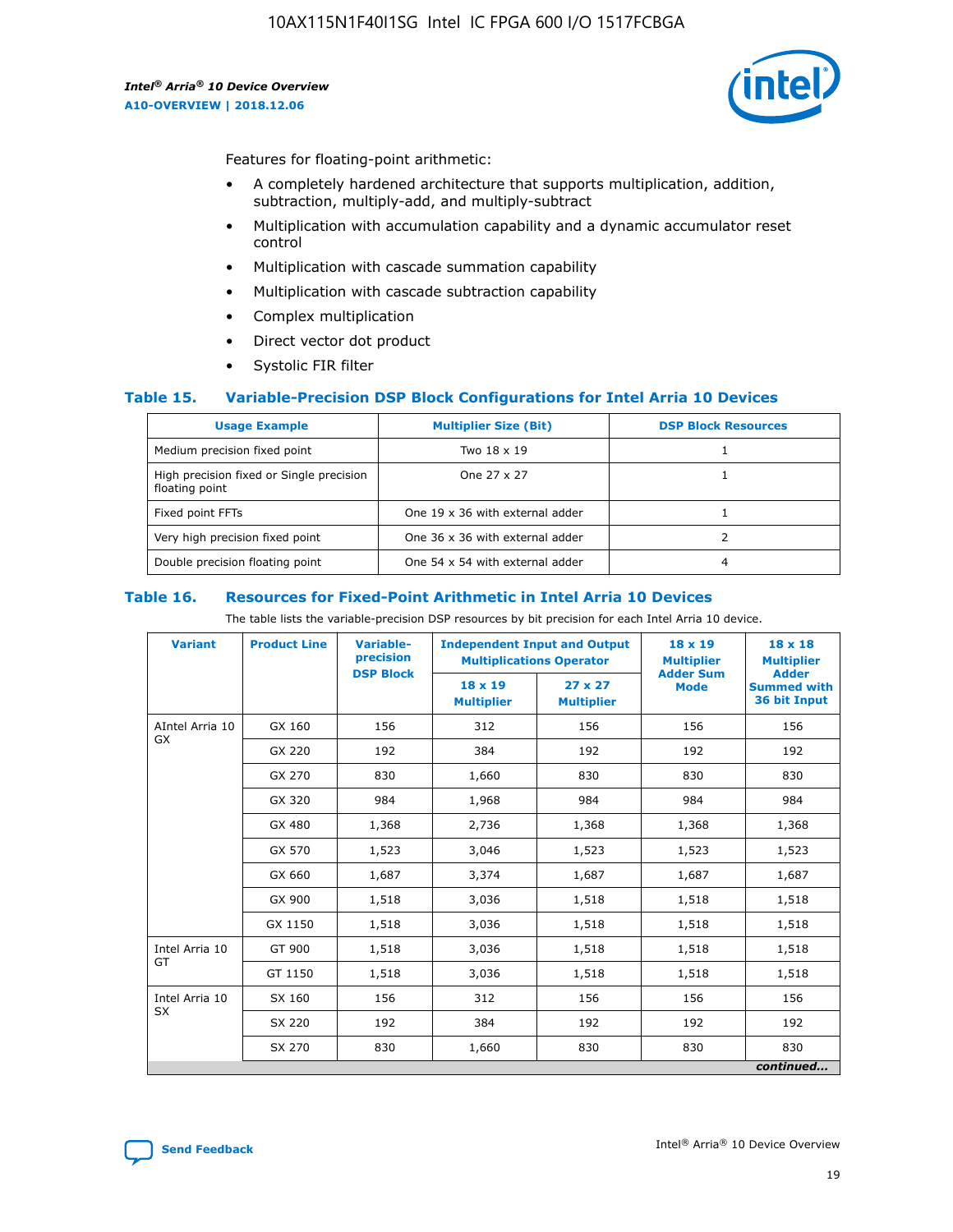

Features for floating-point arithmetic:

- A completely hardened architecture that supports multiplication, addition, subtraction, multiply-add, and multiply-subtract
- Multiplication with accumulation capability and a dynamic accumulator reset control
- Multiplication with cascade summation capability
- Multiplication with cascade subtraction capability
- Complex multiplication
- Direct vector dot product
- Systolic FIR filter

### **Table 15. Variable-Precision DSP Block Configurations for Intel Arria 10 Devices**

| <b>Usage Example</b>                                       | <b>Multiplier Size (Bit)</b>    | <b>DSP Block Resources</b> |
|------------------------------------------------------------|---------------------------------|----------------------------|
| Medium precision fixed point                               | Two 18 x 19                     |                            |
| High precision fixed or Single precision<br>floating point | One 27 x 27                     |                            |
| Fixed point FFTs                                           | One 19 x 36 with external adder |                            |
| Very high precision fixed point                            | One 36 x 36 with external adder |                            |
| Double precision floating point                            | One 54 x 54 with external adder | 4                          |

#### **Table 16. Resources for Fixed-Point Arithmetic in Intel Arria 10 Devices**

The table lists the variable-precision DSP resources by bit precision for each Intel Arria 10 device.

| <b>Variant</b>  | <b>Product Line</b> | <b>Variable-</b><br>precision<br><b>DSP Block</b> | <b>Independent Input and Output</b><br><b>Multiplications Operator</b> |                                     | 18 x 19<br><b>Multiplier</b><br><b>Adder Sum</b> | $18 \times 18$<br><b>Multiplier</b><br><b>Adder</b> |
|-----------------|---------------------|---------------------------------------------------|------------------------------------------------------------------------|-------------------------------------|--------------------------------------------------|-----------------------------------------------------|
|                 |                     |                                                   | 18 x 19<br><b>Multiplier</b>                                           | $27 \times 27$<br><b>Multiplier</b> | <b>Mode</b>                                      | <b>Summed with</b><br>36 bit Input                  |
| AIntel Arria 10 | GX 160              | 156                                               | 312                                                                    | 156                                 | 156                                              | 156                                                 |
| GX              | GX 220              | 192                                               | 384                                                                    | 192                                 | 192                                              | 192                                                 |
|                 | GX 270              | 830                                               | 1,660                                                                  | 830                                 | 830                                              | 830                                                 |
|                 | GX 320              | 984                                               | 1,968                                                                  | 984                                 | 984                                              | 984                                                 |
|                 | GX 480              | 1,368                                             | 2,736                                                                  | 1,368                               | 1,368                                            | 1,368                                               |
|                 | GX 570              | 1,523                                             | 3,046                                                                  | 1,523                               | 1,523                                            | 1,523                                               |
|                 | GX 660              | 1,687                                             | 3,374                                                                  | 1,687                               | 1,687                                            | 1,687                                               |
|                 | GX 900              | 1,518                                             | 3,036                                                                  | 1,518                               | 1,518                                            | 1,518                                               |
|                 | GX 1150             | 1,518                                             | 3,036                                                                  | 1,518                               | 1,518                                            | 1,518                                               |
| Intel Arria 10  | GT 900              | 1,518                                             | 3,036                                                                  | 1,518                               | 1,518                                            | 1,518                                               |
| GT              | GT 1150             | 1,518                                             | 3,036                                                                  | 1,518                               | 1,518                                            | 1,518                                               |
| Intel Arria 10  | SX 160              | 156                                               | 312                                                                    | 156                                 | 156                                              | 156                                                 |
| <b>SX</b>       | SX 220              | 192                                               | 384                                                                    | 192                                 | 192                                              | 192                                                 |
|                 | SX 270              | 830                                               | 1,660                                                                  | 830                                 | 830                                              | 830                                                 |
|                 |                     |                                                   |                                                                        |                                     |                                                  | continued                                           |

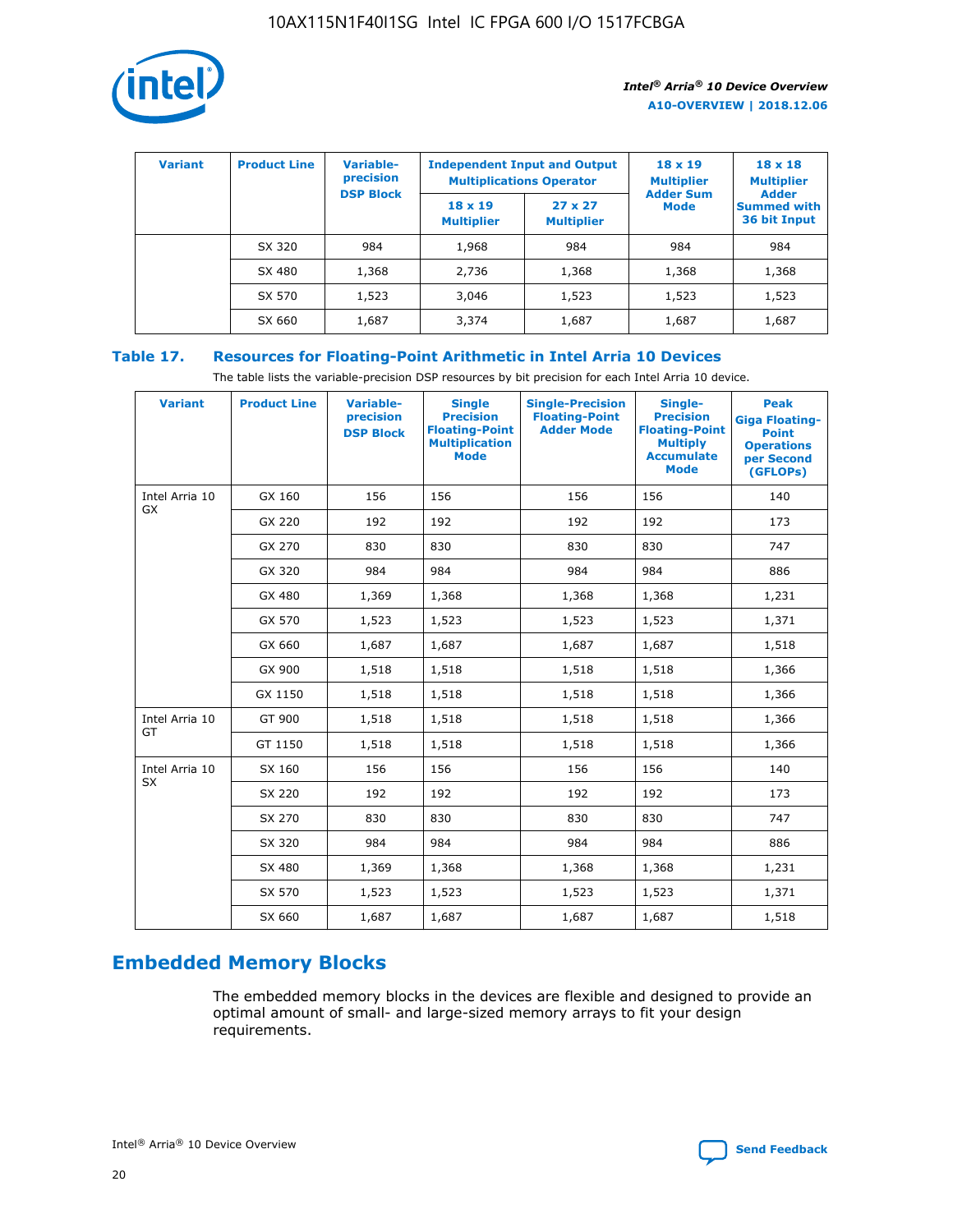

| <b>Variant</b> | <b>Product Line</b> | <b>Variable-</b><br>precision |                                     | <b>Independent Input and Output</b><br><b>Multiplications Operator</b> | $18 \times 19$<br><b>Multiplier</b> | $18 \times 18$<br><b>Multiplier</b>                |
|----------------|---------------------|-------------------------------|-------------------------------------|------------------------------------------------------------------------|-------------------------------------|----------------------------------------------------|
|                |                     | <b>DSP Block</b>              | $18 \times 19$<br><b>Multiplier</b> | $27 \times 27$<br><b>Multiplier</b>                                    | <b>Adder Sum</b><br><b>Mode</b>     | <b>Adder</b><br><b>Summed with</b><br>36 bit Input |
|                | SX 320              | 984                           | 1,968                               | 984                                                                    | 984                                 | 984                                                |
|                | SX 480              | 1,368                         | 2,736                               | 1,368                                                                  | 1,368                               | 1,368                                              |
|                | SX 570              | 1,523                         | 3,046                               | 1,523                                                                  | 1,523                               | 1,523                                              |
|                | SX 660              | 1,687                         | 3,374                               | 1,687                                                                  | 1,687                               | 1,687                                              |

### **Table 17. Resources for Floating-Point Arithmetic in Intel Arria 10 Devices**

The table lists the variable-precision DSP resources by bit precision for each Intel Arria 10 device.

| <b>Variant</b> | <b>Product Line</b> | <b>Variable-</b><br>precision<br><b>DSP Block</b> | <b>Single</b><br><b>Precision</b><br><b>Floating-Point</b><br><b>Multiplication</b><br><b>Mode</b> | <b>Single-Precision</b><br><b>Floating-Point</b><br><b>Adder Mode</b> | Single-<br><b>Precision</b><br><b>Floating-Point</b><br><b>Multiply</b><br><b>Accumulate</b><br><b>Mode</b> | <b>Peak</b><br><b>Giga Floating-</b><br><b>Point</b><br><b>Operations</b><br>per Second<br>(GFLOPs) |
|----------------|---------------------|---------------------------------------------------|----------------------------------------------------------------------------------------------------|-----------------------------------------------------------------------|-------------------------------------------------------------------------------------------------------------|-----------------------------------------------------------------------------------------------------|
| Intel Arria 10 | GX 160              | 156                                               | 156                                                                                                | 156                                                                   | 156                                                                                                         | 140                                                                                                 |
| <b>GX</b>      | GX 220              | 192                                               | 192                                                                                                | 192                                                                   | 192                                                                                                         | 173                                                                                                 |
|                | GX 270              | 830                                               | 830                                                                                                | 830                                                                   | 830                                                                                                         | 747                                                                                                 |
|                | GX 320              | 984                                               | 984                                                                                                | 984                                                                   | 984                                                                                                         | 886                                                                                                 |
|                | GX 480              | 1,369                                             | 1,368                                                                                              | 1,368                                                                 | 1,368                                                                                                       | 1,231                                                                                               |
|                | GX 570              | 1,523                                             | 1,523                                                                                              | 1,523                                                                 | 1,523                                                                                                       | 1,371                                                                                               |
|                | GX 660              | 1,687                                             | 1,687                                                                                              | 1,687                                                                 | 1,687                                                                                                       | 1,518                                                                                               |
|                | GX 900              | 1,518                                             | 1,518                                                                                              | 1,518                                                                 | 1,518                                                                                                       | 1,366                                                                                               |
|                | GX 1150             | 1,518                                             | 1,518                                                                                              | 1,518                                                                 | 1,518                                                                                                       | 1,366                                                                                               |
| Intel Arria 10 | GT 900              | 1,518                                             | 1,518                                                                                              | 1,518                                                                 | 1,518                                                                                                       | 1,366                                                                                               |
| GT             | GT 1150             | 1,518                                             | 1,518                                                                                              | 1,518                                                                 | 1,518                                                                                                       | 1,366                                                                                               |
| Intel Arria 10 | SX 160              | 156                                               | 156                                                                                                | 156                                                                   | 156                                                                                                         | 140                                                                                                 |
| SX             | SX 220              | 192                                               | 192                                                                                                | 192                                                                   | 192                                                                                                         | 173                                                                                                 |
|                | SX 270              | 830                                               | 830                                                                                                | 830                                                                   | 830                                                                                                         | 747                                                                                                 |
|                | SX 320              | 984                                               | 984                                                                                                | 984                                                                   | 984                                                                                                         | 886                                                                                                 |
|                | SX 480              | 1,369                                             | 1,368                                                                                              | 1,368                                                                 | 1,368                                                                                                       | 1,231                                                                                               |
|                | SX 570              | 1,523                                             | 1,523                                                                                              | 1,523                                                                 | 1,523                                                                                                       | 1,371                                                                                               |
|                | SX 660              | 1,687                                             | 1,687                                                                                              | 1,687                                                                 | 1,687                                                                                                       | 1,518                                                                                               |

### **Embedded Memory Blocks**

The embedded memory blocks in the devices are flexible and designed to provide an optimal amount of small- and large-sized memory arrays to fit your design requirements.

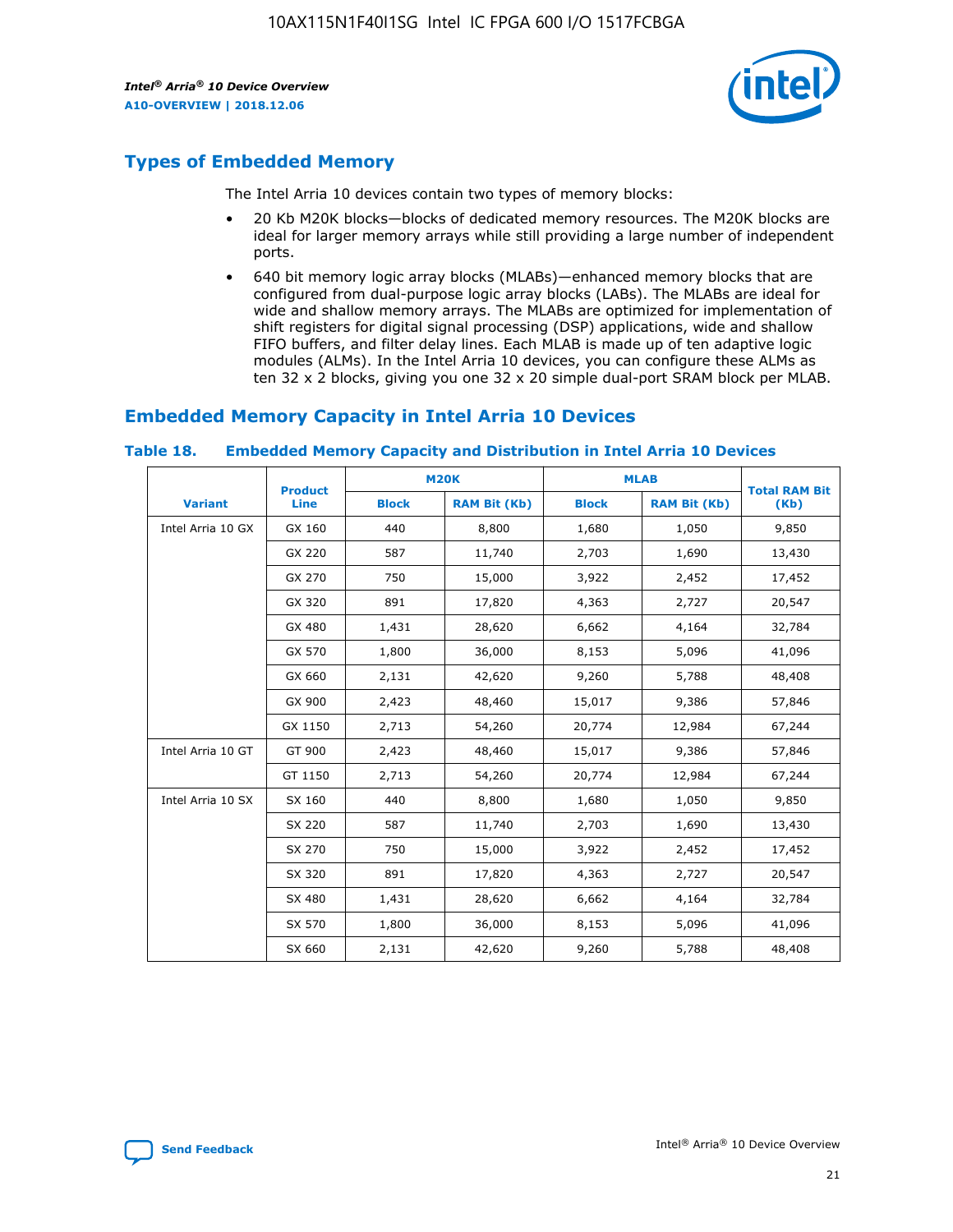

### **Types of Embedded Memory**

The Intel Arria 10 devices contain two types of memory blocks:

- 20 Kb M20K blocks—blocks of dedicated memory resources. The M20K blocks are ideal for larger memory arrays while still providing a large number of independent ports.
- 640 bit memory logic array blocks (MLABs)—enhanced memory blocks that are configured from dual-purpose logic array blocks (LABs). The MLABs are ideal for wide and shallow memory arrays. The MLABs are optimized for implementation of shift registers for digital signal processing (DSP) applications, wide and shallow FIFO buffers, and filter delay lines. Each MLAB is made up of ten adaptive logic modules (ALMs). In the Intel Arria 10 devices, you can configure these ALMs as ten 32 x 2 blocks, giving you one 32 x 20 simple dual-port SRAM block per MLAB.

### **Embedded Memory Capacity in Intel Arria 10 Devices**

|                   | <b>Product</b> |              | <b>M20K</b>         | <b>MLAB</b>  |                     | <b>Total RAM Bit</b> |
|-------------------|----------------|--------------|---------------------|--------------|---------------------|----------------------|
| <b>Variant</b>    | <b>Line</b>    | <b>Block</b> | <b>RAM Bit (Kb)</b> | <b>Block</b> | <b>RAM Bit (Kb)</b> | (Kb)                 |
| Intel Arria 10 GX | GX 160         | 440          | 8,800               | 1,680        | 1,050               | 9,850                |
|                   | GX 220         | 587          | 11,740              | 2,703        | 1,690               | 13,430               |
|                   | GX 270         | 750          | 15,000              | 3,922        | 2,452               | 17,452               |
|                   | GX 320         | 891          | 17,820              | 4,363        | 2,727               | 20,547               |
|                   | GX 480         | 1,431        | 28,620              | 6,662        | 4,164               | 32,784               |
|                   | GX 570         | 1,800        | 36,000              | 8,153        | 5,096               | 41,096               |
|                   | GX 660         | 2,131        | 42,620              | 9,260        | 5,788               | 48,408               |
|                   | GX 900         | 2,423        | 48,460              | 15,017       | 9,386               | 57,846               |
|                   | GX 1150        | 2,713        | 54,260              | 20,774       | 12,984              | 67,244               |
| Intel Arria 10 GT | GT 900         | 2,423        | 48,460              | 15,017       | 9,386               | 57,846               |
|                   | GT 1150        | 2,713        | 54,260              | 20,774       | 12,984              | 67,244               |
| Intel Arria 10 SX | SX 160         | 440          | 8,800               | 1,680        | 1,050               | 9,850                |
|                   | SX 220         | 587          | 11,740              | 2,703        | 1,690               | 13,430               |
|                   | SX 270         | 750          | 15,000              | 3,922        | 2,452               | 17,452               |
|                   | SX 320         | 891          | 17,820              | 4,363        | 2,727               | 20,547               |
|                   | SX 480         | 1,431        | 28,620              | 6,662        | 4,164               | 32,784               |
|                   | SX 570         | 1,800        | 36,000              | 8,153        | 5,096               | 41,096               |
|                   | SX 660         | 2,131        | 42,620              | 9,260        | 5,788               | 48,408               |

#### **Table 18. Embedded Memory Capacity and Distribution in Intel Arria 10 Devices**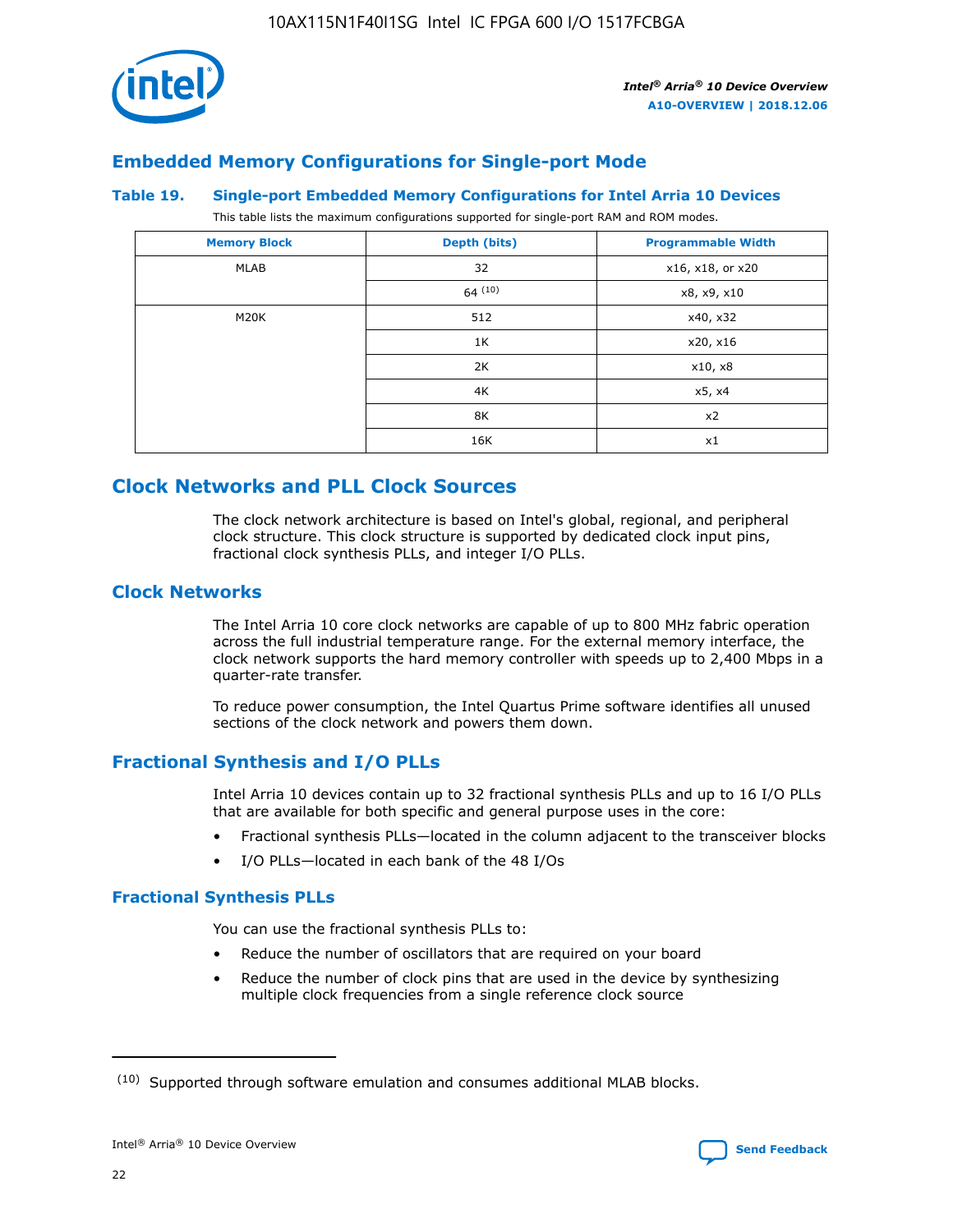

### **Embedded Memory Configurations for Single-port Mode**

#### **Table 19. Single-port Embedded Memory Configurations for Intel Arria 10 Devices**

This table lists the maximum configurations supported for single-port RAM and ROM modes.

| <b>Memory Block</b> | Depth (bits) | <b>Programmable Width</b> |
|---------------------|--------------|---------------------------|
| MLAB                | 32           | x16, x18, or x20          |
|                     | 64(10)       | x8, x9, x10               |
| M20K                | 512          | x40, x32                  |
|                     | 1K           | x20, x16                  |
|                     | 2K           | x10, x8                   |
|                     | 4K           | x5, x4                    |
|                     | 8K           | x2                        |
|                     | 16K          | x1                        |

### **Clock Networks and PLL Clock Sources**

The clock network architecture is based on Intel's global, regional, and peripheral clock structure. This clock structure is supported by dedicated clock input pins, fractional clock synthesis PLLs, and integer I/O PLLs.

### **Clock Networks**

The Intel Arria 10 core clock networks are capable of up to 800 MHz fabric operation across the full industrial temperature range. For the external memory interface, the clock network supports the hard memory controller with speeds up to 2,400 Mbps in a quarter-rate transfer.

To reduce power consumption, the Intel Quartus Prime software identifies all unused sections of the clock network and powers them down.

### **Fractional Synthesis and I/O PLLs**

Intel Arria 10 devices contain up to 32 fractional synthesis PLLs and up to 16 I/O PLLs that are available for both specific and general purpose uses in the core:

- Fractional synthesis PLLs—located in the column adjacent to the transceiver blocks
- I/O PLLs—located in each bank of the 48 I/Os

### **Fractional Synthesis PLLs**

You can use the fractional synthesis PLLs to:

- Reduce the number of oscillators that are required on your board
- Reduce the number of clock pins that are used in the device by synthesizing multiple clock frequencies from a single reference clock source

<sup>(10)</sup> Supported through software emulation and consumes additional MLAB blocks.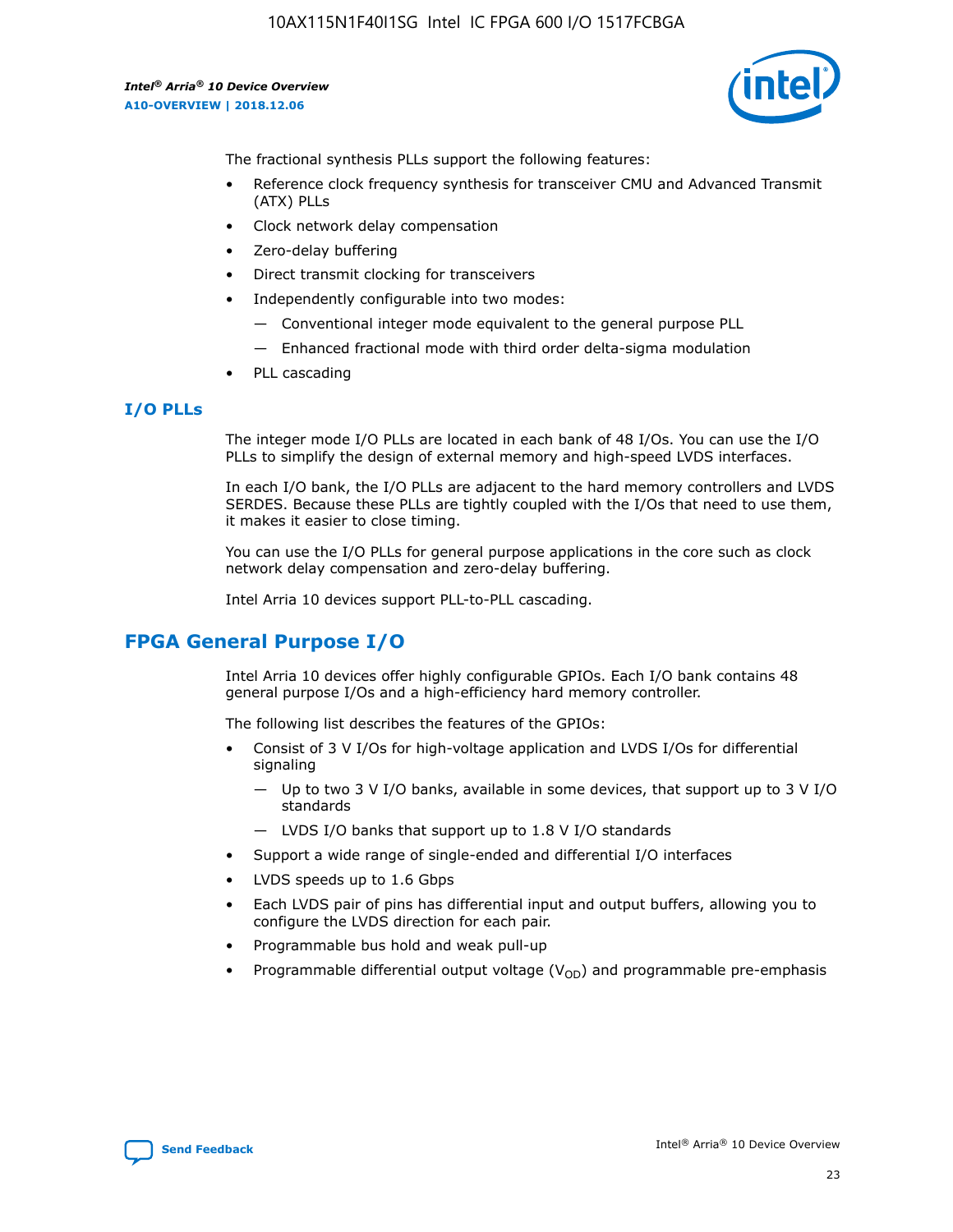

The fractional synthesis PLLs support the following features:

- Reference clock frequency synthesis for transceiver CMU and Advanced Transmit (ATX) PLLs
- Clock network delay compensation
- Zero-delay buffering
- Direct transmit clocking for transceivers
- Independently configurable into two modes:
	- Conventional integer mode equivalent to the general purpose PLL
	- Enhanced fractional mode with third order delta-sigma modulation
- PLL cascading

### **I/O PLLs**

The integer mode I/O PLLs are located in each bank of 48 I/Os. You can use the I/O PLLs to simplify the design of external memory and high-speed LVDS interfaces.

In each I/O bank, the I/O PLLs are adjacent to the hard memory controllers and LVDS SERDES. Because these PLLs are tightly coupled with the I/Os that need to use them, it makes it easier to close timing.

You can use the I/O PLLs for general purpose applications in the core such as clock network delay compensation and zero-delay buffering.

Intel Arria 10 devices support PLL-to-PLL cascading.

### **FPGA General Purpose I/O**

Intel Arria 10 devices offer highly configurable GPIOs. Each I/O bank contains 48 general purpose I/Os and a high-efficiency hard memory controller.

The following list describes the features of the GPIOs:

- Consist of 3 V I/Os for high-voltage application and LVDS I/Os for differential signaling
	- Up to two 3 V I/O banks, available in some devices, that support up to 3 V I/O standards
	- LVDS I/O banks that support up to 1.8 V I/O standards
- Support a wide range of single-ended and differential I/O interfaces
- LVDS speeds up to 1.6 Gbps
- Each LVDS pair of pins has differential input and output buffers, allowing you to configure the LVDS direction for each pair.
- Programmable bus hold and weak pull-up
- Programmable differential output voltage  $(V_{OD})$  and programmable pre-emphasis

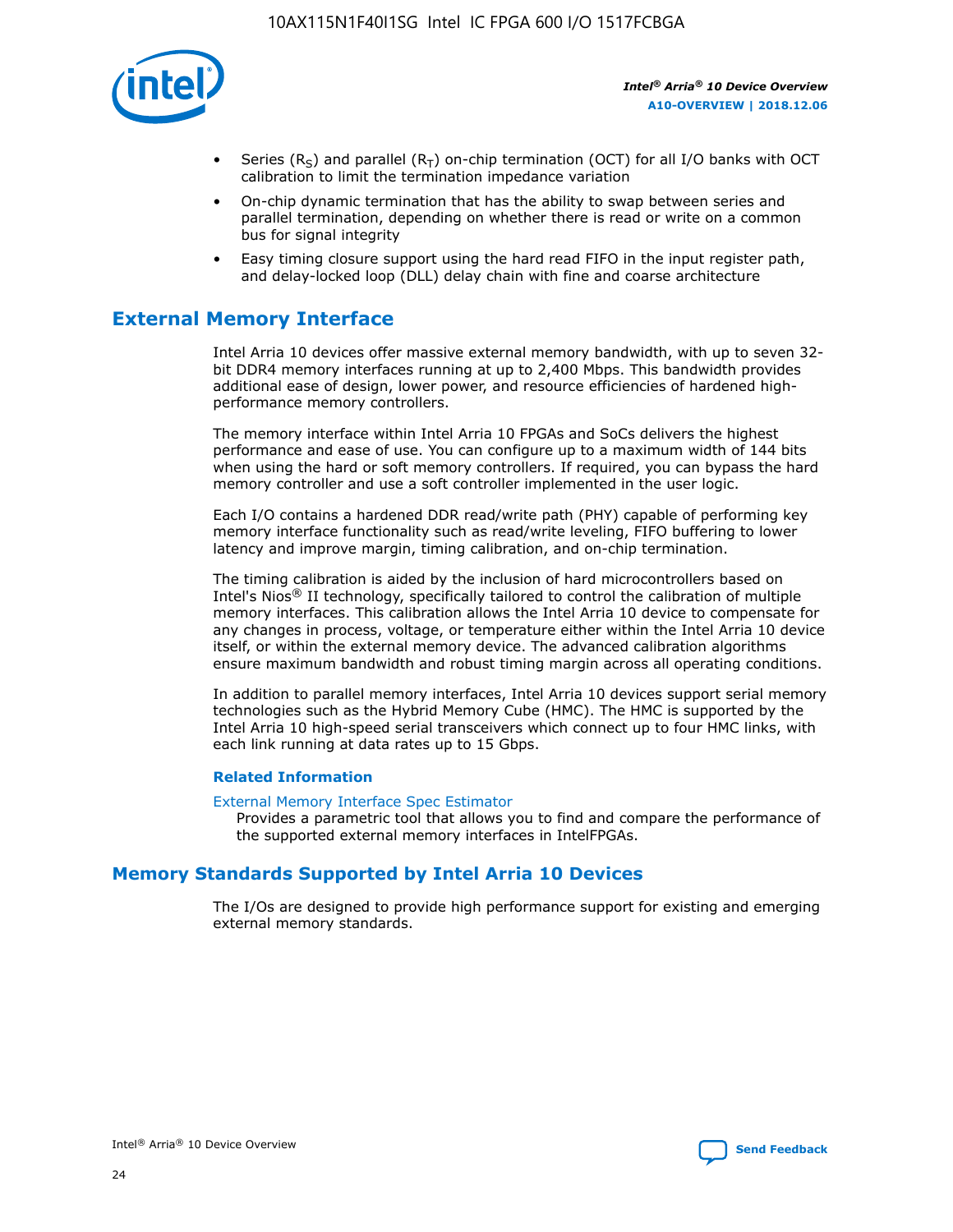

- Series (R<sub>S</sub>) and parallel (R<sub>T</sub>) on-chip termination (OCT) for all I/O banks with OCT calibration to limit the termination impedance variation
- On-chip dynamic termination that has the ability to swap between series and parallel termination, depending on whether there is read or write on a common bus for signal integrity
- Easy timing closure support using the hard read FIFO in the input register path, and delay-locked loop (DLL) delay chain with fine and coarse architecture

### **External Memory Interface**

Intel Arria 10 devices offer massive external memory bandwidth, with up to seven 32 bit DDR4 memory interfaces running at up to 2,400 Mbps. This bandwidth provides additional ease of design, lower power, and resource efficiencies of hardened highperformance memory controllers.

The memory interface within Intel Arria 10 FPGAs and SoCs delivers the highest performance and ease of use. You can configure up to a maximum width of 144 bits when using the hard or soft memory controllers. If required, you can bypass the hard memory controller and use a soft controller implemented in the user logic.

Each I/O contains a hardened DDR read/write path (PHY) capable of performing key memory interface functionality such as read/write leveling, FIFO buffering to lower latency and improve margin, timing calibration, and on-chip termination.

The timing calibration is aided by the inclusion of hard microcontrollers based on Intel's Nios® II technology, specifically tailored to control the calibration of multiple memory interfaces. This calibration allows the Intel Arria 10 device to compensate for any changes in process, voltage, or temperature either within the Intel Arria 10 device itself, or within the external memory device. The advanced calibration algorithms ensure maximum bandwidth and robust timing margin across all operating conditions.

In addition to parallel memory interfaces, Intel Arria 10 devices support serial memory technologies such as the Hybrid Memory Cube (HMC). The HMC is supported by the Intel Arria 10 high-speed serial transceivers which connect up to four HMC links, with each link running at data rates up to 15 Gbps.

### **Related Information**

#### [External Memory Interface Spec Estimator](http://www.altera.com/technology/memory/estimator/mem-emif-index.html)

Provides a parametric tool that allows you to find and compare the performance of the supported external memory interfaces in IntelFPGAs.

### **Memory Standards Supported by Intel Arria 10 Devices**

The I/Os are designed to provide high performance support for existing and emerging external memory standards.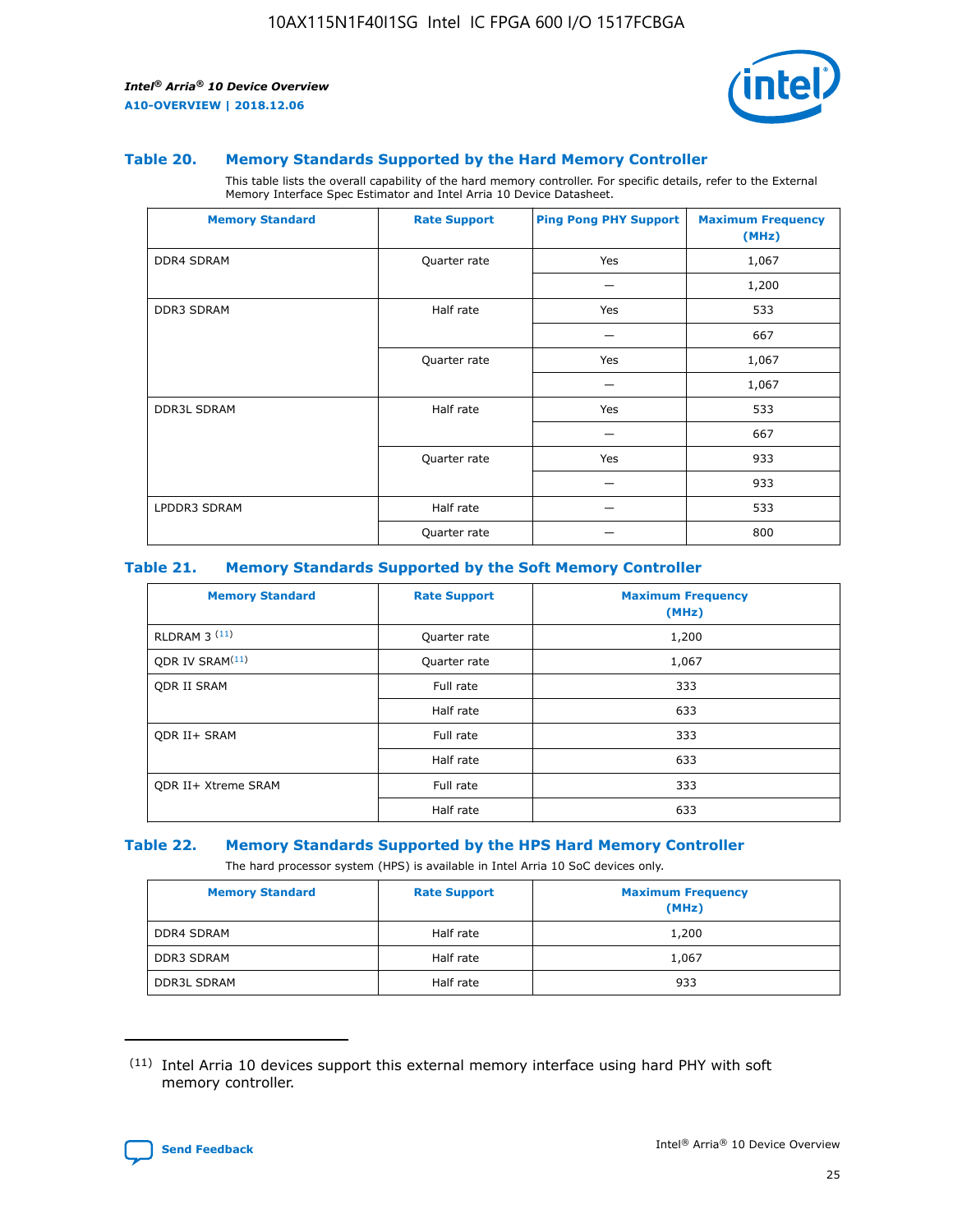

#### **Table 20. Memory Standards Supported by the Hard Memory Controller**

This table lists the overall capability of the hard memory controller. For specific details, refer to the External Memory Interface Spec Estimator and Intel Arria 10 Device Datasheet.

| <b>Memory Standard</b> | <b>Rate Support</b> | <b>Ping Pong PHY Support</b> | <b>Maximum Frequency</b><br>(MHz) |
|------------------------|---------------------|------------------------------|-----------------------------------|
| <b>DDR4 SDRAM</b>      | Quarter rate        | Yes                          | 1,067                             |
|                        |                     |                              | 1,200                             |
| DDR3 SDRAM             | Half rate           | Yes                          | 533                               |
|                        |                     |                              | 667                               |
|                        | Quarter rate        | Yes                          | 1,067                             |
|                        |                     |                              | 1,067                             |
| <b>DDR3L SDRAM</b>     | Half rate           | Yes                          | 533                               |
|                        |                     |                              | 667                               |
|                        | Quarter rate        | Yes                          | 933                               |
|                        |                     |                              | 933                               |
| LPDDR3 SDRAM           | Half rate           |                              | 533                               |
|                        | Quarter rate        |                              | 800                               |

### **Table 21. Memory Standards Supported by the Soft Memory Controller**

| <b>Memory Standard</b>      | <b>Rate Support</b> | <b>Maximum Frequency</b><br>(MHz) |
|-----------------------------|---------------------|-----------------------------------|
| <b>RLDRAM 3 (11)</b>        | Quarter rate        | 1,200                             |
| ODR IV SRAM <sup>(11)</sup> | Quarter rate        | 1,067                             |
| <b>ODR II SRAM</b>          | Full rate           | 333                               |
|                             | Half rate           | 633                               |
| <b>ODR II+ SRAM</b>         | Full rate           | 333                               |
|                             | Half rate           | 633                               |
| <b>ODR II+ Xtreme SRAM</b>  | Full rate           | 333                               |
|                             | Half rate           | 633                               |

#### **Table 22. Memory Standards Supported by the HPS Hard Memory Controller**

The hard processor system (HPS) is available in Intel Arria 10 SoC devices only.

| <b>Memory Standard</b> | <b>Rate Support</b> | <b>Maximum Frequency</b><br>(MHz) |
|------------------------|---------------------|-----------------------------------|
| <b>DDR4 SDRAM</b>      | Half rate           | 1,200                             |
| <b>DDR3 SDRAM</b>      | Half rate           | 1,067                             |
| <b>DDR3L SDRAM</b>     | Half rate           | 933                               |

<sup>(11)</sup> Intel Arria 10 devices support this external memory interface using hard PHY with soft memory controller.

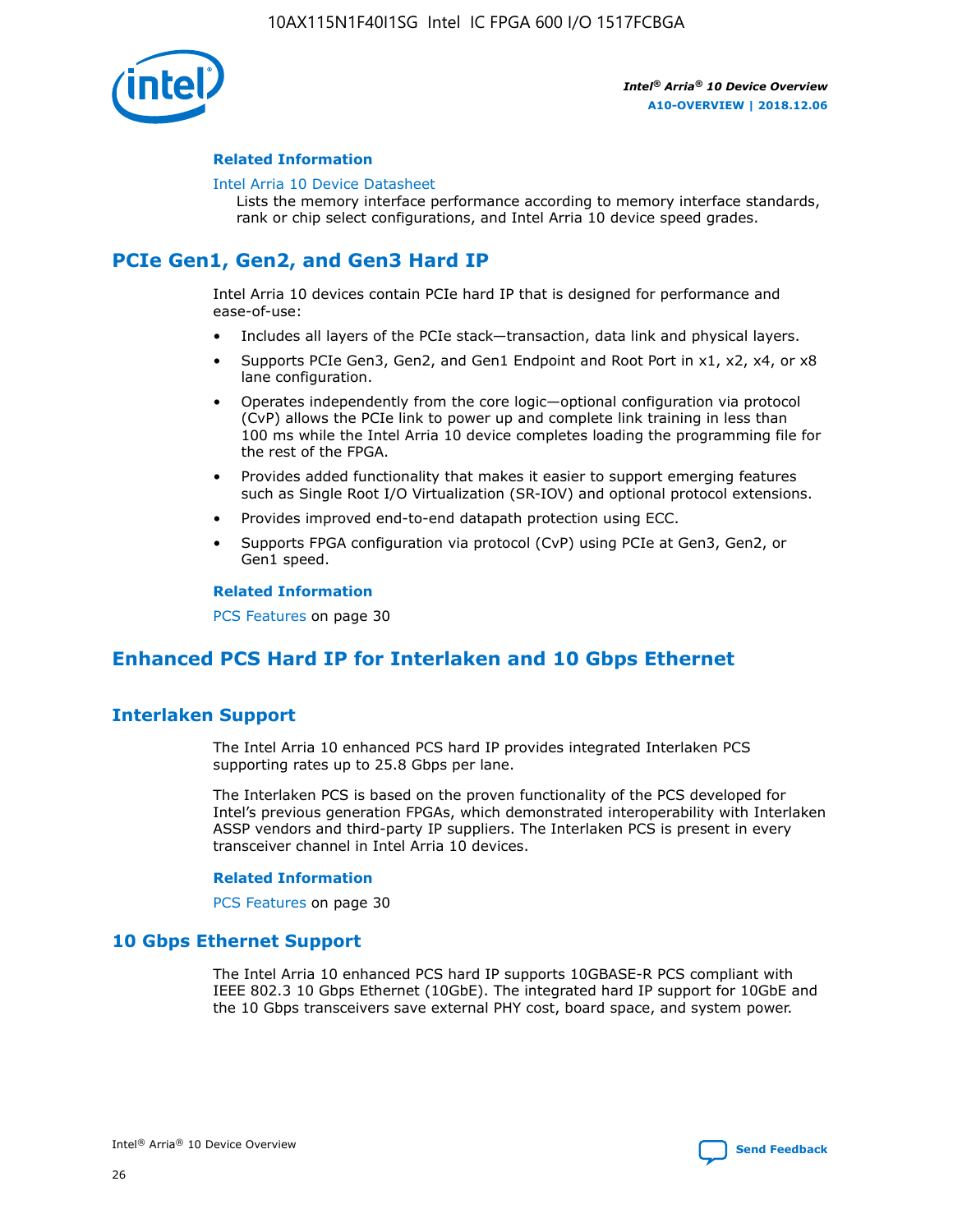

### **Related Information**

#### [Intel Arria 10 Device Datasheet](https://www.intel.com/content/www/us/en/programmable/documentation/mcn1413182292568.html#mcn1413182153340)

Lists the memory interface performance according to memory interface standards, rank or chip select configurations, and Intel Arria 10 device speed grades.

### **PCIe Gen1, Gen2, and Gen3 Hard IP**

Intel Arria 10 devices contain PCIe hard IP that is designed for performance and ease-of-use:

- Includes all layers of the PCIe stack—transaction, data link and physical layers.
- Supports PCIe Gen3, Gen2, and Gen1 Endpoint and Root Port in x1, x2, x4, or x8 lane configuration.
- Operates independently from the core logic—optional configuration via protocol (CvP) allows the PCIe link to power up and complete link training in less than 100 ms while the Intel Arria 10 device completes loading the programming file for the rest of the FPGA.
- Provides added functionality that makes it easier to support emerging features such as Single Root I/O Virtualization (SR-IOV) and optional protocol extensions.
- Provides improved end-to-end datapath protection using ECC.
- Supports FPGA configuration via protocol (CvP) using PCIe at Gen3, Gen2, or Gen1 speed.

#### **Related Information**

PCS Features on page 30

### **Enhanced PCS Hard IP for Interlaken and 10 Gbps Ethernet**

### **Interlaken Support**

The Intel Arria 10 enhanced PCS hard IP provides integrated Interlaken PCS supporting rates up to 25.8 Gbps per lane.

The Interlaken PCS is based on the proven functionality of the PCS developed for Intel's previous generation FPGAs, which demonstrated interoperability with Interlaken ASSP vendors and third-party IP suppliers. The Interlaken PCS is present in every transceiver channel in Intel Arria 10 devices.

### **Related Information**

PCS Features on page 30

### **10 Gbps Ethernet Support**

The Intel Arria 10 enhanced PCS hard IP supports 10GBASE-R PCS compliant with IEEE 802.3 10 Gbps Ethernet (10GbE). The integrated hard IP support for 10GbE and the 10 Gbps transceivers save external PHY cost, board space, and system power.

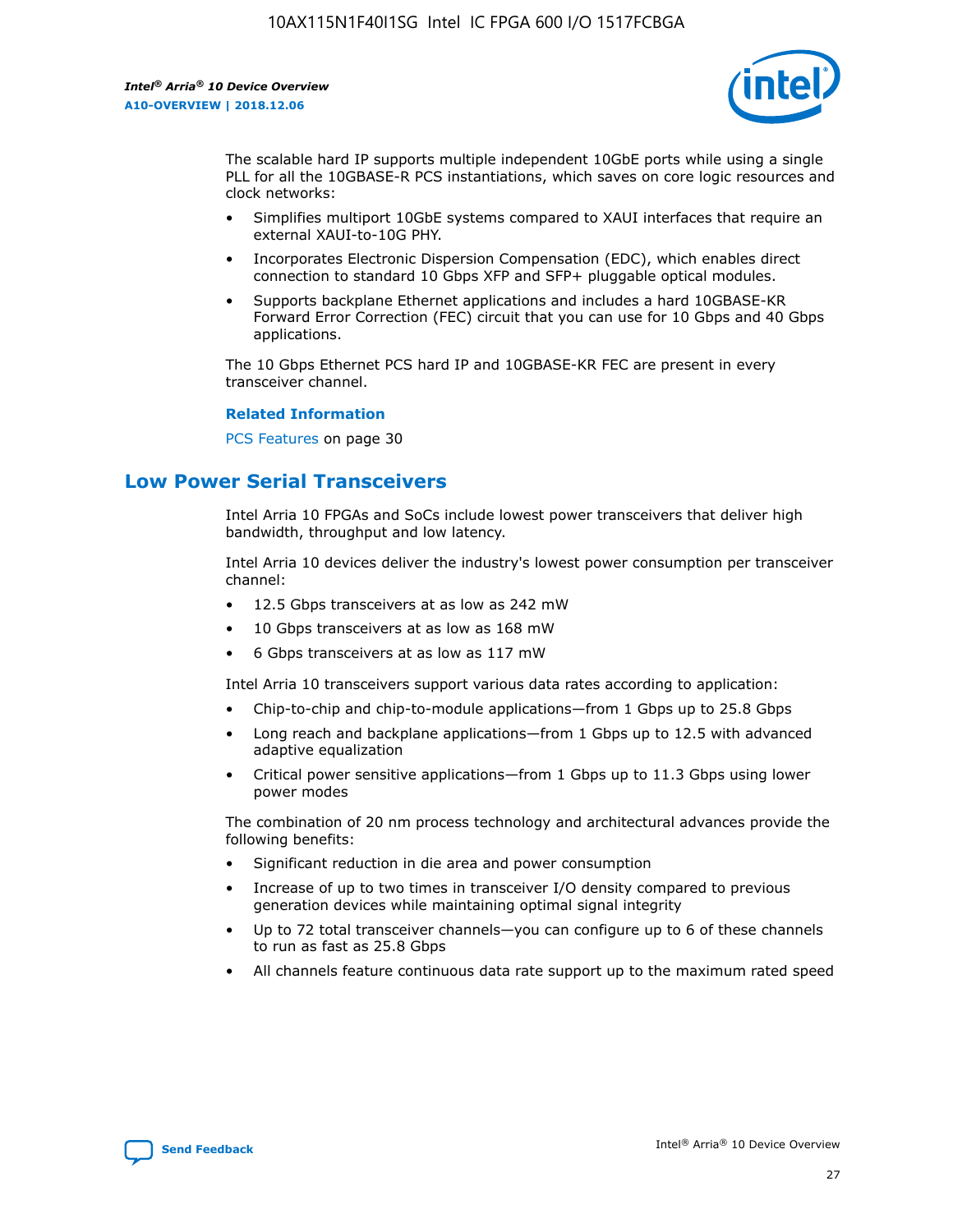

The scalable hard IP supports multiple independent 10GbE ports while using a single PLL for all the 10GBASE-R PCS instantiations, which saves on core logic resources and clock networks:

- Simplifies multiport 10GbE systems compared to XAUI interfaces that require an external XAUI-to-10G PHY.
- Incorporates Electronic Dispersion Compensation (EDC), which enables direct connection to standard 10 Gbps XFP and SFP+ pluggable optical modules.
- Supports backplane Ethernet applications and includes a hard 10GBASE-KR Forward Error Correction (FEC) circuit that you can use for 10 Gbps and 40 Gbps applications.

The 10 Gbps Ethernet PCS hard IP and 10GBASE-KR FEC are present in every transceiver channel.

#### **Related Information**

PCS Features on page 30

### **Low Power Serial Transceivers**

Intel Arria 10 FPGAs and SoCs include lowest power transceivers that deliver high bandwidth, throughput and low latency.

Intel Arria 10 devices deliver the industry's lowest power consumption per transceiver channel:

- 12.5 Gbps transceivers at as low as 242 mW
- 10 Gbps transceivers at as low as 168 mW
- 6 Gbps transceivers at as low as 117 mW

Intel Arria 10 transceivers support various data rates according to application:

- Chip-to-chip and chip-to-module applications—from 1 Gbps up to 25.8 Gbps
- Long reach and backplane applications—from 1 Gbps up to 12.5 with advanced adaptive equalization
- Critical power sensitive applications—from 1 Gbps up to 11.3 Gbps using lower power modes

The combination of 20 nm process technology and architectural advances provide the following benefits:

- Significant reduction in die area and power consumption
- Increase of up to two times in transceiver I/O density compared to previous generation devices while maintaining optimal signal integrity
- Up to 72 total transceiver channels—you can configure up to 6 of these channels to run as fast as 25.8 Gbps
- All channels feature continuous data rate support up to the maximum rated speed

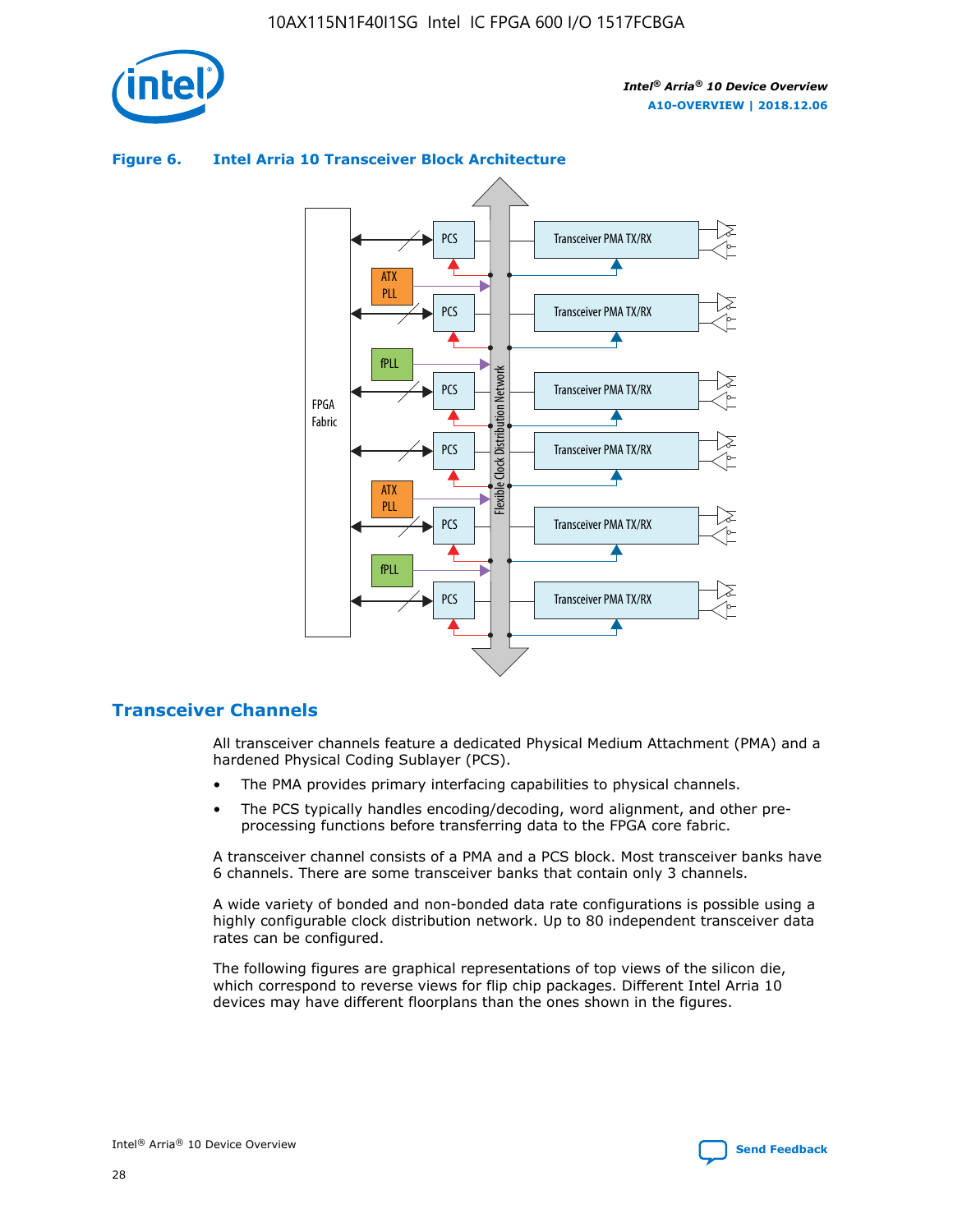



### **Figure 6. Intel Arria 10 Transceiver Block Architecture**

### **Transceiver Channels**

All transceiver channels feature a dedicated Physical Medium Attachment (PMA) and a hardened Physical Coding Sublayer (PCS).

- The PMA provides primary interfacing capabilities to physical channels.
- The PCS typically handles encoding/decoding, word alignment, and other preprocessing functions before transferring data to the FPGA core fabric.

A transceiver channel consists of a PMA and a PCS block. Most transceiver banks have 6 channels. There are some transceiver banks that contain only 3 channels.

A wide variety of bonded and non-bonded data rate configurations is possible using a highly configurable clock distribution network. Up to 80 independent transceiver data rates can be configured.

The following figures are graphical representations of top views of the silicon die, which correspond to reverse views for flip chip packages. Different Intel Arria 10 devices may have different floorplans than the ones shown in the figures.

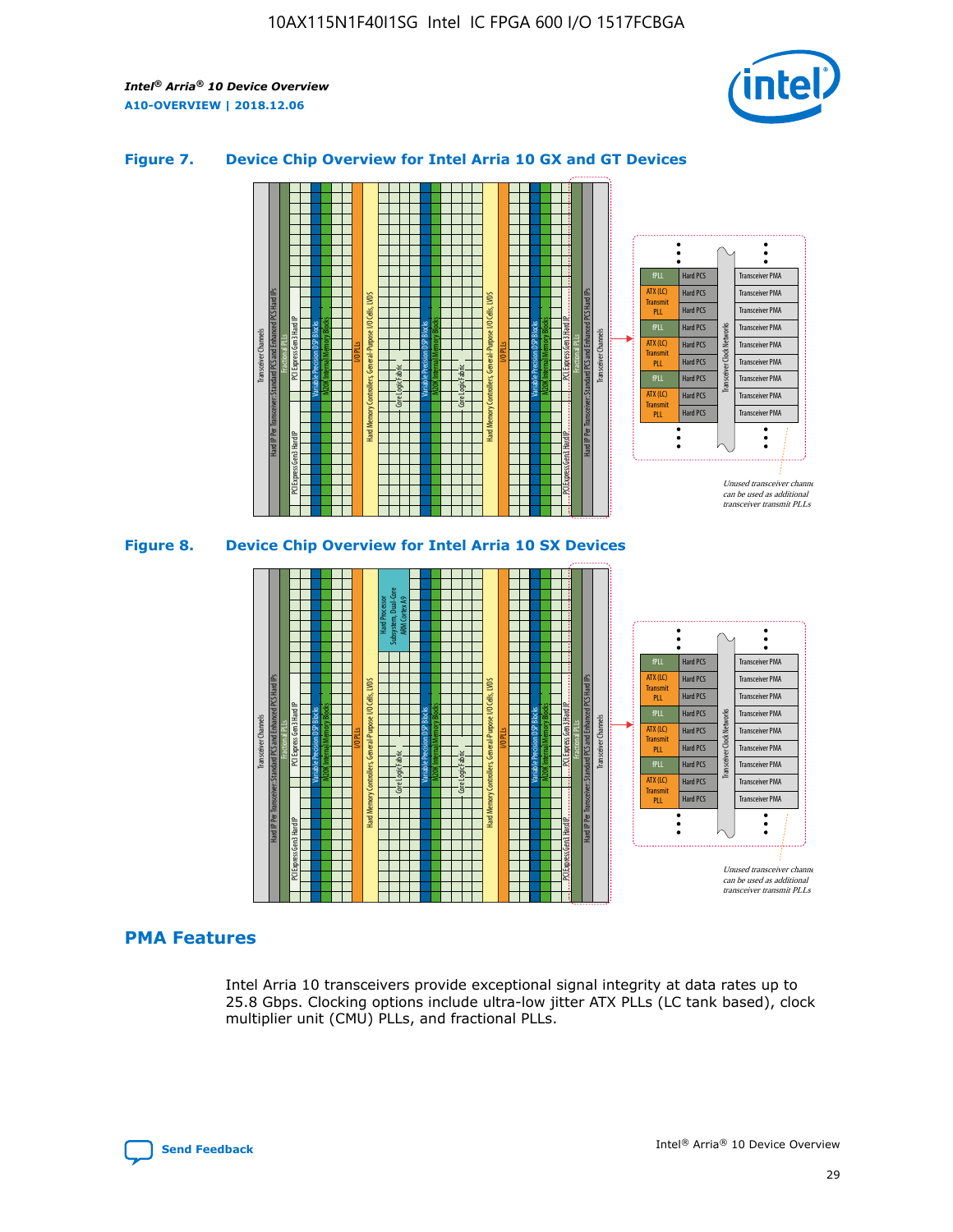

### **Figure 7. Device Chip Overview for Intel Arria 10 GX and GT Devices**





### **PMA Features**

Intel Arria 10 transceivers provide exceptional signal integrity at data rates up to 25.8 Gbps. Clocking options include ultra-low jitter ATX PLLs (LC tank based), clock multiplier unit (CMU) PLLs, and fractional PLLs.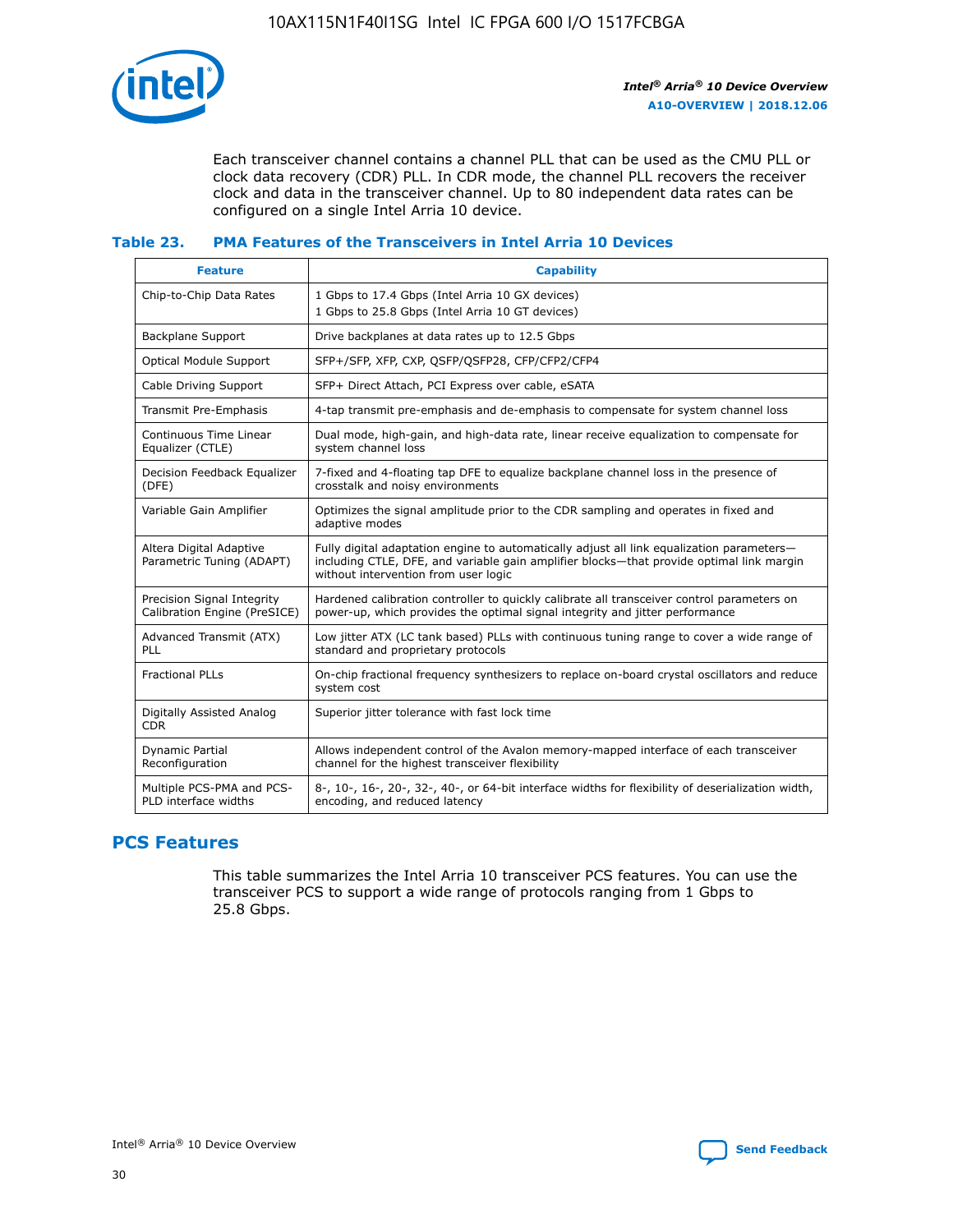

Each transceiver channel contains a channel PLL that can be used as the CMU PLL or clock data recovery (CDR) PLL. In CDR mode, the channel PLL recovers the receiver clock and data in the transceiver channel. Up to 80 independent data rates can be configured on a single Intel Arria 10 device.

### **Table 23. PMA Features of the Transceivers in Intel Arria 10 Devices**

| <b>Feature</b>                                             | <b>Capability</b>                                                                                                                                                                                                             |
|------------------------------------------------------------|-------------------------------------------------------------------------------------------------------------------------------------------------------------------------------------------------------------------------------|
| Chip-to-Chip Data Rates                                    | 1 Gbps to 17.4 Gbps (Intel Arria 10 GX devices)<br>1 Gbps to 25.8 Gbps (Intel Arria 10 GT devices)                                                                                                                            |
| <b>Backplane Support</b>                                   | Drive backplanes at data rates up to 12.5 Gbps                                                                                                                                                                                |
| Optical Module Support                                     | SFP+/SFP, XFP, CXP, QSFP/QSFP28, CFP/CFP2/CFP4                                                                                                                                                                                |
| Cable Driving Support                                      | SFP+ Direct Attach, PCI Express over cable, eSATA                                                                                                                                                                             |
| Transmit Pre-Emphasis                                      | 4-tap transmit pre-emphasis and de-emphasis to compensate for system channel loss                                                                                                                                             |
| Continuous Time Linear<br>Equalizer (CTLE)                 | Dual mode, high-gain, and high-data rate, linear receive equalization to compensate for<br>system channel loss                                                                                                                |
| Decision Feedback Equalizer<br>(DFE)                       | 7-fixed and 4-floating tap DFE to equalize backplane channel loss in the presence of<br>crosstalk and noisy environments                                                                                                      |
| Variable Gain Amplifier                                    | Optimizes the signal amplitude prior to the CDR sampling and operates in fixed and<br>adaptive modes                                                                                                                          |
| Altera Digital Adaptive<br>Parametric Tuning (ADAPT)       | Fully digital adaptation engine to automatically adjust all link equalization parameters-<br>including CTLE, DFE, and variable gain amplifier blocks—that provide optimal link margin<br>without intervention from user logic |
| Precision Signal Integrity<br>Calibration Engine (PreSICE) | Hardened calibration controller to quickly calibrate all transceiver control parameters on<br>power-up, which provides the optimal signal integrity and jitter performance                                                    |
| Advanced Transmit (ATX)<br><b>PLL</b>                      | Low jitter ATX (LC tank based) PLLs with continuous tuning range to cover a wide range of<br>standard and proprietary protocols                                                                                               |
| <b>Fractional PLLs</b>                                     | On-chip fractional frequency synthesizers to replace on-board crystal oscillators and reduce<br>system cost                                                                                                                   |
| Digitally Assisted Analog<br><b>CDR</b>                    | Superior jitter tolerance with fast lock time                                                                                                                                                                                 |
| Dynamic Partial<br>Reconfiguration                         | Allows independent control of the Avalon memory-mapped interface of each transceiver<br>channel for the highest transceiver flexibility                                                                                       |
| Multiple PCS-PMA and PCS-<br>PLD interface widths          | 8-, 10-, 16-, 20-, 32-, 40-, or 64-bit interface widths for flexibility of deserialization width,<br>encoding, and reduced latency                                                                                            |

### **PCS Features**

This table summarizes the Intel Arria 10 transceiver PCS features. You can use the transceiver PCS to support a wide range of protocols ranging from 1 Gbps to 25.8 Gbps.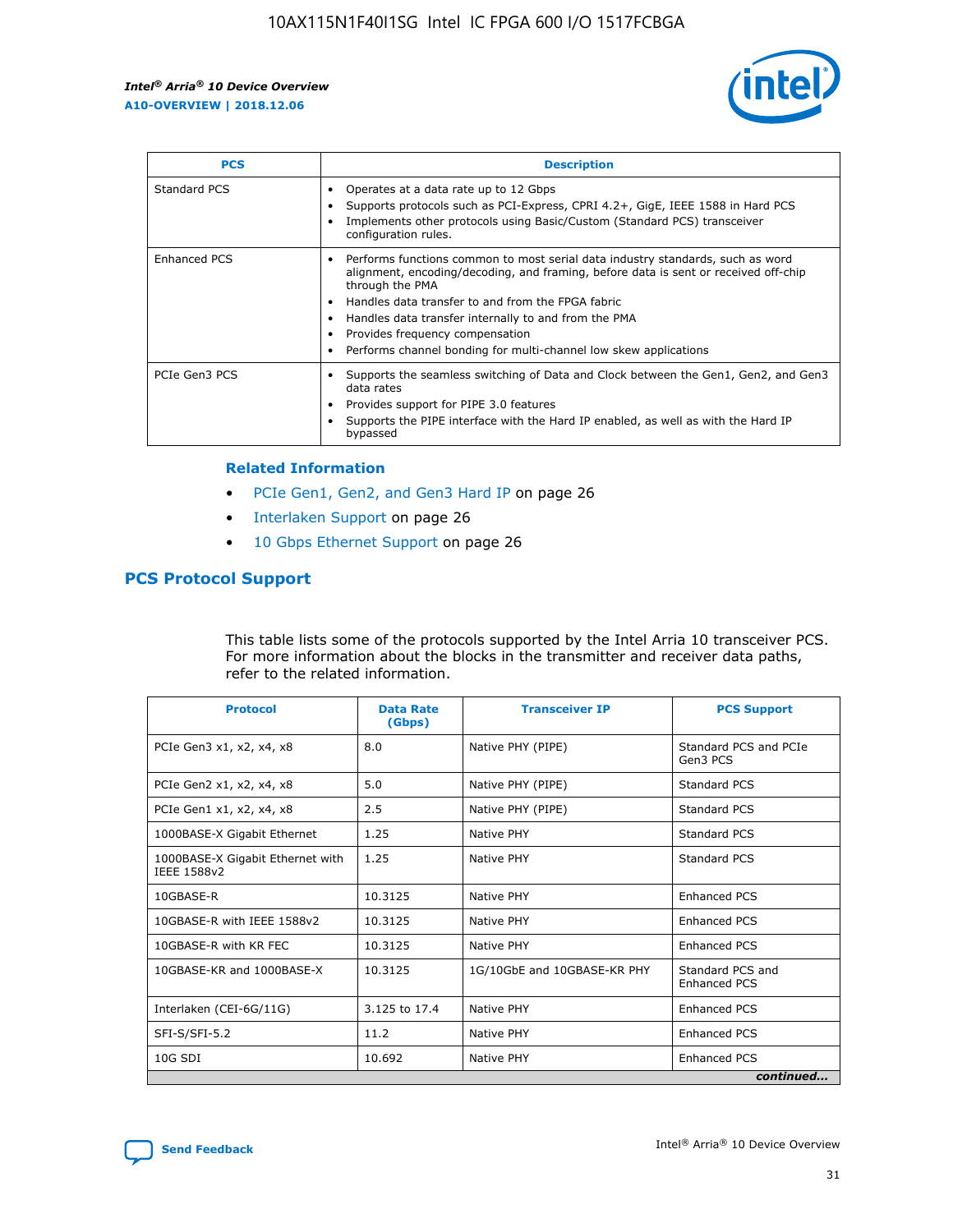

| <b>PCS</b>    | <b>Description</b>                                                                                                                                                                                                                                                                                                                                                                                             |
|---------------|----------------------------------------------------------------------------------------------------------------------------------------------------------------------------------------------------------------------------------------------------------------------------------------------------------------------------------------------------------------------------------------------------------------|
| Standard PCS  | Operates at a data rate up to 12 Gbps<br>Supports protocols such as PCI-Express, CPRI 4.2+, GigE, IEEE 1588 in Hard PCS<br>Implements other protocols using Basic/Custom (Standard PCS) transceiver<br>configuration rules.                                                                                                                                                                                    |
| Enhanced PCS  | Performs functions common to most serial data industry standards, such as word<br>alignment, encoding/decoding, and framing, before data is sent or received off-chip<br>through the PMA<br>• Handles data transfer to and from the FPGA fabric<br>Handles data transfer internally to and from the PMA<br>Provides frequency compensation<br>Performs channel bonding for multi-channel low skew applications |
| PCIe Gen3 PCS | Supports the seamless switching of Data and Clock between the Gen1, Gen2, and Gen3<br>data rates<br>Provides support for PIPE 3.0 features<br>Supports the PIPE interface with the Hard IP enabled, as well as with the Hard IP<br>bypassed                                                                                                                                                                    |

#### **Related Information**

- PCIe Gen1, Gen2, and Gen3 Hard IP on page 26
- Interlaken Support on page 26
- 10 Gbps Ethernet Support on page 26

### **PCS Protocol Support**

This table lists some of the protocols supported by the Intel Arria 10 transceiver PCS. For more information about the blocks in the transmitter and receiver data paths, refer to the related information.

| <b>Protocol</b>                                 | <b>Data Rate</b><br>(Gbps) | <b>Transceiver IP</b>       | <b>PCS Support</b>                      |
|-------------------------------------------------|----------------------------|-----------------------------|-----------------------------------------|
| PCIe Gen3 x1, x2, x4, x8                        | 8.0                        | Native PHY (PIPE)           | Standard PCS and PCIe<br>Gen3 PCS       |
| PCIe Gen2 x1, x2, x4, x8                        | 5.0                        | Native PHY (PIPE)           | <b>Standard PCS</b>                     |
| PCIe Gen1 x1, x2, x4, x8                        | 2.5                        | Native PHY (PIPE)           | Standard PCS                            |
| 1000BASE-X Gigabit Ethernet                     | 1.25                       | Native PHY                  | <b>Standard PCS</b>                     |
| 1000BASE-X Gigabit Ethernet with<br>IEEE 1588v2 | 1.25                       | Native PHY                  | Standard PCS                            |
| 10GBASE-R                                       | 10.3125                    | Native PHY                  | <b>Enhanced PCS</b>                     |
| 10GBASE-R with IEEE 1588v2                      | 10.3125                    | Native PHY                  | <b>Enhanced PCS</b>                     |
| 10GBASE-R with KR FEC                           | 10.3125                    | Native PHY                  | <b>Enhanced PCS</b>                     |
| 10GBASE-KR and 1000BASE-X                       | 10.3125                    | 1G/10GbE and 10GBASE-KR PHY | Standard PCS and<br><b>Enhanced PCS</b> |
| Interlaken (CEI-6G/11G)                         | 3.125 to 17.4              | Native PHY                  | <b>Enhanced PCS</b>                     |
| SFI-S/SFI-5.2                                   | 11.2                       | Native PHY                  | <b>Enhanced PCS</b>                     |
| $10G$ SDI                                       | 10.692                     | Native PHY                  | <b>Enhanced PCS</b>                     |
|                                                 |                            |                             | continued                               |

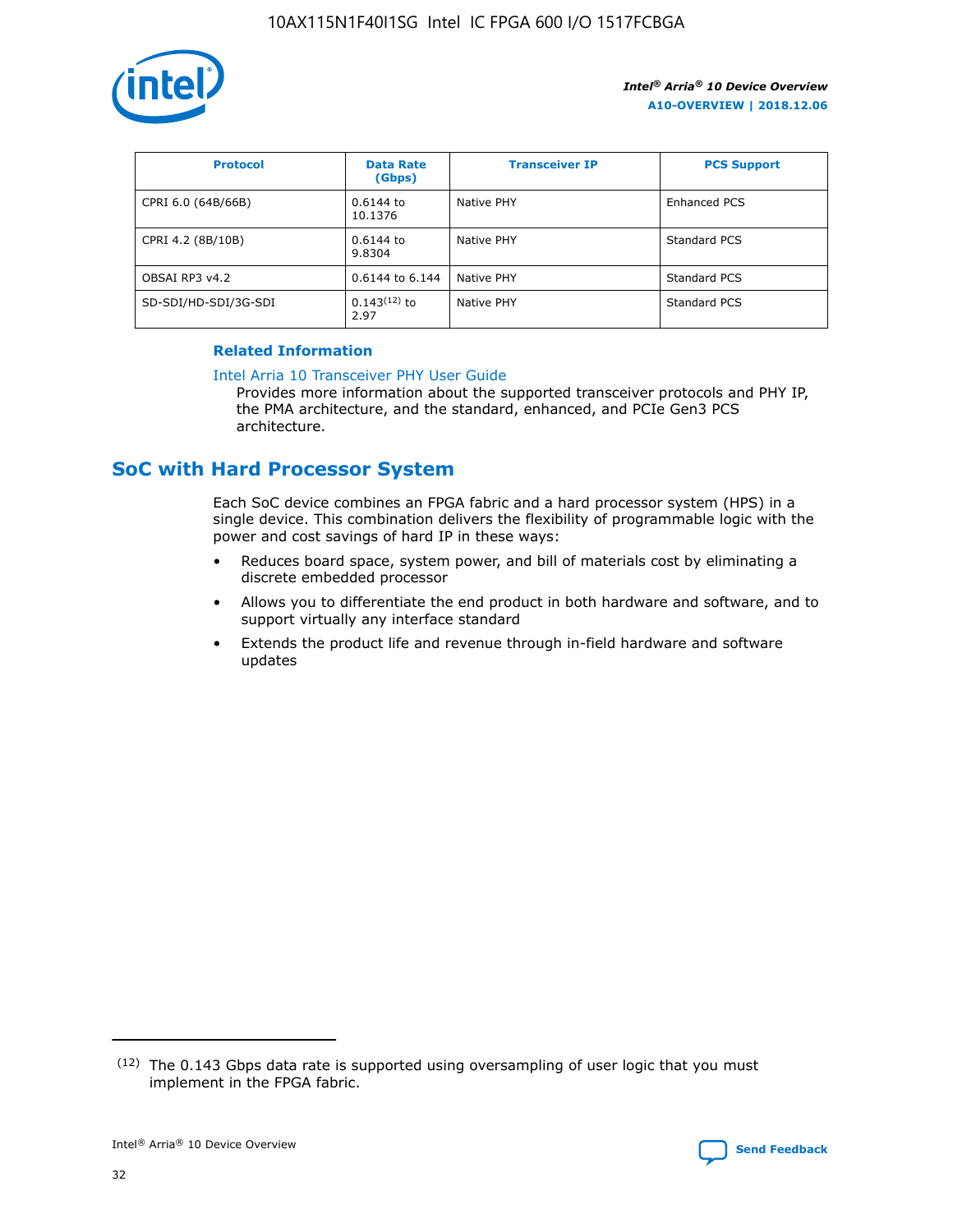

| <b>Protocol</b>      | <b>Data Rate</b><br>(Gbps) | <b>Transceiver IP</b> | <b>PCS Support</b> |
|----------------------|----------------------------|-----------------------|--------------------|
| CPRI 6.0 (64B/66B)   | 0.6144 to<br>10.1376       | Native PHY            | Enhanced PCS       |
| CPRI 4.2 (8B/10B)    | 0.6144 to<br>9.8304        | Native PHY            | Standard PCS       |
| OBSAI RP3 v4.2       | 0.6144 to 6.144            | Native PHY            | Standard PCS       |
| SD-SDI/HD-SDI/3G-SDI | $0.143(12)$ to<br>2.97     | Native PHY            | Standard PCS       |

### **Related Information**

#### [Intel Arria 10 Transceiver PHY User Guide](https://www.intel.com/content/www/us/en/programmable/documentation/nik1398707230472.html#nik1398707091164)

Provides more information about the supported transceiver protocols and PHY IP, the PMA architecture, and the standard, enhanced, and PCIe Gen3 PCS architecture.

### **SoC with Hard Processor System**

Each SoC device combines an FPGA fabric and a hard processor system (HPS) in a single device. This combination delivers the flexibility of programmable logic with the power and cost savings of hard IP in these ways:

- Reduces board space, system power, and bill of materials cost by eliminating a discrete embedded processor
- Allows you to differentiate the end product in both hardware and software, and to support virtually any interface standard
- Extends the product life and revenue through in-field hardware and software updates

<sup>(12)</sup> The 0.143 Gbps data rate is supported using oversampling of user logic that you must implement in the FPGA fabric.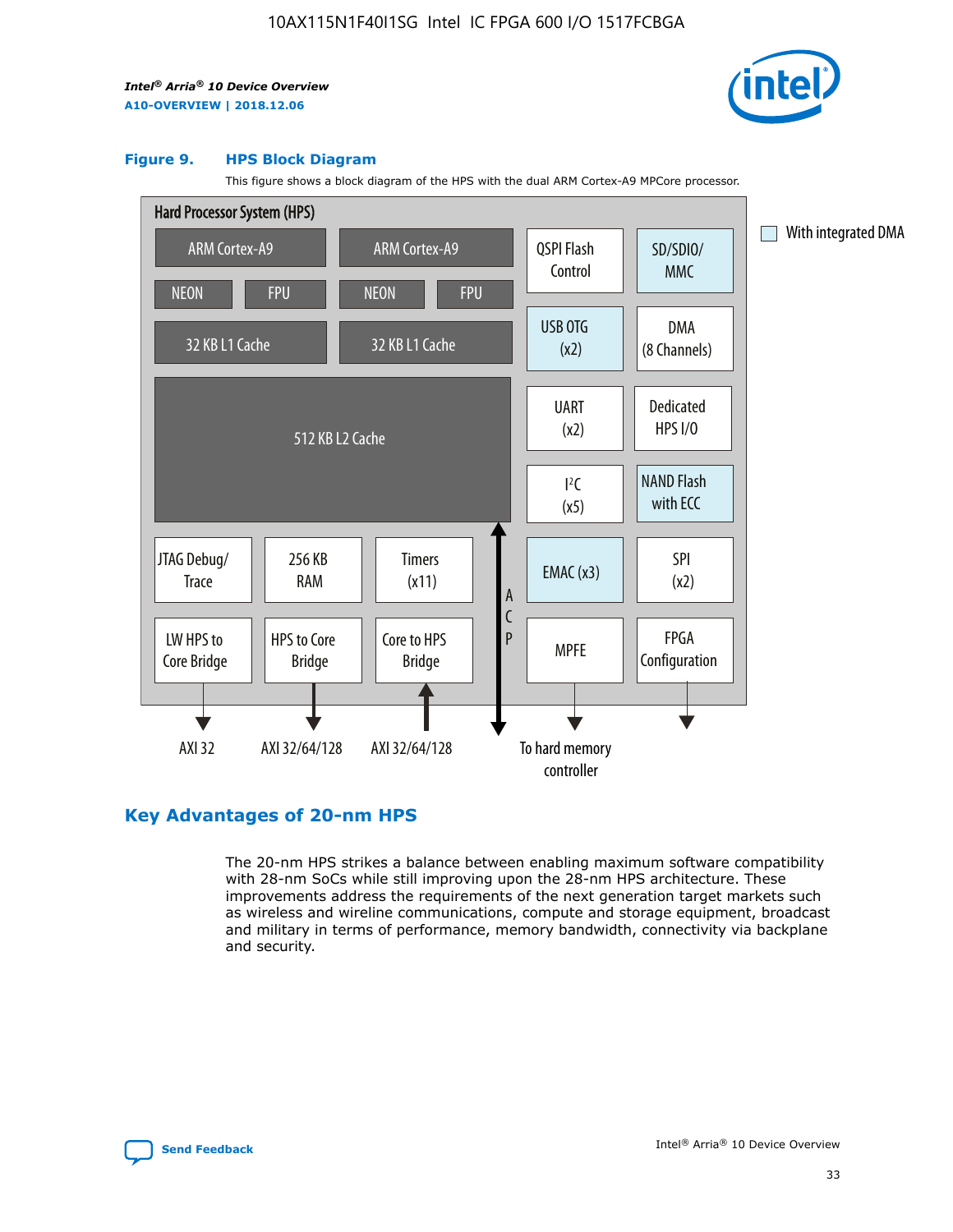

#### **Figure 9. HPS Block Diagram**

This figure shows a block diagram of the HPS with the dual ARM Cortex-A9 MPCore processor.



### **Key Advantages of 20-nm HPS**

The 20-nm HPS strikes a balance between enabling maximum software compatibility with 28-nm SoCs while still improving upon the 28-nm HPS architecture. These improvements address the requirements of the next generation target markets such as wireless and wireline communications, compute and storage equipment, broadcast and military in terms of performance, memory bandwidth, connectivity via backplane and security.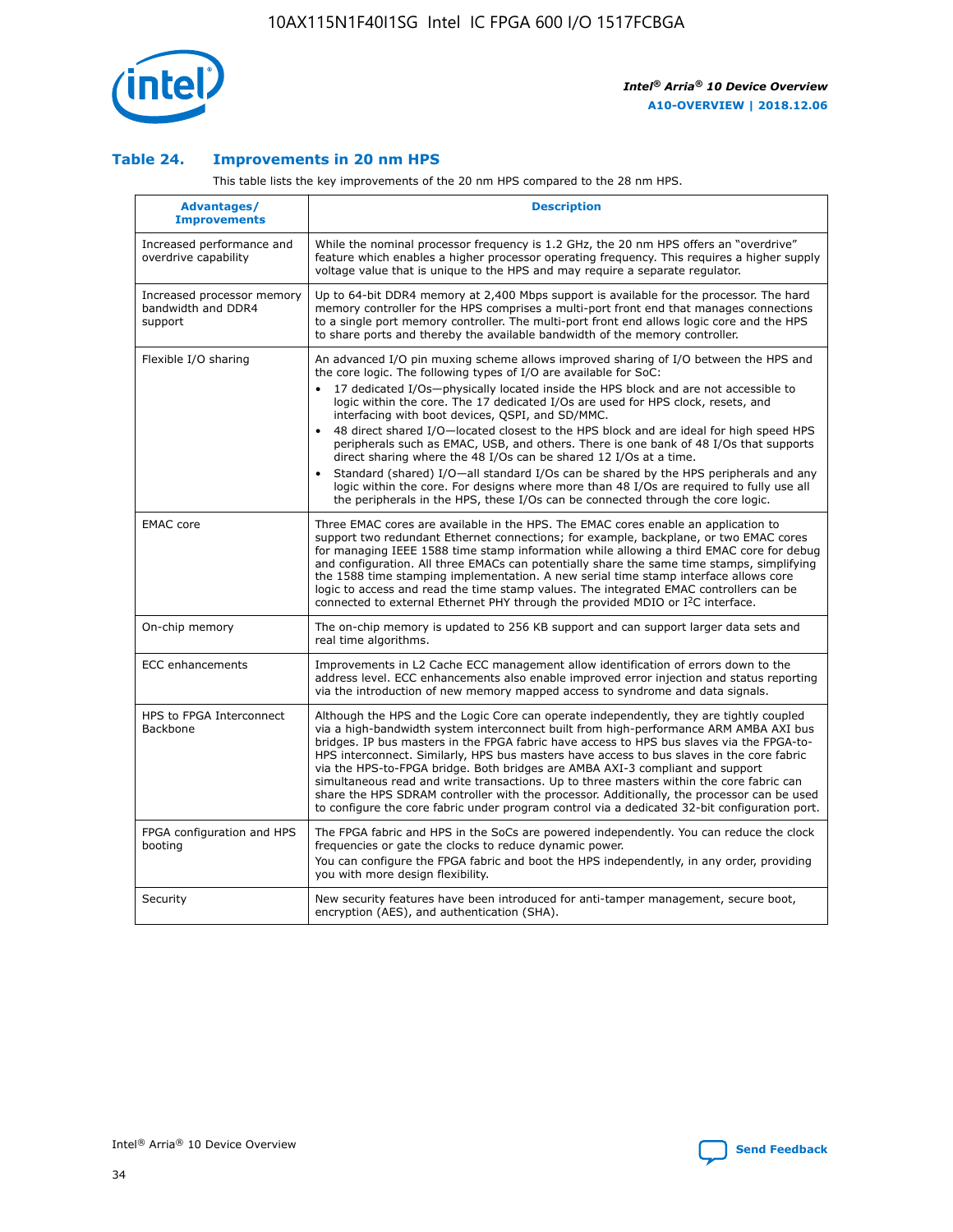

### **Table 24. Improvements in 20 nm HPS**

This table lists the key improvements of the 20 nm HPS compared to the 28 nm HPS.

| Advantages/<br><b>Improvements</b>                          | <b>Description</b>                                                                                                                                                                                                                                                                                                                                                                                                                                                                                                                                                                                                                                                                                                                                                                                                                   |
|-------------------------------------------------------------|--------------------------------------------------------------------------------------------------------------------------------------------------------------------------------------------------------------------------------------------------------------------------------------------------------------------------------------------------------------------------------------------------------------------------------------------------------------------------------------------------------------------------------------------------------------------------------------------------------------------------------------------------------------------------------------------------------------------------------------------------------------------------------------------------------------------------------------|
| Increased performance and<br>overdrive capability           | While the nominal processor frequency is 1.2 GHz, the 20 nm HPS offers an "overdrive"<br>feature which enables a higher processor operating frequency. This requires a higher supply<br>voltage value that is unique to the HPS and may require a separate requlator.                                                                                                                                                                                                                                                                                                                                                                                                                                                                                                                                                                |
| Increased processor memory<br>bandwidth and DDR4<br>support | Up to 64-bit DDR4 memory at 2,400 Mbps support is available for the processor. The hard<br>memory controller for the HPS comprises a multi-port front end that manages connections<br>to a single port memory controller. The multi-port front end allows logic core and the HPS<br>to share ports and thereby the available bandwidth of the memory controller.                                                                                                                                                                                                                                                                                                                                                                                                                                                                     |
| Flexible I/O sharing                                        | An advanced I/O pin muxing scheme allows improved sharing of I/O between the HPS and<br>the core logic. The following types of I/O are available for SoC:<br>17 dedicated I/Os-physically located inside the HPS block and are not accessible to<br>logic within the core. The 17 dedicated I/Os are used for HPS clock, resets, and<br>interfacing with boot devices, QSPI, and SD/MMC.<br>48 direct shared I/O-located closest to the HPS block and are ideal for high speed HPS<br>peripherals such as EMAC, USB, and others. There is one bank of 48 I/Os that supports<br>direct sharing where the 48 I/Os can be shared 12 I/Os at a time.<br>Standard (shared) I/O—all standard I/Os can be shared by the HPS peripherals and any<br>logic within the core. For designs where more than 48 I/Os are required to fully use all |
| <b>EMAC</b> core                                            | the peripherals in the HPS, these I/Os can be connected through the core logic.<br>Three EMAC cores are available in the HPS. The EMAC cores enable an application to                                                                                                                                                                                                                                                                                                                                                                                                                                                                                                                                                                                                                                                                |
|                                                             | support two redundant Ethernet connections; for example, backplane, or two EMAC cores<br>for managing IEEE 1588 time stamp information while allowing a third EMAC core for debug<br>and configuration. All three EMACs can potentially share the same time stamps, simplifying<br>the 1588 time stamping implementation. A new serial time stamp interface allows core<br>logic to access and read the time stamp values. The integrated EMAC controllers can be<br>connected to external Ethernet PHY through the provided MDIO or I <sup>2</sup> C interface.                                                                                                                                                                                                                                                                     |
| On-chip memory                                              | The on-chip memory is updated to 256 KB support and can support larger data sets and<br>real time algorithms.                                                                                                                                                                                                                                                                                                                                                                                                                                                                                                                                                                                                                                                                                                                        |
| <b>ECC</b> enhancements                                     | Improvements in L2 Cache ECC management allow identification of errors down to the<br>address level. ECC enhancements also enable improved error injection and status reporting<br>via the introduction of new memory mapped access to syndrome and data signals.                                                                                                                                                                                                                                                                                                                                                                                                                                                                                                                                                                    |
| HPS to FPGA Interconnect<br>Backbone                        | Although the HPS and the Logic Core can operate independently, they are tightly coupled<br>via a high-bandwidth system interconnect built from high-performance ARM AMBA AXI bus<br>bridges. IP bus masters in the FPGA fabric have access to HPS bus slaves via the FPGA-to-<br>HPS interconnect. Similarly, HPS bus masters have access to bus slaves in the core fabric<br>via the HPS-to-FPGA bridge. Both bridges are AMBA AXI-3 compliant and support<br>simultaneous read and write transactions. Up to three masters within the core fabric can<br>share the HPS SDRAM controller with the processor. Additionally, the processor can be used<br>to configure the core fabric under program control via a dedicated 32-bit configuration port.                                                                               |
| FPGA configuration and HPS<br>booting                       | The FPGA fabric and HPS in the SoCs are powered independently. You can reduce the clock<br>frequencies or gate the clocks to reduce dynamic power.<br>You can configure the FPGA fabric and boot the HPS independently, in any order, providing<br>you with more design flexibility.                                                                                                                                                                                                                                                                                                                                                                                                                                                                                                                                                 |
| Security                                                    | New security features have been introduced for anti-tamper management, secure boot,<br>encryption (AES), and authentication (SHA).                                                                                                                                                                                                                                                                                                                                                                                                                                                                                                                                                                                                                                                                                                   |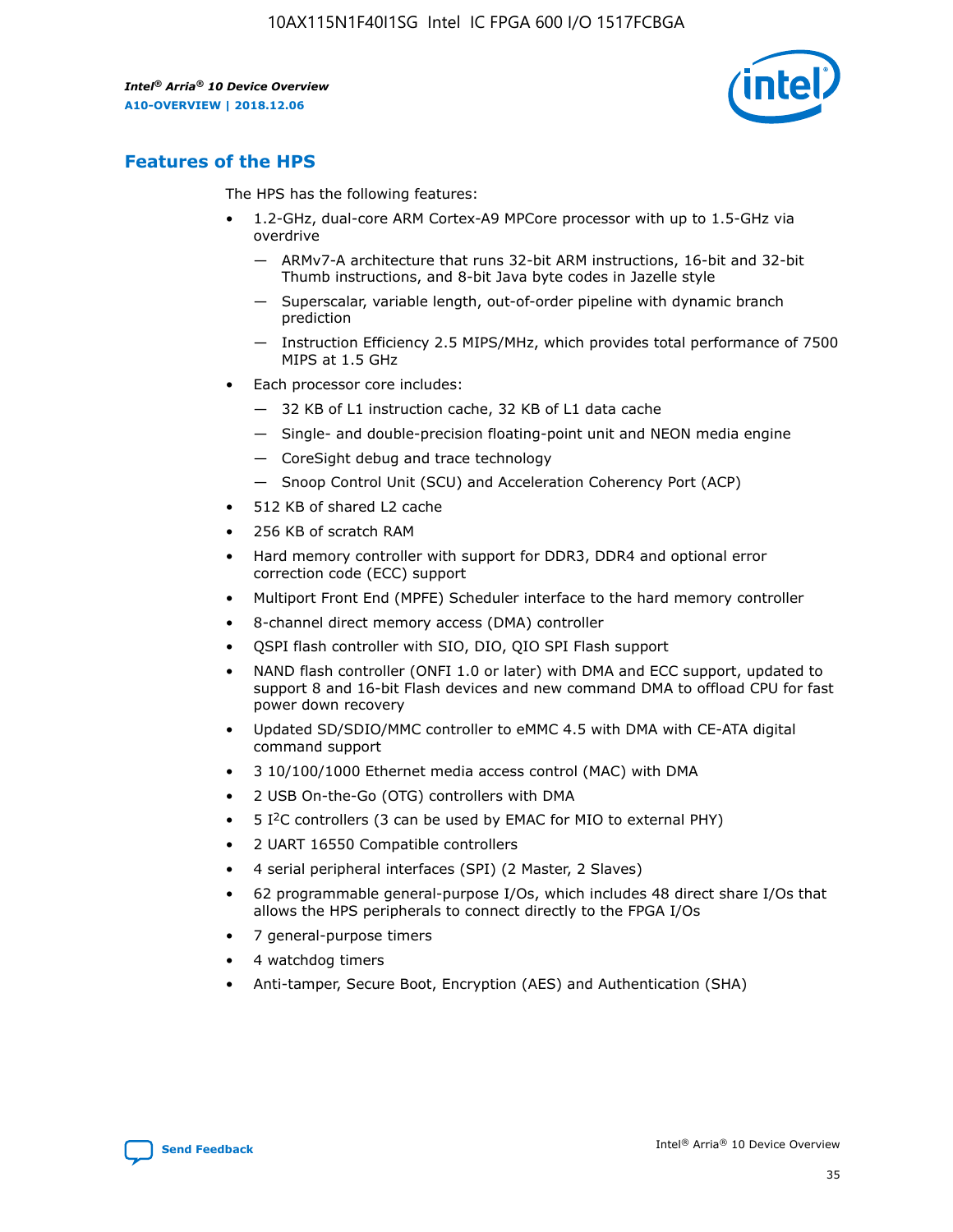

### **Features of the HPS**

The HPS has the following features:

- 1.2-GHz, dual-core ARM Cortex-A9 MPCore processor with up to 1.5-GHz via overdrive
	- ARMv7-A architecture that runs 32-bit ARM instructions, 16-bit and 32-bit Thumb instructions, and 8-bit Java byte codes in Jazelle style
	- Superscalar, variable length, out-of-order pipeline with dynamic branch prediction
	- Instruction Efficiency 2.5 MIPS/MHz, which provides total performance of 7500 MIPS at 1.5 GHz
- Each processor core includes:
	- 32 KB of L1 instruction cache, 32 KB of L1 data cache
	- Single- and double-precision floating-point unit and NEON media engine
	- CoreSight debug and trace technology
	- Snoop Control Unit (SCU) and Acceleration Coherency Port (ACP)
- 512 KB of shared L2 cache
- 256 KB of scratch RAM
- Hard memory controller with support for DDR3, DDR4 and optional error correction code (ECC) support
- Multiport Front End (MPFE) Scheduler interface to the hard memory controller
- 8-channel direct memory access (DMA) controller
- QSPI flash controller with SIO, DIO, QIO SPI Flash support
- NAND flash controller (ONFI 1.0 or later) with DMA and ECC support, updated to support 8 and 16-bit Flash devices and new command DMA to offload CPU for fast power down recovery
- Updated SD/SDIO/MMC controller to eMMC 4.5 with DMA with CE-ATA digital command support
- 3 10/100/1000 Ethernet media access control (MAC) with DMA
- 2 USB On-the-Go (OTG) controllers with DMA
- $\bullet$  5 I<sup>2</sup>C controllers (3 can be used by EMAC for MIO to external PHY)
- 2 UART 16550 Compatible controllers
- 4 serial peripheral interfaces (SPI) (2 Master, 2 Slaves)
- 62 programmable general-purpose I/Os, which includes 48 direct share I/Os that allows the HPS peripherals to connect directly to the FPGA I/Os
- 7 general-purpose timers
- 4 watchdog timers
- Anti-tamper, Secure Boot, Encryption (AES) and Authentication (SHA)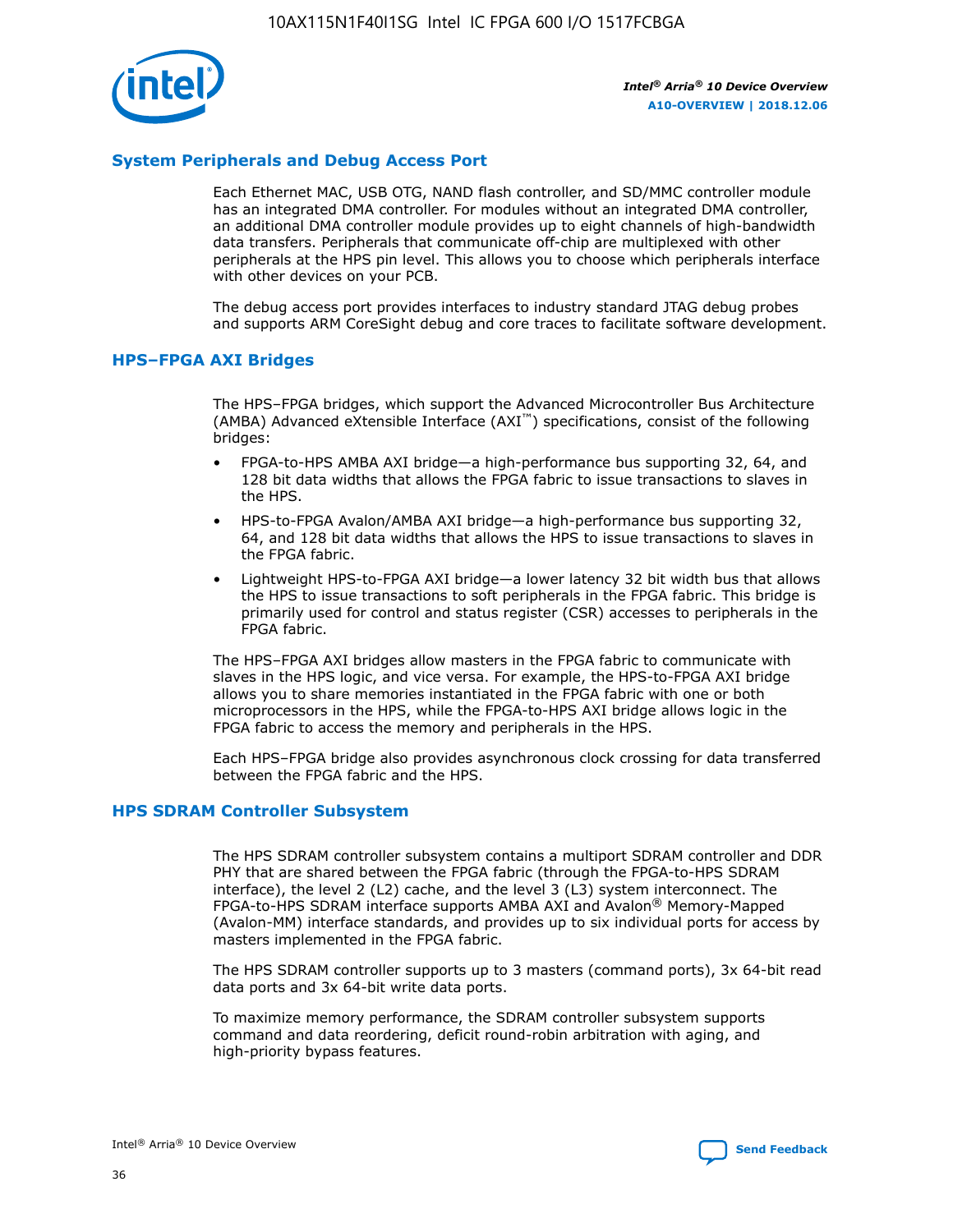

### **System Peripherals and Debug Access Port**

Each Ethernet MAC, USB OTG, NAND flash controller, and SD/MMC controller module has an integrated DMA controller. For modules without an integrated DMA controller, an additional DMA controller module provides up to eight channels of high-bandwidth data transfers. Peripherals that communicate off-chip are multiplexed with other peripherals at the HPS pin level. This allows you to choose which peripherals interface with other devices on your PCB.

The debug access port provides interfaces to industry standard JTAG debug probes and supports ARM CoreSight debug and core traces to facilitate software development.

### **HPS–FPGA AXI Bridges**

The HPS–FPGA bridges, which support the Advanced Microcontroller Bus Architecture (AMBA) Advanced eXtensible Interface (AXI™) specifications, consist of the following bridges:

- FPGA-to-HPS AMBA AXI bridge—a high-performance bus supporting 32, 64, and 128 bit data widths that allows the FPGA fabric to issue transactions to slaves in the HPS.
- HPS-to-FPGA Avalon/AMBA AXI bridge—a high-performance bus supporting 32, 64, and 128 bit data widths that allows the HPS to issue transactions to slaves in the FPGA fabric.
- Lightweight HPS-to-FPGA AXI bridge—a lower latency 32 bit width bus that allows the HPS to issue transactions to soft peripherals in the FPGA fabric. This bridge is primarily used for control and status register (CSR) accesses to peripherals in the FPGA fabric.

The HPS–FPGA AXI bridges allow masters in the FPGA fabric to communicate with slaves in the HPS logic, and vice versa. For example, the HPS-to-FPGA AXI bridge allows you to share memories instantiated in the FPGA fabric with one or both microprocessors in the HPS, while the FPGA-to-HPS AXI bridge allows logic in the FPGA fabric to access the memory and peripherals in the HPS.

Each HPS–FPGA bridge also provides asynchronous clock crossing for data transferred between the FPGA fabric and the HPS.

### **HPS SDRAM Controller Subsystem**

The HPS SDRAM controller subsystem contains a multiport SDRAM controller and DDR PHY that are shared between the FPGA fabric (through the FPGA-to-HPS SDRAM interface), the level 2 (L2) cache, and the level 3 (L3) system interconnect. The FPGA-to-HPS SDRAM interface supports AMBA AXI and Avalon® Memory-Mapped (Avalon-MM) interface standards, and provides up to six individual ports for access by masters implemented in the FPGA fabric.

The HPS SDRAM controller supports up to 3 masters (command ports), 3x 64-bit read data ports and 3x 64-bit write data ports.

To maximize memory performance, the SDRAM controller subsystem supports command and data reordering, deficit round-robin arbitration with aging, and high-priority bypass features.

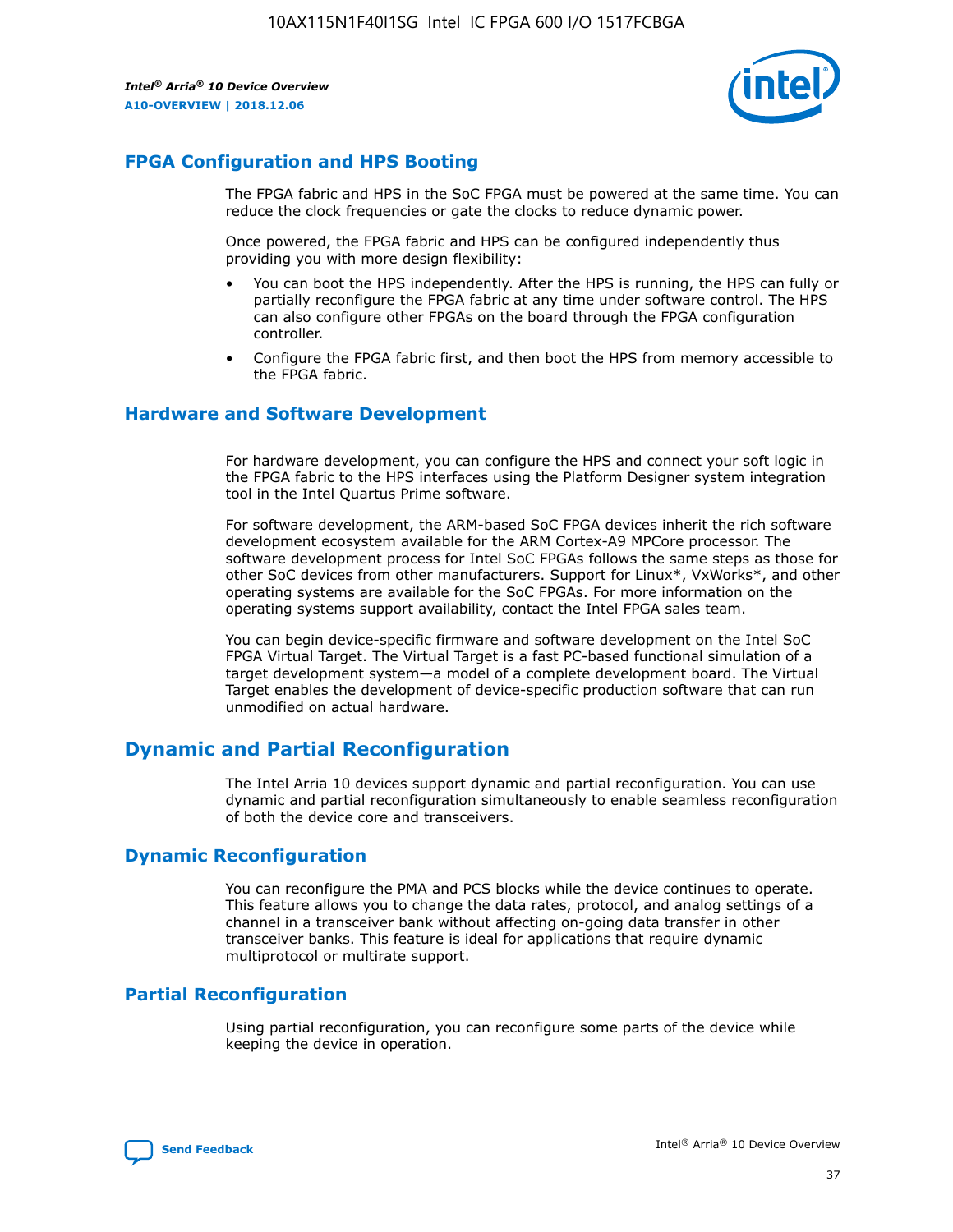

### **FPGA Configuration and HPS Booting**

The FPGA fabric and HPS in the SoC FPGA must be powered at the same time. You can reduce the clock frequencies or gate the clocks to reduce dynamic power.

Once powered, the FPGA fabric and HPS can be configured independently thus providing you with more design flexibility:

- You can boot the HPS independently. After the HPS is running, the HPS can fully or partially reconfigure the FPGA fabric at any time under software control. The HPS can also configure other FPGAs on the board through the FPGA configuration controller.
- Configure the FPGA fabric first, and then boot the HPS from memory accessible to the FPGA fabric.

### **Hardware and Software Development**

For hardware development, you can configure the HPS and connect your soft logic in the FPGA fabric to the HPS interfaces using the Platform Designer system integration tool in the Intel Quartus Prime software.

For software development, the ARM-based SoC FPGA devices inherit the rich software development ecosystem available for the ARM Cortex-A9 MPCore processor. The software development process for Intel SoC FPGAs follows the same steps as those for other SoC devices from other manufacturers. Support for Linux\*, VxWorks\*, and other operating systems are available for the SoC FPGAs. For more information on the operating systems support availability, contact the Intel FPGA sales team.

You can begin device-specific firmware and software development on the Intel SoC FPGA Virtual Target. The Virtual Target is a fast PC-based functional simulation of a target development system—a model of a complete development board. The Virtual Target enables the development of device-specific production software that can run unmodified on actual hardware.

### **Dynamic and Partial Reconfiguration**

The Intel Arria 10 devices support dynamic and partial reconfiguration. You can use dynamic and partial reconfiguration simultaneously to enable seamless reconfiguration of both the device core and transceivers.

### **Dynamic Reconfiguration**

You can reconfigure the PMA and PCS blocks while the device continues to operate. This feature allows you to change the data rates, protocol, and analog settings of a channel in a transceiver bank without affecting on-going data transfer in other transceiver banks. This feature is ideal for applications that require dynamic multiprotocol or multirate support.

### **Partial Reconfiguration**

Using partial reconfiguration, you can reconfigure some parts of the device while keeping the device in operation.

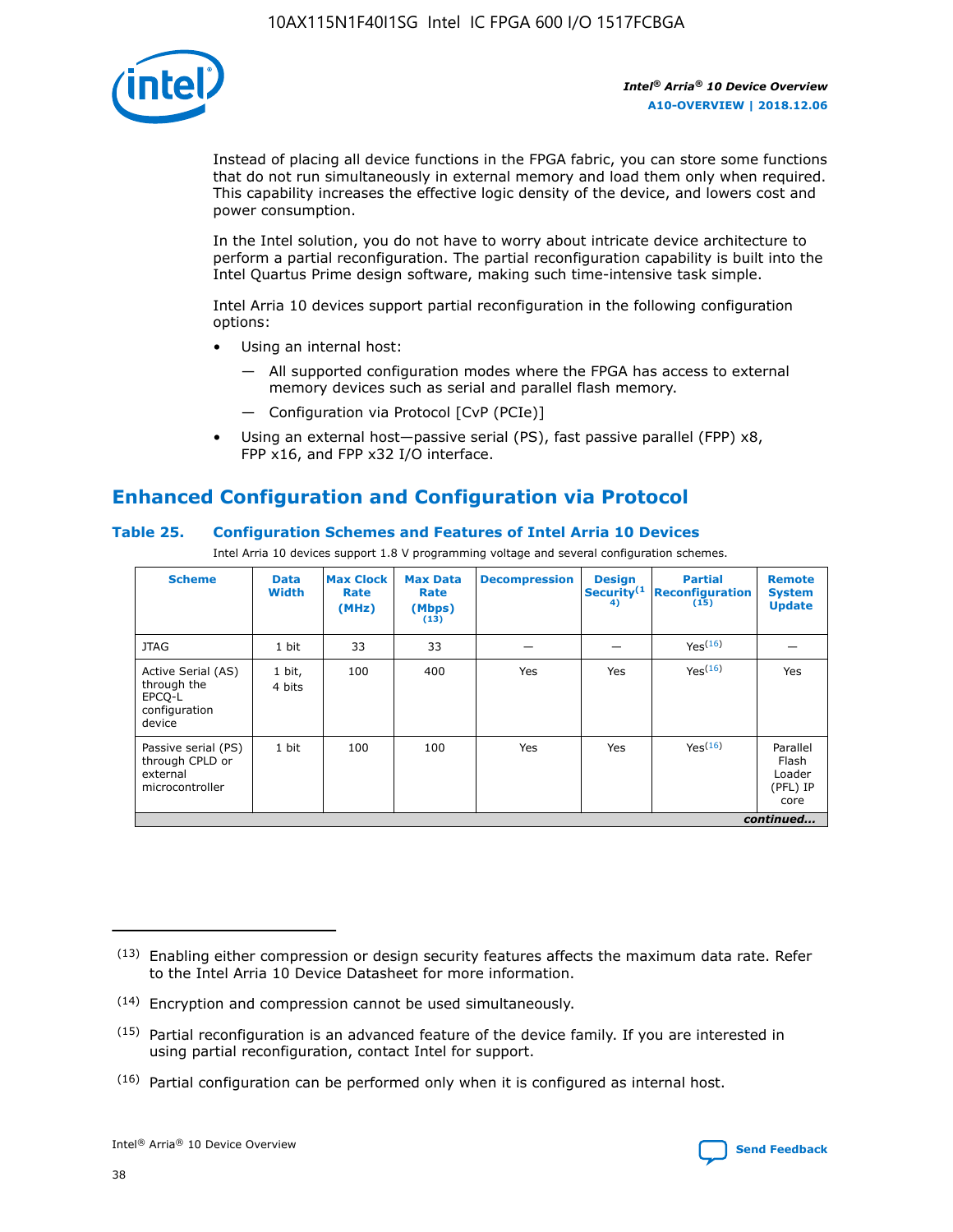

Instead of placing all device functions in the FPGA fabric, you can store some functions that do not run simultaneously in external memory and load them only when required. This capability increases the effective logic density of the device, and lowers cost and power consumption.

In the Intel solution, you do not have to worry about intricate device architecture to perform a partial reconfiguration. The partial reconfiguration capability is built into the Intel Quartus Prime design software, making such time-intensive task simple.

Intel Arria 10 devices support partial reconfiguration in the following configuration options:

- Using an internal host:
	- All supported configuration modes where the FPGA has access to external memory devices such as serial and parallel flash memory.
	- Configuration via Protocol [CvP (PCIe)]
- Using an external host—passive serial (PS), fast passive parallel (FPP) x8, FPP x16, and FPP x32 I/O interface.

### **Enhanced Configuration and Configuration via Protocol**

### **Table 25. Configuration Schemes and Features of Intel Arria 10 Devices**

Intel Arria 10 devices support 1.8 V programming voltage and several configuration schemes.

| <b>Scheme</b>                                                          | <b>Data</b><br><b>Width</b> | <b>Max Clock</b><br>Rate<br>(MHz) | <b>Max Data</b><br>Rate<br>(Mbps)<br>(13) | <b>Decompression</b> | <b>Design</b><br>Security <sup>(1</sup><br>4) | <b>Partial</b><br><b>Reconfiguration</b><br>(15) | <b>Remote</b><br><b>System</b><br><b>Update</b> |
|------------------------------------------------------------------------|-----------------------------|-----------------------------------|-------------------------------------------|----------------------|-----------------------------------------------|--------------------------------------------------|-------------------------------------------------|
| <b>JTAG</b>                                                            | 1 bit                       | 33                                | 33                                        |                      |                                               | Yes(16)                                          |                                                 |
| Active Serial (AS)<br>through the<br>EPCO-L<br>configuration<br>device | 1 bit,<br>4 bits            | 100                               | 400                                       | Yes                  | Yes                                           | $Y_{PS}(16)$                                     | Yes                                             |
| Passive serial (PS)<br>through CPLD or<br>external<br>microcontroller  | 1 bit                       | 100                               | 100                                       | Yes                  | Yes                                           | Yes(16)                                          | Parallel<br>Flash<br>Loader<br>(PFL) IP<br>core |
|                                                                        |                             |                                   |                                           |                      |                                               |                                                  | continued                                       |

<sup>(13)</sup> Enabling either compression or design security features affects the maximum data rate. Refer to the Intel Arria 10 Device Datasheet for more information.

<sup>(14)</sup> Encryption and compression cannot be used simultaneously.

 $(15)$  Partial reconfiguration is an advanced feature of the device family. If you are interested in using partial reconfiguration, contact Intel for support.

 $(16)$  Partial configuration can be performed only when it is configured as internal host.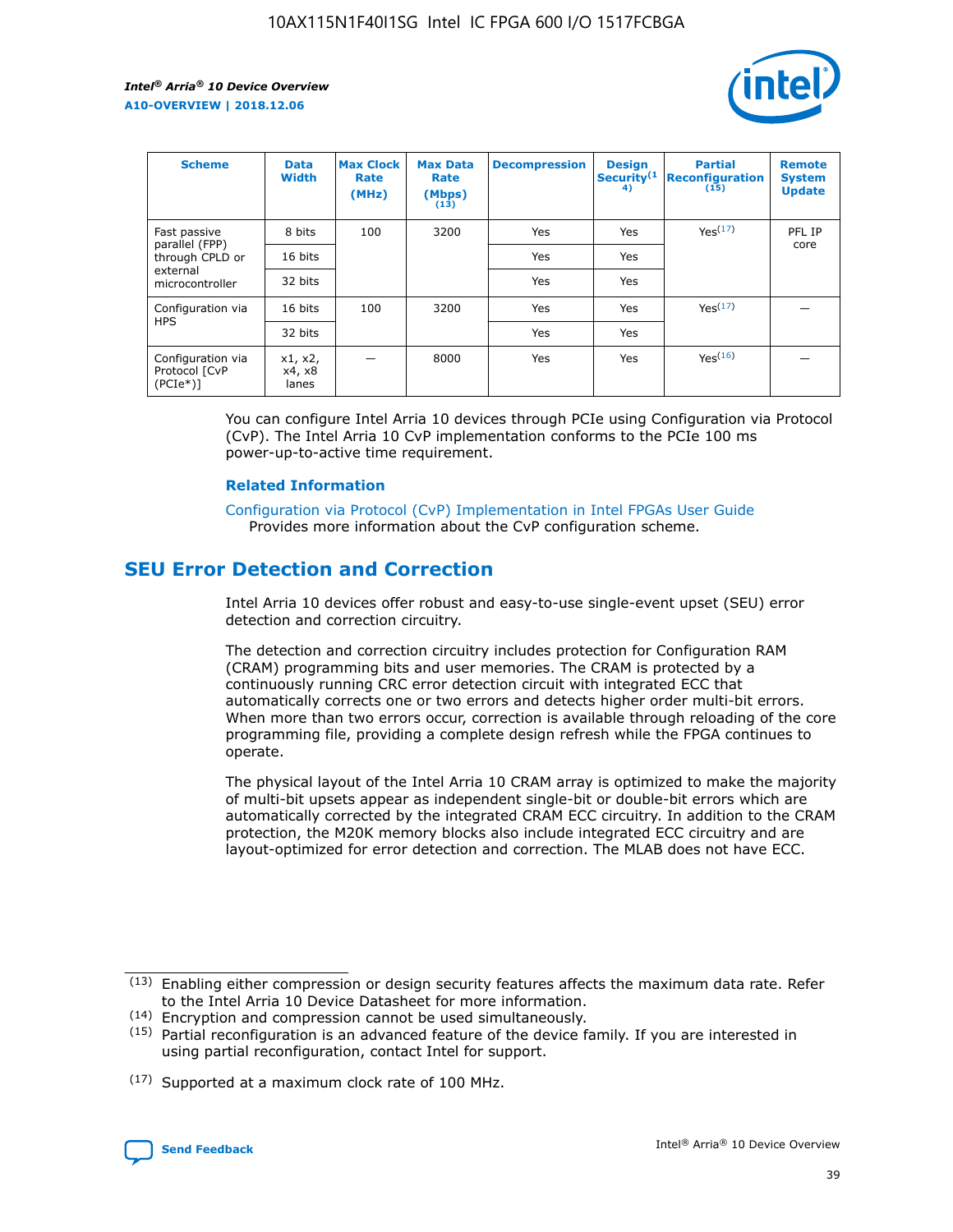

| <b>Scheme</b>                                    | <b>Data</b><br><b>Width</b> | <b>Max Clock</b><br>Rate<br>(MHz) | <b>Max Data</b><br>Rate<br>(Mbps)<br>(13) | <b>Decompression</b> | <b>Design</b><br>Security <sup>(1</sup><br>4) | <b>Partial</b><br><b>Reconfiguration</b><br>(15) | <b>Remote</b><br><b>System</b><br><b>Update</b> |
|--------------------------------------------------|-----------------------------|-----------------------------------|-------------------------------------------|----------------------|-----------------------------------------------|--------------------------------------------------|-------------------------------------------------|
| Fast passive                                     | 8 bits                      | 100                               | 3200                                      | <b>Yes</b>           | Yes                                           | Yes(17)                                          | PFL IP                                          |
| parallel (FPP)<br>through CPLD or                | 16 bits                     |                                   |                                           | Yes                  | Yes                                           |                                                  | core                                            |
| external<br>microcontroller                      | 32 bits                     |                                   |                                           | Yes                  | Yes                                           |                                                  |                                                 |
| Configuration via                                | 16 bits                     | 100                               | 3200                                      | Yes                  | Yes                                           | Yes <sup>(17)</sup>                              |                                                 |
| <b>HPS</b>                                       | 32 bits                     |                                   |                                           | Yes                  | Yes                                           |                                                  |                                                 |
| Configuration via<br>Protocol [CvP<br>$(PCIe^*)$ | x1, x2,<br>x4, x8<br>lanes  |                                   | 8000                                      | Yes                  | Yes                                           | Yes <sup>(16)</sup>                              |                                                 |

You can configure Intel Arria 10 devices through PCIe using Configuration via Protocol (CvP). The Intel Arria 10 CvP implementation conforms to the PCIe 100 ms power-up-to-active time requirement.

#### **Related Information**

[Configuration via Protocol \(CvP\) Implementation in Intel FPGAs User Guide](https://www.intel.com/content/www/us/en/programmable/documentation/dsu1441819344145.html#dsu1442269728522) Provides more information about the CvP configuration scheme.

### **SEU Error Detection and Correction**

Intel Arria 10 devices offer robust and easy-to-use single-event upset (SEU) error detection and correction circuitry.

The detection and correction circuitry includes protection for Configuration RAM (CRAM) programming bits and user memories. The CRAM is protected by a continuously running CRC error detection circuit with integrated ECC that automatically corrects one or two errors and detects higher order multi-bit errors. When more than two errors occur, correction is available through reloading of the core programming file, providing a complete design refresh while the FPGA continues to operate.

The physical layout of the Intel Arria 10 CRAM array is optimized to make the majority of multi-bit upsets appear as independent single-bit or double-bit errors which are automatically corrected by the integrated CRAM ECC circuitry. In addition to the CRAM protection, the M20K memory blocks also include integrated ECC circuitry and are layout-optimized for error detection and correction. The MLAB does not have ECC.

<sup>(17)</sup> Supported at a maximum clock rate of 100 MHz.



 $(13)$  Enabling either compression or design security features affects the maximum data rate. Refer to the Intel Arria 10 Device Datasheet for more information.

<sup>(14)</sup> Encryption and compression cannot be used simultaneously.

 $(15)$  Partial reconfiguration is an advanced feature of the device family. If you are interested in using partial reconfiguration, contact Intel for support.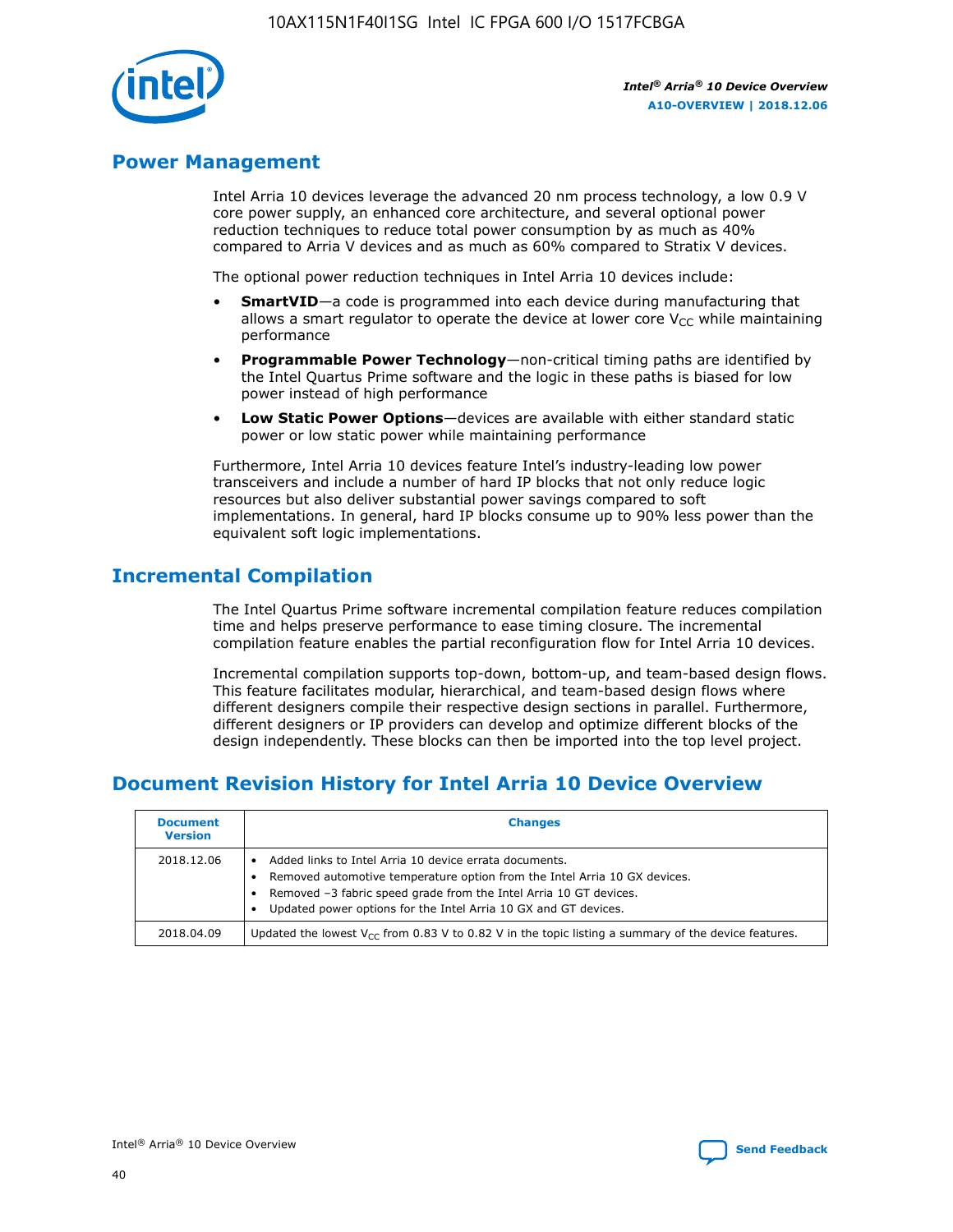

### **Power Management**

Intel Arria 10 devices leverage the advanced 20 nm process technology, a low 0.9 V core power supply, an enhanced core architecture, and several optional power reduction techniques to reduce total power consumption by as much as 40% compared to Arria V devices and as much as 60% compared to Stratix V devices.

The optional power reduction techniques in Intel Arria 10 devices include:

- **SmartVID**—a code is programmed into each device during manufacturing that allows a smart regulator to operate the device at lower core  $V_{CC}$  while maintaining performance
- **Programmable Power Technology**—non-critical timing paths are identified by the Intel Quartus Prime software and the logic in these paths is biased for low power instead of high performance
- **Low Static Power Options**—devices are available with either standard static power or low static power while maintaining performance

Furthermore, Intel Arria 10 devices feature Intel's industry-leading low power transceivers and include a number of hard IP blocks that not only reduce logic resources but also deliver substantial power savings compared to soft implementations. In general, hard IP blocks consume up to 90% less power than the equivalent soft logic implementations.

### **Incremental Compilation**

The Intel Quartus Prime software incremental compilation feature reduces compilation time and helps preserve performance to ease timing closure. The incremental compilation feature enables the partial reconfiguration flow for Intel Arria 10 devices.

Incremental compilation supports top-down, bottom-up, and team-based design flows. This feature facilitates modular, hierarchical, and team-based design flows where different designers compile their respective design sections in parallel. Furthermore, different designers or IP providers can develop and optimize different blocks of the design independently. These blocks can then be imported into the top level project.

### **Document Revision History for Intel Arria 10 Device Overview**

| <b>Document</b><br><b>Version</b> | <b>Changes</b>                                                                                                                                                                                                                                                              |
|-----------------------------------|-----------------------------------------------------------------------------------------------------------------------------------------------------------------------------------------------------------------------------------------------------------------------------|
| 2018.12.06                        | Added links to Intel Arria 10 device errata documents.<br>Removed automotive temperature option from the Intel Arria 10 GX devices.<br>Removed -3 fabric speed grade from the Intel Arria 10 GT devices.<br>Updated power options for the Intel Arria 10 GX and GT devices. |
| 2018.04.09                        | Updated the lowest $V_{CC}$ from 0.83 V to 0.82 V in the topic listing a summary of the device features.                                                                                                                                                                    |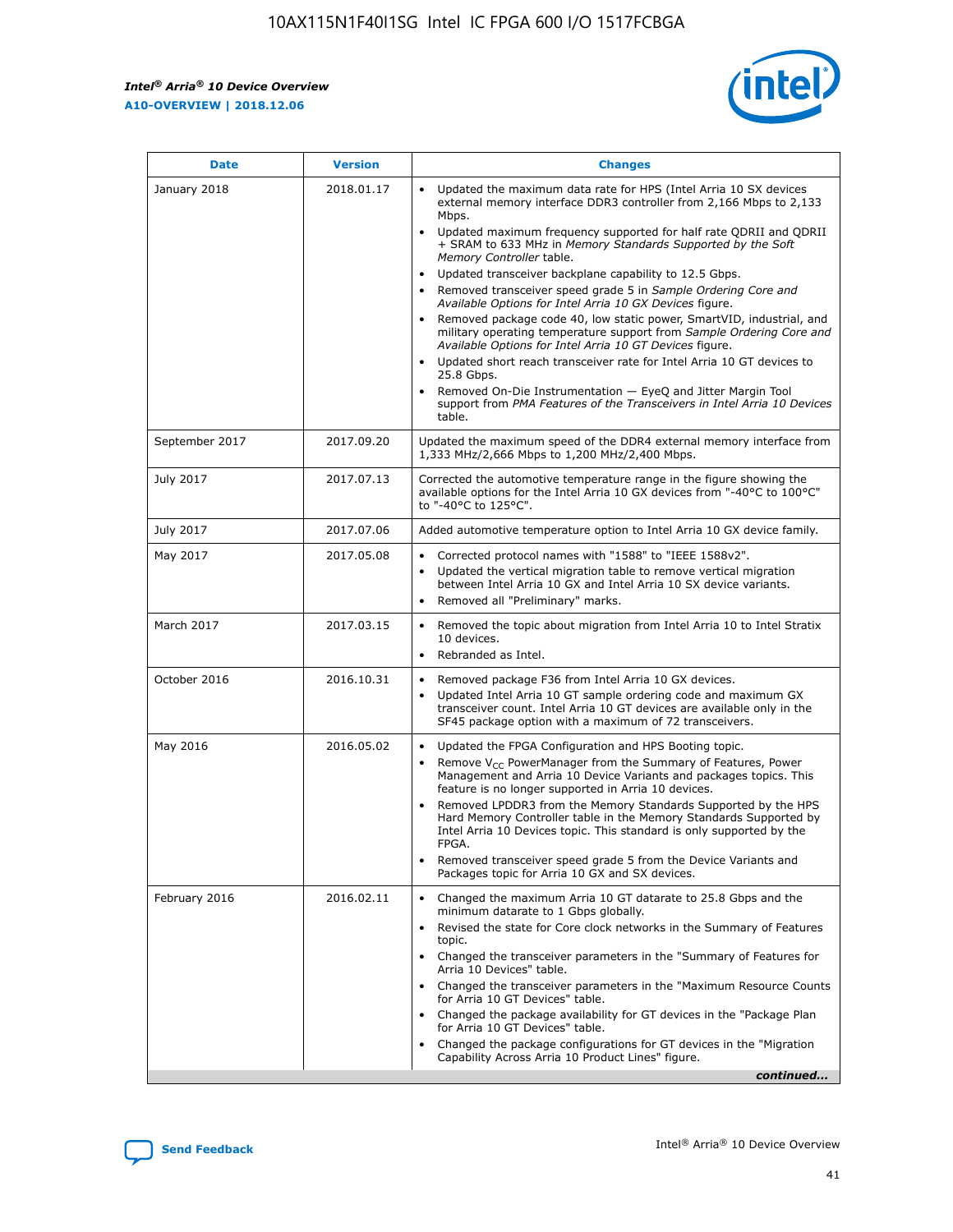*Intel® Arria® 10 Device Overview* **A10-OVERVIEW | 2018.12.06**



| <b>Date</b>    | <b>Version</b> | <b>Changes</b>                                                                                                                                                                                                                                                                                                                                                                                                                                                                                                                                                                                                                                                                                                                                                                                                                                                                                                                                                            |
|----------------|----------------|---------------------------------------------------------------------------------------------------------------------------------------------------------------------------------------------------------------------------------------------------------------------------------------------------------------------------------------------------------------------------------------------------------------------------------------------------------------------------------------------------------------------------------------------------------------------------------------------------------------------------------------------------------------------------------------------------------------------------------------------------------------------------------------------------------------------------------------------------------------------------------------------------------------------------------------------------------------------------|
| January 2018   | 2018.01.17     | Updated the maximum data rate for HPS (Intel Arria 10 SX devices<br>external memory interface DDR3 controller from 2,166 Mbps to 2,133<br>Mbps.<br>Updated maximum frequency supported for half rate QDRII and QDRII<br>+ SRAM to 633 MHz in Memory Standards Supported by the Soft<br>Memory Controller table.<br>Updated transceiver backplane capability to 12.5 Gbps.<br>$\bullet$<br>Removed transceiver speed grade 5 in Sample Ordering Core and<br>Available Options for Intel Arria 10 GX Devices figure.<br>Removed package code 40, low static power, SmartVID, industrial, and<br>military operating temperature support from Sample Ordering Core and<br>Available Options for Intel Arria 10 GT Devices figure.<br>Updated short reach transceiver rate for Intel Arria 10 GT devices to<br>25.8 Gbps.<br>Removed On-Die Instrumentation - EyeQ and Jitter Margin Tool<br>support from PMA Features of the Transceivers in Intel Arria 10 Devices<br>table. |
| September 2017 | 2017.09.20     | Updated the maximum speed of the DDR4 external memory interface from<br>1,333 MHz/2,666 Mbps to 1,200 MHz/2,400 Mbps.                                                                                                                                                                                                                                                                                                                                                                                                                                                                                                                                                                                                                                                                                                                                                                                                                                                     |
| July 2017      | 2017.07.13     | Corrected the automotive temperature range in the figure showing the<br>available options for the Intel Arria 10 GX devices from "-40°C to 100°C"<br>to "-40°C to 125°C".                                                                                                                                                                                                                                                                                                                                                                                                                                                                                                                                                                                                                                                                                                                                                                                                 |
| July 2017      | 2017.07.06     | Added automotive temperature option to Intel Arria 10 GX device family.                                                                                                                                                                                                                                                                                                                                                                                                                                                                                                                                                                                                                                                                                                                                                                                                                                                                                                   |
| May 2017       | 2017.05.08     | Corrected protocol names with "1588" to "IEEE 1588v2".<br>$\bullet$<br>Updated the vertical migration table to remove vertical migration<br>$\bullet$<br>between Intel Arria 10 GX and Intel Arria 10 SX device variants.<br>Removed all "Preliminary" marks.<br>$\bullet$                                                                                                                                                                                                                                                                                                                                                                                                                                                                                                                                                                                                                                                                                                |
| March 2017     | 2017.03.15     | Removed the topic about migration from Intel Arria 10 to Intel Stratix<br>10 devices.<br>Rebranded as Intel.<br>$\bullet$                                                                                                                                                                                                                                                                                                                                                                                                                                                                                                                                                                                                                                                                                                                                                                                                                                                 |
| October 2016   | 2016.10.31     | Removed package F36 from Intel Arria 10 GX devices.<br>Updated Intel Arria 10 GT sample ordering code and maximum GX<br>$\bullet$<br>transceiver count. Intel Arria 10 GT devices are available only in the<br>SF45 package option with a maximum of 72 transceivers.                                                                                                                                                                                                                                                                                                                                                                                                                                                                                                                                                                                                                                                                                                     |
| May 2016       | 2016.05.02     | Updated the FPGA Configuration and HPS Booting topic.<br>$\bullet$<br>Remove V <sub>CC</sub> PowerManager from the Summary of Features, Power<br>Management and Arria 10 Device Variants and packages topics. This<br>feature is no longer supported in Arria 10 devices.<br>Removed LPDDR3 from the Memory Standards Supported by the HPS<br>Hard Memory Controller table in the Memory Standards Supported by<br>Intel Arria 10 Devices topic. This standard is only supported by the<br>FPGA.<br>Removed transceiver speed grade 5 from the Device Variants and<br>Packages topic for Arria 10 GX and SX devices.                                                                                                                                                                                                                                                                                                                                                      |
| February 2016  | 2016.02.11     | Changed the maximum Arria 10 GT datarate to 25.8 Gbps and the<br>minimum datarate to 1 Gbps globally.<br>Revised the state for Core clock networks in the Summary of Features<br>$\bullet$<br>topic.<br>Changed the transceiver parameters in the "Summary of Features for<br>$\bullet$<br>Arria 10 Devices" table.<br>• Changed the transceiver parameters in the "Maximum Resource Counts<br>for Arria 10 GT Devices" table.<br>Changed the package availability for GT devices in the "Package Plan<br>for Arria 10 GT Devices" table.<br>Changed the package configurations for GT devices in the "Migration"<br>Capability Across Arria 10 Product Lines" figure.<br>continued                                                                                                                                                                                                                                                                                       |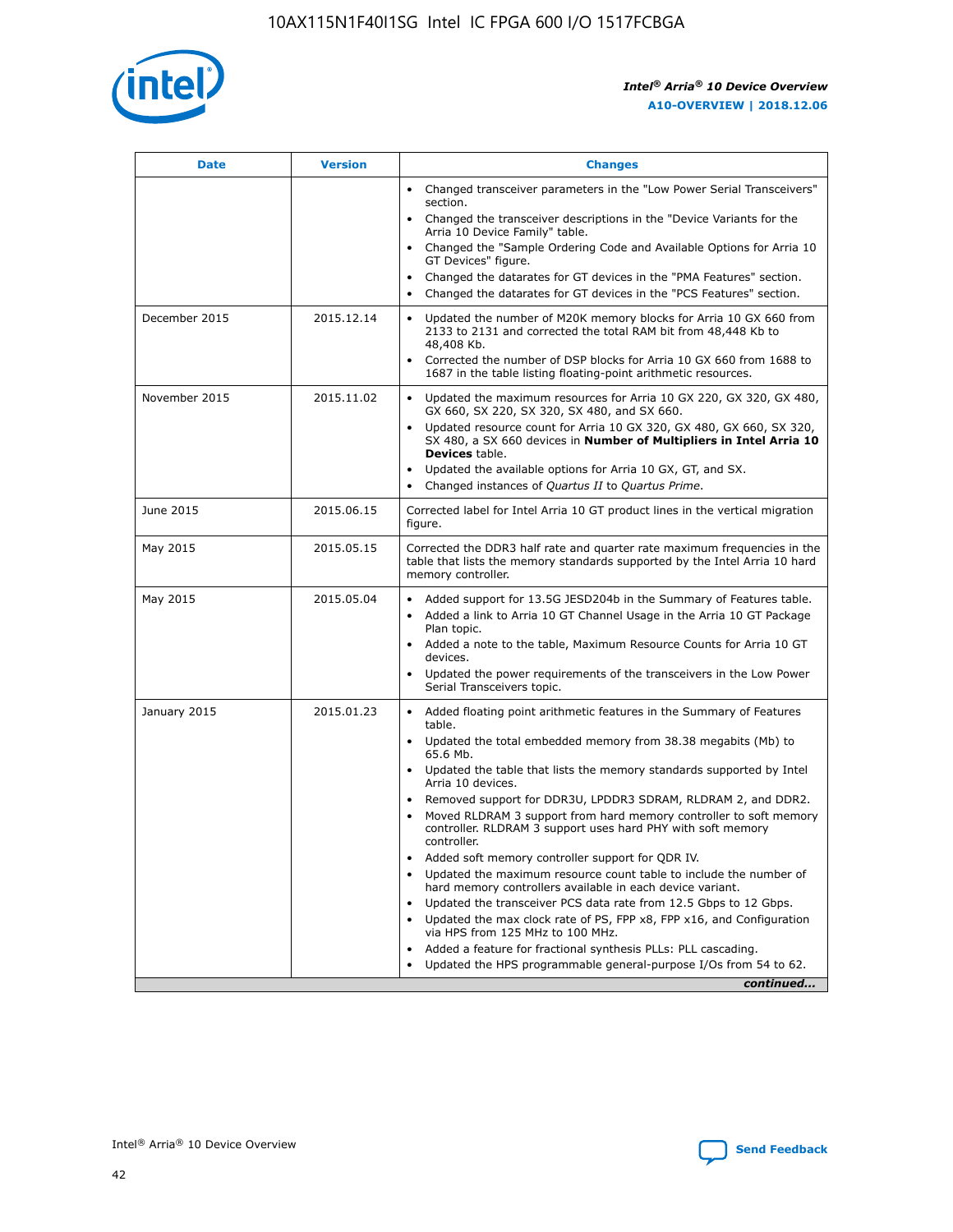

| <b>Date</b>   | <b>Version</b> | <b>Changes</b>                                                                                                                                                               |
|---------------|----------------|------------------------------------------------------------------------------------------------------------------------------------------------------------------------------|
|               |                | • Changed transceiver parameters in the "Low Power Serial Transceivers"<br>section.                                                                                          |
|               |                | • Changed the transceiver descriptions in the "Device Variants for the<br>Arria 10 Device Family" table.                                                                     |
|               |                | Changed the "Sample Ordering Code and Available Options for Arria 10<br>$\bullet$<br>GT Devices" figure.                                                                     |
|               |                | Changed the datarates for GT devices in the "PMA Features" section.                                                                                                          |
|               |                | Changed the datarates for GT devices in the "PCS Features" section.<br>$\bullet$                                                                                             |
| December 2015 | 2015.12.14     | Updated the number of M20K memory blocks for Arria 10 GX 660 from<br>2133 to 2131 and corrected the total RAM bit from 48,448 Kb to<br>48,408 Kb.                            |
|               |                | Corrected the number of DSP blocks for Arria 10 GX 660 from 1688 to<br>1687 in the table listing floating-point arithmetic resources.                                        |
| November 2015 | 2015.11.02     | Updated the maximum resources for Arria 10 GX 220, GX 320, GX 480,<br>$\bullet$<br>GX 660, SX 220, SX 320, SX 480, and SX 660.                                               |
|               |                | • Updated resource count for Arria 10 GX 320, GX 480, GX 660, SX 320,<br>SX 480, a SX 660 devices in Number of Multipliers in Intel Arria 10<br><b>Devices</b> table.        |
|               |                | Updated the available options for Arria 10 GX, GT, and SX.                                                                                                                   |
|               |                | Changed instances of Quartus II to Quartus Prime.<br>$\bullet$                                                                                                               |
| June 2015     | 2015.06.15     | Corrected label for Intel Arria 10 GT product lines in the vertical migration<br>figure.                                                                                     |
| May 2015      | 2015.05.15     | Corrected the DDR3 half rate and quarter rate maximum frequencies in the<br>table that lists the memory standards supported by the Intel Arria 10 hard<br>memory controller. |
| May 2015      | 2015.05.04     | • Added support for 13.5G JESD204b in the Summary of Features table.<br>• Added a link to Arria 10 GT Channel Usage in the Arria 10 GT Package<br>Plan topic.                |
|               |                | • Added a note to the table, Maximum Resource Counts for Arria 10 GT<br>devices.                                                                                             |
|               |                | • Updated the power requirements of the transceivers in the Low Power<br>Serial Transceivers topic.                                                                          |
| January 2015  | 2015.01.23     | • Added floating point arithmetic features in the Summary of Features<br>table.                                                                                              |
|               |                | • Updated the total embedded memory from 38.38 megabits (Mb) to<br>65.6 Mb.                                                                                                  |
|               |                | • Updated the table that lists the memory standards supported by Intel<br>Arria 10 devices.                                                                                  |
|               |                | Removed support for DDR3U, LPDDR3 SDRAM, RLDRAM 2, and DDR2.                                                                                                                 |
|               |                | Moved RLDRAM 3 support from hard memory controller to soft memory<br>controller. RLDRAM 3 support uses hard PHY with soft memory<br>controller.                              |
|               |                | Added soft memory controller support for QDR IV.<br>٠                                                                                                                        |
|               |                | Updated the maximum resource count table to include the number of<br>hard memory controllers available in each device variant.                                               |
|               |                | Updated the transceiver PCS data rate from 12.5 Gbps to 12 Gbps.<br>$\bullet$                                                                                                |
|               |                | Updated the max clock rate of PS, FPP x8, FPP x16, and Configuration<br>via HPS from 125 MHz to 100 MHz.                                                                     |
|               |                | Added a feature for fractional synthesis PLLs: PLL cascading.                                                                                                                |
|               |                | Updated the HPS programmable general-purpose I/Os from 54 to 62.<br>$\bullet$<br>continued                                                                                   |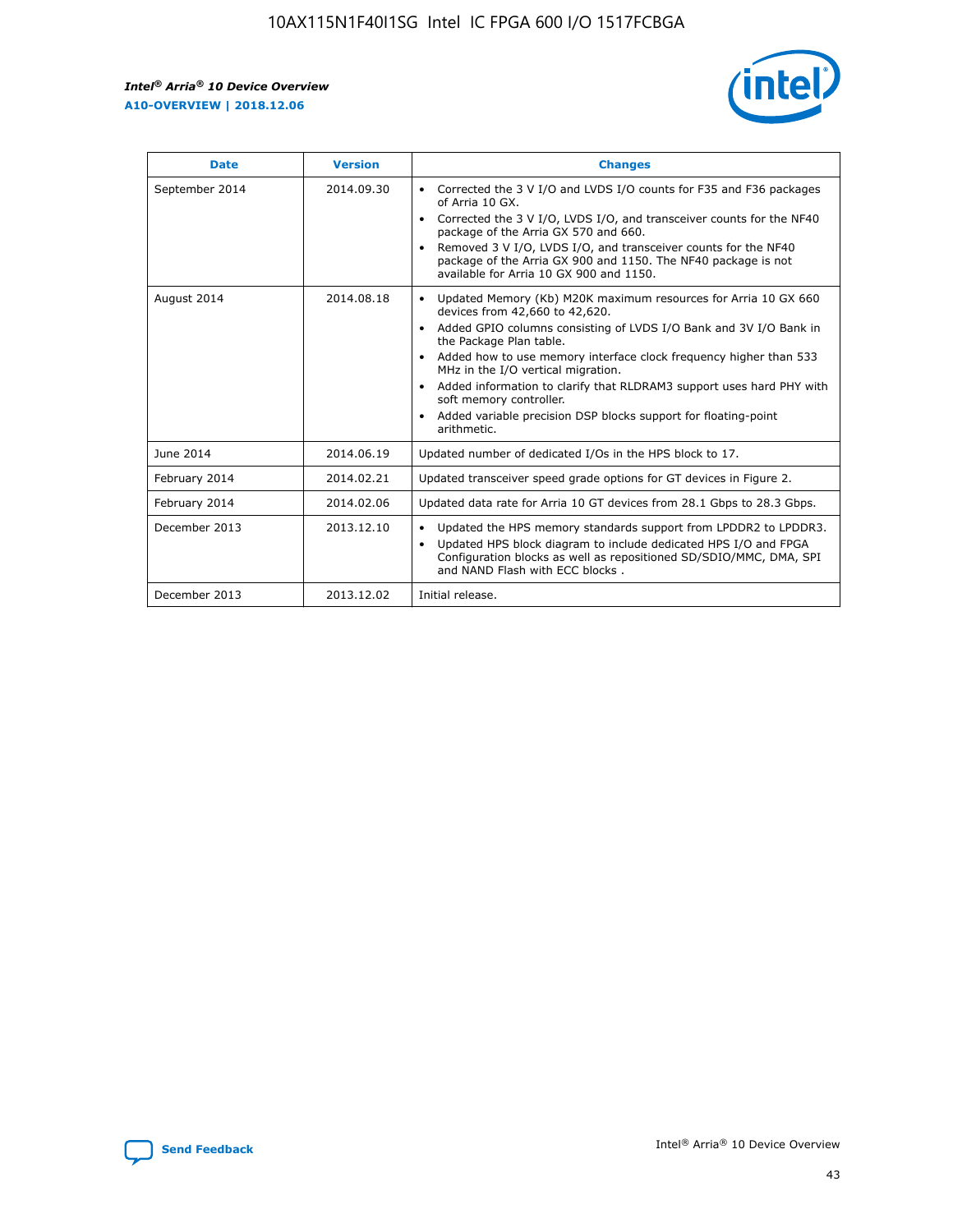r



| <b>Date</b>    | <b>Version</b> | <b>Changes</b>                                                                                                                                                                                                                                                                                                                                                                                                                                                                                                                                      |
|----------------|----------------|-----------------------------------------------------------------------------------------------------------------------------------------------------------------------------------------------------------------------------------------------------------------------------------------------------------------------------------------------------------------------------------------------------------------------------------------------------------------------------------------------------------------------------------------------------|
| September 2014 | 2014.09.30     | Corrected the 3 V I/O and LVDS I/O counts for F35 and F36 packages<br>$\bullet$<br>of Arria 10 GX.<br>Corrected the 3 V I/O, LVDS I/O, and transceiver counts for the NF40<br>$\bullet$<br>package of the Arria GX 570 and 660.<br>Removed 3 V I/O, LVDS I/O, and transceiver counts for the NF40<br>package of the Arria GX 900 and 1150. The NF40 package is not<br>available for Arria 10 GX 900 and 1150.                                                                                                                                       |
| August 2014    | 2014.08.18     | Updated Memory (Kb) M20K maximum resources for Arria 10 GX 660<br>devices from 42,660 to 42,620.<br>Added GPIO columns consisting of LVDS I/O Bank and 3V I/O Bank in<br>$\bullet$<br>the Package Plan table.<br>Added how to use memory interface clock frequency higher than 533<br>$\bullet$<br>MHz in the I/O vertical migration.<br>Added information to clarify that RLDRAM3 support uses hard PHY with<br>$\bullet$<br>soft memory controller.<br>Added variable precision DSP blocks support for floating-point<br>$\bullet$<br>arithmetic. |
| June 2014      | 2014.06.19     | Updated number of dedicated I/Os in the HPS block to 17.                                                                                                                                                                                                                                                                                                                                                                                                                                                                                            |
| February 2014  | 2014.02.21     | Updated transceiver speed grade options for GT devices in Figure 2.                                                                                                                                                                                                                                                                                                                                                                                                                                                                                 |
| February 2014  | 2014.02.06     | Updated data rate for Arria 10 GT devices from 28.1 Gbps to 28.3 Gbps.                                                                                                                                                                                                                                                                                                                                                                                                                                                                              |
| December 2013  | 2013.12.10     | Updated the HPS memory standards support from LPDDR2 to LPDDR3.<br>Updated HPS block diagram to include dedicated HPS I/O and FPGA<br>$\bullet$<br>Configuration blocks as well as repositioned SD/SDIO/MMC, DMA, SPI<br>and NAND Flash with ECC blocks.                                                                                                                                                                                                                                                                                            |
| December 2013  | 2013.12.02     | Initial release.                                                                                                                                                                                                                                                                                                                                                                                                                                                                                                                                    |